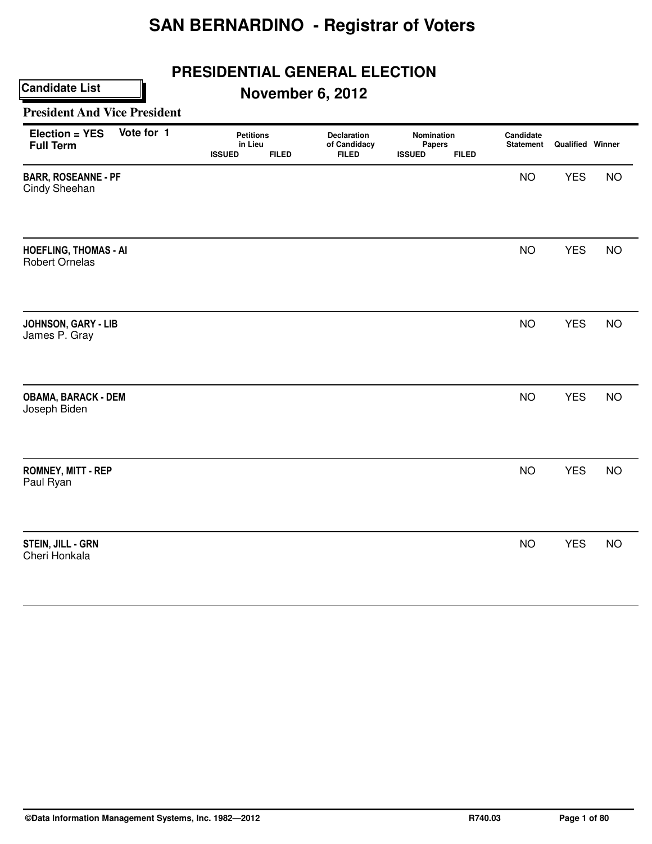## **PRESIDENTIAL GENERAL ELECTION**

## **November 6, 2012**

#### **President And Vice President**

| <b>Election = YES</b><br><b>Full Term</b>             | Vote for 1 | <b>Petitions</b><br>in Lieu<br><b>ISSUED</b> | <b>FILED</b> | Declaration<br>of Candidacy<br><b>FILED</b> | Nomination<br>Papers<br><b>ISSUED</b> | <b>FILED</b> | Candidate<br><b>Statement</b> | <b>Qualified Winner</b> |           |
|-------------------------------------------------------|------------|----------------------------------------------|--------------|---------------------------------------------|---------------------------------------|--------------|-------------------------------|-------------------------|-----------|
| <b>BARR, ROSEANNE - PF</b><br>Cindy Sheehan           |            |                                              |              |                                             |                                       |              | <b>NO</b>                     | <b>YES</b>              | <b>NO</b> |
| <b>HOEFLING, THOMAS - AI</b><br><b>Robert Ornelas</b> |            |                                              |              |                                             |                                       |              | <b>NO</b>                     | <b>YES</b>              | <b>NO</b> |
| JOHNSON, GARY - LIB<br>James P. Gray                  |            |                                              |              |                                             |                                       |              | <b>NO</b>                     | <b>YES</b>              | <b>NO</b> |
| <b>OBAMA, BARACK - DEM</b><br>Joseph Biden            |            |                                              |              |                                             |                                       |              | <b>NO</b>                     | <b>YES</b>              | <b>NO</b> |
| <b>ROMNEY, MITT - REP</b><br>Paul Ryan                |            |                                              |              |                                             |                                       |              | <b>NO</b>                     | <b>YES</b>              | <b>NO</b> |
| <b>STEIN, JILL - GRN</b><br>Cheri Honkala             |            |                                              |              |                                             |                                       |              | <b>NO</b>                     | <b>YES</b>              | <b>NO</b> |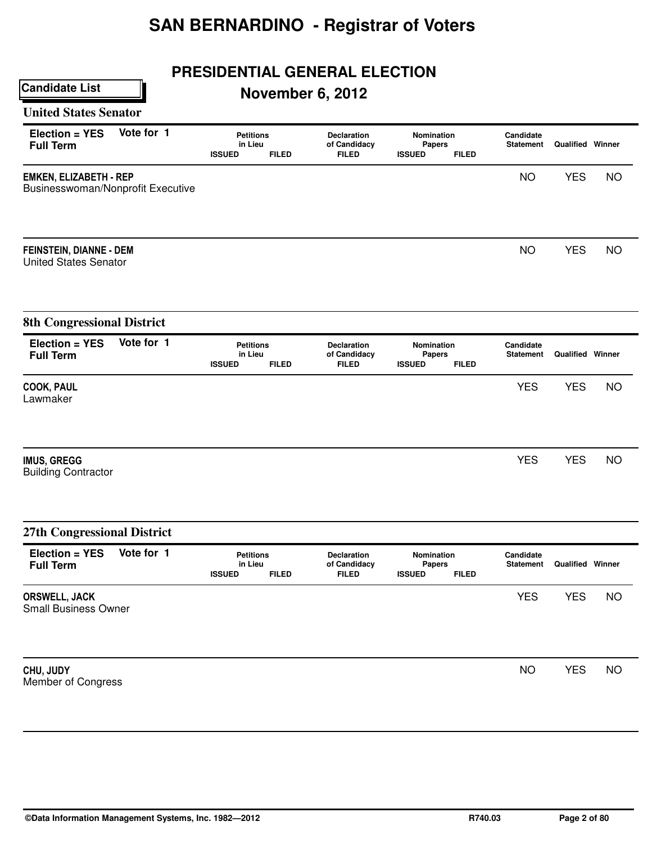## **PRESIDENTIAL GENERAL ELECTION**

## **November 6, 2012**

### **United States Senator**

| Election = YES<br><b>Full Term</b>                                 | Vote for 1 | <b>Petitions</b><br>in Lieu<br><b>ISSUED</b><br><b>FILED</b> | <b>Declaration</b><br>of Candidacy<br><b>FILED</b> | Nomination<br><b>Papers</b><br><b>ISSUED</b><br><b>FILED</b> | Candidate<br><b>Statement</b> | <b>Qualified Winner</b> |           |
|--------------------------------------------------------------------|------------|--------------------------------------------------------------|----------------------------------------------------|--------------------------------------------------------------|-------------------------------|-------------------------|-----------|
| <b>EMKEN, ELIZABETH - REP</b><br>Businesswoman/Nonprofit Executive |            |                                                              |                                                    |                                                              | <b>NO</b>                     | <b>YES</b>              | <b>NO</b> |
| <b>FEINSTEIN, DIANNE - DEM</b><br><b>United States Senator</b>     |            |                                                              |                                                    |                                                              | <b>NO</b>                     | <b>YES</b>              | <b>NO</b> |
| <b>8th Congressional District</b>                                  |            |                                                              |                                                    |                                                              |                               |                         |           |
| Election = YES<br><b>Full Term</b>                                 | Vote for 1 | <b>Petitions</b><br>in Lieu<br><b>ISSUED</b><br><b>FILED</b> | Declaration<br>of Candidacy<br><b>FILED</b>        | Nomination<br><b>Papers</b><br><b>ISSUED</b><br><b>FILED</b> | Candidate<br><b>Statement</b> | <b>Qualified Winner</b> |           |
| <b>COOK, PAUL</b><br>Lawmaker                                      |            |                                                              |                                                    |                                                              | <b>YES</b>                    | <b>YES</b>              | <b>NO</b> |
| <b>IMUS, GREGG</b><br><b>Building Contractor</b>                   |            |                                                              |                                                    |                                                              | <b>YES</b>                    | <b>YES</b>              | <b>NO</b> |
| 27th Congressional District                                        |            |                                                              |                                                    |                                                              |                               |                         |           |
| Election = YES<br><b>Full Term</b>                                 | Vote for 1 | <b>Petitions</b><br>in Lieu<br><b>ISSUED</b><br><b>FILED</b> | Declaration<br>of Candidacy<br><b>FILED</b>        | Nomination<br><b>Papers</b><br><b>ISSUED</b><br><b>FILED</b> | Candidate<br><b>Statement</b> | <b>Qualified Winner</b> |           |
| ORSWELL, JACK<br><b>Small Business Owner</b>                       |            |                                                              |                                                    |                                                              | <b>YES</b>                    | <b>YES</b>              | <b>NO</b> |
| CHU, JUDY<br>Member of Congress                                    |            |                                                              |                                                    |                                                              | <b>NO</b>                     | <b>YES</b>              | <b>NO</b> |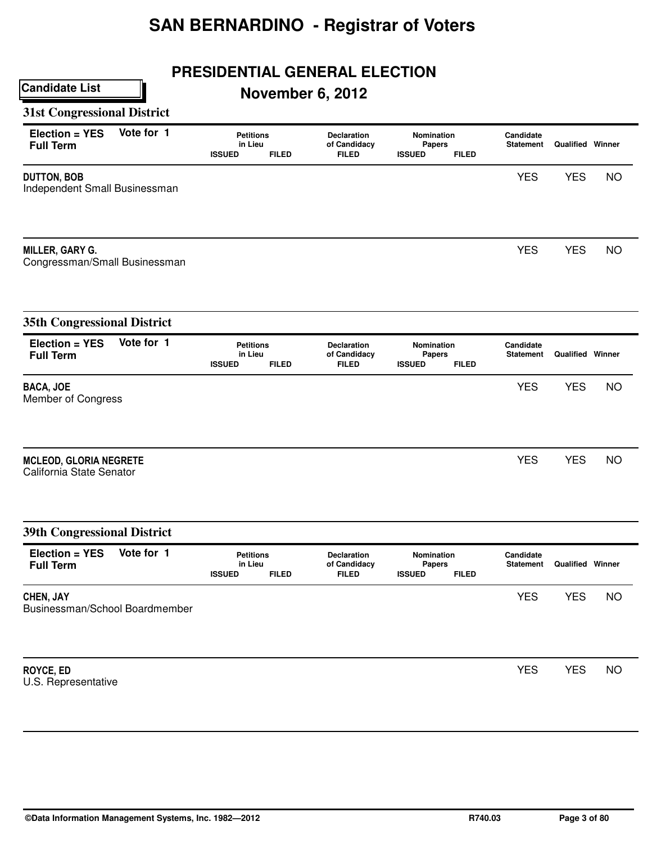## **PRESIDENTIAL GENERAL ELECTION**

## **November 6, 2012**

### **31st Congressional District**

| Vote for 1<br>Election = YES<br><b>Full Term</b>          | <b>Petitions</b><br>in Lieu<br><b>ISSUED</b><br><b>FILED</b> | Declaration<br>of Candidacy<br><b>FILED</b>        | Nomination<br><b>Papers</b><br><b>ISSUED</b><br><b>FILED</b> | Candidate<br><b>Statement</b> | <b>Qualified Winner</b> |           |
|-----------------------------------------------------------|--------------------------------------------------------------|----------------------------------------------------|--------------------------------------------------------------|-------------------------------|-------------------------|-----------|
| <b>DUTTON, BOB</b><br>Independent Small Businessman       |                                                              |                                                    |                                                              | <b>YES</b>                    | <b>YES</b>              | <b>NO</b> |
| <b>MILLER, GARY G.</b><br>Congressman/Small Businessman   |                                                              |                                                    |                                                              | <b>YES</b>                    | <b>YES</b>              | <b>NO</b> |
| <b>35th Congressional District</b>                        |                                                              |                                                    |                                                              |                               |                         |           |
| Vote for 1<br>Election = YES<br><b>Full Term</b>          | <b>Petitions</b><br>in Lieu<br><b>ISSUED</b><br><b>FILED</b> | <b>Declaration</b><br>of Candidacy<br><b>FILED</b> | Nomination<br><b>Papers</b><br><b>ISSUED</b><br><b>FILED</b> | Candidate<br>Statement        | <b>Qualified Winner</b> |           |
| <b>BACA, JOE</b><br>Member of Congress                    |                                                              |                                                    |                                                              | <b>YES</b>                    | <b>YES</b>              | <b>NO</b> |
| <b>MCLEOD, GLORIA NEGRETE</b><br>California State Senator |                                                              |                                                    |                                                              | <b>YES</b>                    | <b>YES</b>              | <b>NO</b> |
| <b>39th Congressional District</b>                        |                                                              |                                                    |                                                              |                               |                         |           |
| Vote for 1<br>Election = YES<br><b>Full Term</b>          | <b>Petitions</b><br>in Lieu<br><b>ISSUED</b><br><b>FILED</b> | Declaration<br>of Candidacy<br><b>FILED</b>        | Nomination<br><b>Papers</b><br><b>ISSUED</b><br><b>FILED</b> | Candidate<br><b>Statement</b> | <b>Qualified Winner</b> |           |
| CHEN, JAY<br>Businessman/School Boardmember               |                                                              |                                                    |                                                              | <b>YES</b>                    | <b>YES</b>              | <b>NO</b> |
| ROYCE, ED<br>U.S. Representative                          |                                                              |                                                    |                                                              | <b>YES</b>                    | <b>YES</b>              | <b>NO</b> |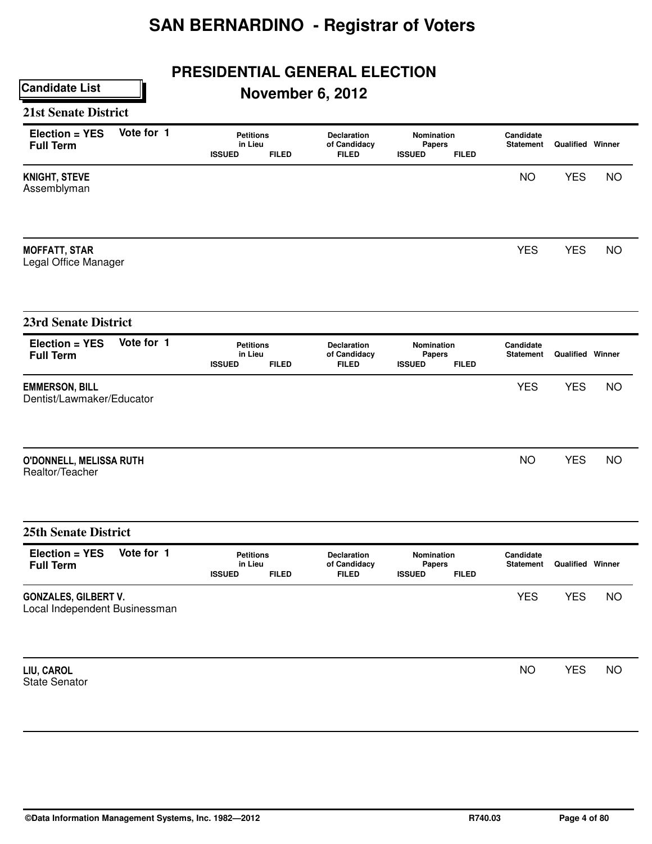## **PRESIDENTIAL GENERAL ELECTION**

## **November 6, 2012**

#### **21st Senate District**

|                                                                                                                   |              |                                                            |               |              | <b>NO</b>                                                  |                         |           |
|-------------------------------------------------------------------------------------------------------------------|--------------|------------------------------------------------------------|---------------|--------------|------------------------------------------------------------|-------------------------|-----------|
|                                                                                                                   |              |                                                            |               |              |                                                            | <b>YES</b>              | <b>NO</b> |
|                                                                                                                   |              |                                                            |               |              | <b>YES</b>                                                 | <b>YES</b>              | <b>NO</b> |
|                                                                                                                   |              |                                                            |               |              |                                                            |                         |           |
| <b>ISSUED</b>                                                                                                     | <b>FILED</b> | Declaration<br>of Candidacy<br><b>FILED</b>                | <b>ISSUED</b> | <b>FILED</b> | Candidate<br><b>Statement</b>                              | <b>Qualified Winner</b> |           |
|                                                                                                                   |              |                                                            |               |              | <b>YES</b>                                                 | <b>YES</b>              | <b>NO</b> |
|                                                                                                                   |              |                                                            |               |              | <b>NO</b>                                                  | <b>YES</b>              | <b>NO</b> |
|                                                                                                                   |              |                                                            |               |              |                                                            |                         |           |
| <b>ISSUED</b>                                                                                                     | <b>FILED</b> | Declaration<br>of Candidacy<br><b>FILED</b>                | <b>ISSUED</b> | <b>FILED</b> | Candidate<br><b>Statement</b>                              | <b>Qualified Winner</b> |           |
|                                                                                                                   |              |                                                            |               |              | <b>YES</b>                                                 | <b>YES</b>              | <b>NO</b> |
|                                                                                                                   |              |                                                            |               |              | <b>NO</b>                                                  | <b>YES</b>              | <b>NO</b> |
| Vote for 1<br>Dentist/Lawmaker/Educator<br>O'DONNELL, MELISSA RUTH<br>Vote for 1<br>Local Independent Businessman |              | <b>Petitions</b><br>in Lieu<br><b>Petitions</b><br>in Lieu |               |              | Nomination<br><b>Papers</b><br>Nomination<br><b>Papers</b> |                         |           |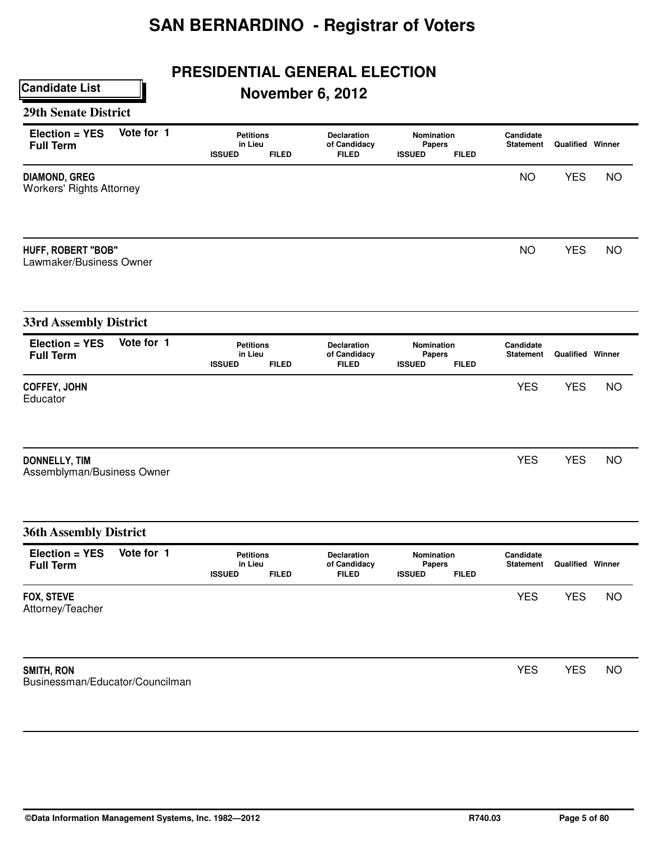## **PRESIDENTIAL GENERAL ELECTION**

## **November 6, 2012**

#### **29th Senate District**

| Election = YES<br><b>Full Term</b>                      | Vote for 1 | <b>Petitions</b><br>in Lieu<br><b>ISSUED</b> | <b>FILED</b> | <b>Declaration</b><br>of Candidacy<br><b>FILED</b> | Nomination<br><b>Papers</b><br><b>ISSUED</b> | <b>FILED</b> | Candidate<br><b>Statement</b> | <b>Qualified Winner</b> |           |
|---------------------------------------------------------|------------|----------------------------------------------|--------------|----------------------------------------------------|----------------------------------------------|--------------|-------------------------------|-------------------------|-----------|
| <b>DIAMOND, GREG</b><br><b>Workers' Rights Attorney</b> |            |                                              |              |                                                    |                                              |              | <b>NO</b>                     | <b>YES</b>              | <b>NO</b> |
| <b>HUFF, ROBERT "BOB"</b><br>Lawmaker/Business Owner    |            |                                              |              |                                                    |                                              |              | <b>NO</b>                     | <b>YES</b>              | <b>NO</b> |
| <b>33rd Assembly District</b>                           |            |                                              |              |                                                    |                                              |              |                               |                         |           |
| Election = YES<br><b>Full Term</b>                      | Vote for 1 | <b>Petitions</b><br>in Lieu<br><b>ISSUED</b> | <b>FILED</b> | Declaration<br>of Candidacy<br><b>FILED</b>        | Nomination<br><b>Papers</b><br><b>ISSUED</b> | <b>FILED</b> | Candidate<br><b>Statement</b> | <b>Qualified Winner</b> |           |
| COFFEY, JOHN<br>Educator                                |            |                                              |              |                                                    |                                              |              | <b>YES</b>                    | <b>YES</b>              | <b>NO</b> |
| <b>DONNELLY, TIM</b><br>Assemblyman/Business Owner      |            |                                              |              |                                                    |                                              |              | <b>YES</b>                    | <b>YES</b>              | <b>NO</b> |
| <b>36th Assembly District</b>                           |            |                                              |              |                                                    |                                              |              |                               |                         |           |
| Election = YES<br><b>Full Term</b>                      | Vote for 1 | <b>Petitions</b><br>in Lieu<br><b>ISSUED</b> | <b>FILED</b> | Declaration<br>of Candidacy<br><b>FILED</b>        | Nomination<br>Papers<br><b>ISSUED</b>        | <b>FILED</b> | Candidate<br><b>Statement</b> | <b>Qualified Winner</b> |           |
| FOX, STEVE<br>Attorney/Teacher                          |            |                                              |              |                                                    |                                              |              | <b>YES</b>                    | <b>YES</b>              | <b>NO</b> |
| SMITH, RON<br>Businessman/Educator/Councilman           |            |                                              |              |                                                    |                                              |              | <b>YES</b>                    | <b>YES</b>              | <b>NO</b> |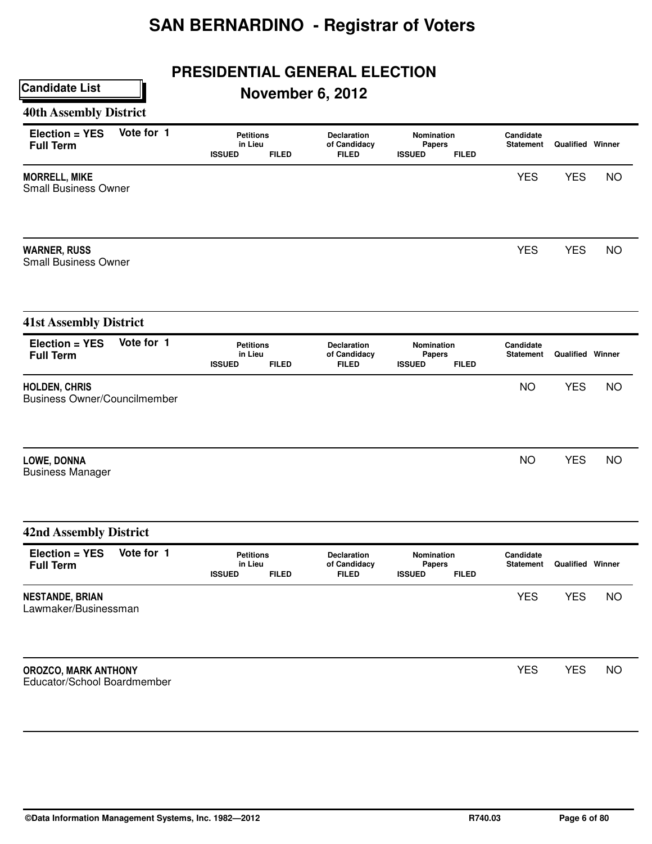## **PRESIDENTIAL GENERAL ELECTION**

## **November 6, 2012**

#### **40th Assembly District**

| Election = YES<br><b>Full Term</b>                          | Vote for 1 | <b>Petitions</b><br>in Lieu<br><b>ISSUED</b> | <b>FILED</b> | <b>Declaration</b><br>of Candidacy<br><b>FILED</b> | Nomination<br><b>Papers</b><br><b>ISSUED</b> | <b>FILED</b> | Candidate<br><b>Statement</b> | <b>Qualified Winner</b> |           |
|-------------------------------------------------------------|------------|----------------------------------------------|--------------|----------------------------------------------------|----------------------------------------------|--------------|-------------------------------|-------------------------|-----------|
| <b>MORRELL, MIKE</b><br><b>Small Business Owner</b>         |            |                                              |              |                                                    |                                              |              | <b>YES</b>                    | <b>YES</b>              | <b>NO</b> |
| <b>WARNER, RUSS</b><br><b>Small Business Owner</b>          |            |                                              |              |                                                    |                                              |              | <b>YES</b>                    | <b>YES</b>              | <b>NO</b> |
| <b>41st Assembly District</b>                               |            |                                              |              |                                                    |                                              |              |                               |                         |           |
| Election = YES<br><b>Full Term</b>                          | Vote for 1 | <b>Petitions</b><br>in Lieu<br><b>ISSUED</b> | <b>FILED</b> | Declaration<br>of Candidacy<br><b>FILED</b>        | Nomination<br><b>Papers</b><br><b>ISSUED</b> | <b>FILED</b> | Candidate<br><b>Statement</b> | Qualified Winner        |           |
| <b>HOLDEN, CHRIS</b><br><b>Business Owner/Councilmember</b> |            |                                              |              |                                                    |                                              |              | <b>NO</b>                     | <b>YES</b>              | <b>NO</b> |
| LOWE, DONNA<br><b>Business Manager</b>                      |            |                                              |              |                                                    |                                              |              | <b>NO</b>                     | <b>YES</b>              | <b>NO</b> |
| <b>42nd Assembly District</b>                               |            |                                              |              |                                                    |                                              |              |                               |                         |           |
| Election = YES<br><b>Full Term</b>                          | Vote for 1 | <b>Petitions</b><br>in Lieu<br><b>ISSUED</b> | <b>FILED</b> | <b>Declaration</b><br>of Candidacy<br><b>FILED</b> | Nomination<br><b>Papers</b><br><b>ISSUED</b> | <b>FILED</b> | Candidate<br><b>Statement</b> | <b>Qualified Winner</b> |           |
| <b>NESTANDE, BRIAN</b><br>Lawmaker/Businessman              |            |                                              |              |                                                    |                                              |              | <b>YES</b>                    | <b>YES</b>              | <b>NO</b> |
| OROZCO, MARK ANTHONY<br>Educator/School Boardmember         |            |                                              |              |                                                    |                                              |              | <b>YES</b>                    | <b>YES</b>              | <b>NO</b> |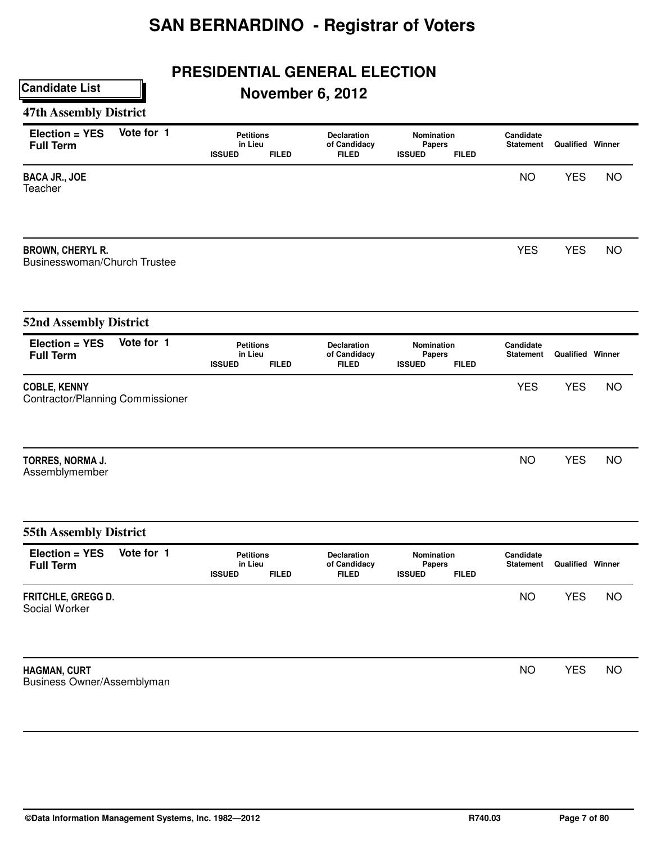## **PRESIDENTIAL GENERAL ELECTION**

## **November 6, 2012**

### **47th Assembly District**

| Election = YES<br><b>Full Term</b>                      | Vote for 1 | <b>Petitions</b><br>in Lieu<br><b>ISSUED</b> | <b>FILED</b> | Declaration<br>of Candidacy<br><b>FILED</b> | Nomination<br><b>Papers</b><br><b>ISSUED</b><br><b>FILED</b> | Candidate<br><b>Statement</b> | <b>Qualified Winner</b> |           |
|---------------------------------------------------------|------------|----------------------------------------------|--------------|---------------------------------------------|--------------------------------------------------------------|-------------------------------|-------------------------|-----------|
| <b>BACA JR., JOE</b><br>Teacher                         |            |                                              |              |                                             |                                                              | <b>NO</b>                     | <b>YES</b>              | <b>NO</b> |
| <b>BROWN, CHERYL R.</b><br>Businesswoman/Church Trustee |            |                                              |              |                                             |                                                              | <b>YES</b>                    | <b>YES</b>              | <b>NO</b> |
| <b>52nd Assembly District</b>                           |            |                                              |              |                                             |                                                              |                               |                         |           |
| Election = YES<br><b>Full Term</b>                      | Vote for 1 | <b>Petitions</b><br>in Lieu<br><b>ISSUED</b> | <b>FILED</b> | Declaration<br>of Candidacy<br><b>FILED</b> | Nomination<br><b>Papers</b><br><b>ISSUED</b><br><b>FILED</b> | Candidate<br><b>Statement</b> | <b>Qualified Winner</b> |           |
| <b>COBLE, KENNY</b><br>Contractor/Planning Commissioner |            |                                              |              |                                             |                                                              | <b>YES</b>                    | <b>YES</b>              | <b>NO</b> |
| TORRES, NORMA J.<br>Assemblymember                      |            |                                              |              |                                             |                                                              | <b>NO</b>                     | <b>YES</b>              | <b>NO</b> |
| <b>55th Assembly District</b>                           |            |                                              |              |                                             |                                                              |                               |                         |           |
| Election = YES<br><b>Full Term</b>                      | Vote for 1 | <b>Petitions</b><br>in Lieu<br><b>ISSUED</b> | <b>FILED</b> | Declaration<br>of Candidacy<br><b>FILED</b> | Nomination<br><b>Papers</b><br><b>ISSUED</b><br><b>FILED</b> | Candidate<br><b>Statement</b> | <b>Qualified Winner</b> |           |
| FRITCHLE, GREGG D.<br>Social Worker                     |            |                                              |              |                                             |                                                              | <b>NO</b>                     | <b>YES</b>              | <b>NO</b> |
| HAGMAN, CURT<br>Business Owner/Assemblyman              |            |                                              |              |                                             |                                                              | <b>NO</b>                     | <b>YES</b>              | <b>NO</b> |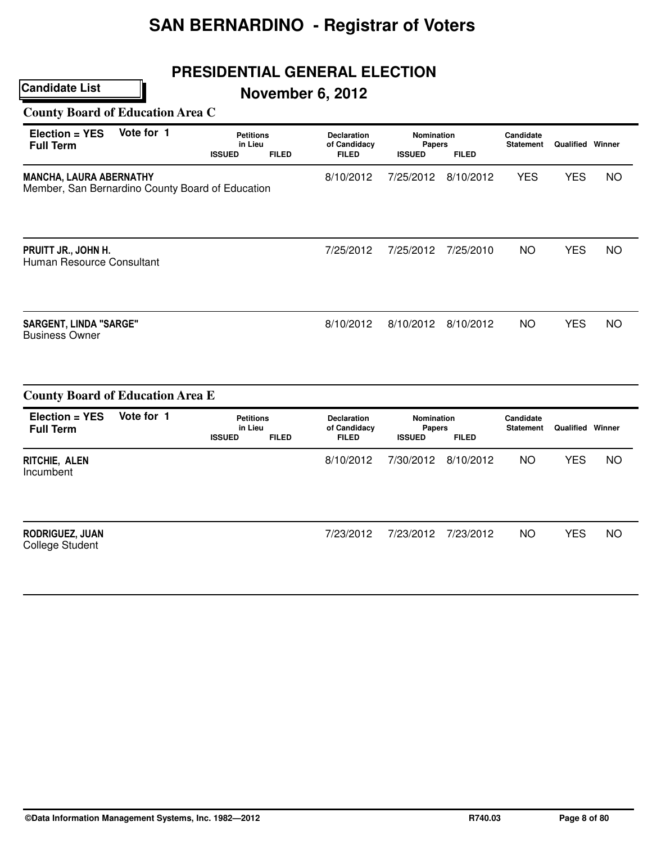## **PRESIDENTIAL GENERAL ELECTION**

## **November 6, 2012**

**County Board of Education Area C**

| Election = YES<br><b>Full Term</b>                                                 | Vote for 1 | <b>Petitions</b><br>in Lieu<br><b>ISSUED</b><br><b>FILED</b> | <b>Declaration</b><br>of Candidacy<br><b>FILED</b> | <b>Nomination</b><br>Papers<br><b>ISSUED</b> | <b>FILED</b> | Candidate<br><b>Statement</b> | <b>Qualified Winner</b> |           |
|------------------------------------------------------------------------------------|------------|--------------------------------------------------------------|----------------------------------------------------|----------------------------------------------|--------------|-------------------------------|-------------------------|-----------|
| <b>MANCHA, LAURA ABERNATHY</b><br>Member, San Bernardino County Board of Education |            |                                                              | 8/10/2012                                          | 7/25/2012                                    | 8/10/2012    | <b>YES</b>                    | <b>YES</b>              | <b>NO</b> |
| PRUITT JR., JOHN H.<br>Human Resource Consultant                                   |            |                                                              | 7/25/2012                                          | 7/25/2012                                    | 7/25/2010    | <b>NO</b>                     | <b>YES</b>              | <b>NO</b> |
| <b>SARGENT, LINDA "SARGE"</b><br><b>Business Owner</b>                             |            |                                                              | 8/10/2012                                          | 8/10/2012                                    | 8/10/2012    | <b>NO</b>                     | <b>YES</b>              | <b>NO</b> |
| <b>County Board of Education Area E</b>                                            |            |                                                              |                                                    |                                              |              |                               |                         |           |
| Election = YES<br><b>Full Term</b>                                                 | Vote for 1 | <b>Petitions</b><br>in Lieu<br><b>ISSUED</b><br><b>FILED</b> | <b>Declaration</b><br>of Candidacy<br><b>FILED</b> | Nomination<br><b>Papers</b><br><b>ISSUED</b> | <b>FILED</b> | Candidate<br><b>Statement</b> | Qualified Winner        |           |
| RITCHIE, ALEN<br>Incumbent                                                         |            |                                                              | 8/10/2012                                          | 7/30/2012                                    | 8/10/2012    | <b>NO</b>                     | <b>YES</b>              | <b>NO</b> |
| <b>RODRIGUEZ, JUAN</b><br><b>College Student</b>                                   |            |                                                              | 7/23/2012                                          | 7/23/2012                                    | 7/23/2012    | <b>NO</b>                     | <b>YES</b>              | <b>NO</b> |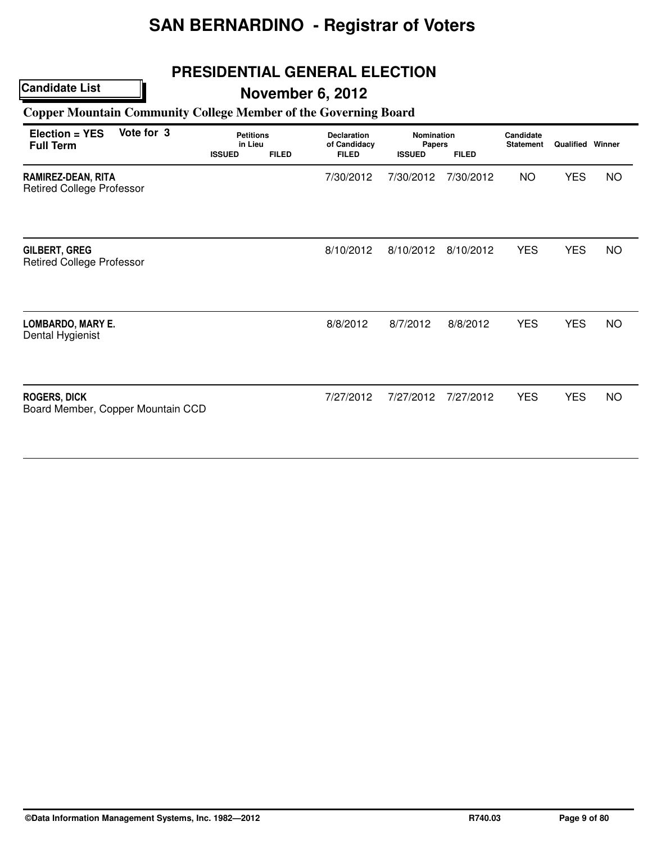## **PRESIDENTIAL GENERAL ELECTION**

### **Candidate List**

## **November 6, 2012**

### **Copper Mountain Community College Member of the Governing Board**

| Election = YES<br><b>Full Term</b>                       | Vote for 3 | <b>Petitions</b><br>in Lieu<br><b>ISSUED</b> | <b>FILED</b> | <b>Declaration</b><br>of Candidacy<br><b>FILED</b> | <b>Nomination</b><br><b>Papers</b><br><b>ISSUED</b> | <b>FILED</b> | Candidate<br><b>Statement</b> | <b>Qualified Winner</b> |           |
|----------------------------------------------------------|------------|----------------------------------------------|--------------|----------------------------------------------------|-----------------------------------------------------|--------------|-------------------------------|-------------------------|-----------|
| RAMIREZ-DEAN, RITA<br><b>Retired College Professor</b>   |            |                                              |              | 7/30/2012                                          | 7/30/2012                                           | 7/30/2012    | <b>NO</b>                     | <b>YES</b>              | <b>NO</b> |
| <b>GILBERT, GREG</b><br><b>Retired College Professor</b> |            |                                              |              | 8/10/2012                                          | 8/10/2012                                           | 8/10/2012    | <b>YES</b>                    | <b>YES</b>              | <b>NO</b> |
| <b>LOMBARDO, MARY E.</b><br>Dental Hygienist             |            |                                              |              | 8/8/2012                                           | 8/7/2012                                            | 8/8/2012     | <b>YES</b>                    | <b>YES</b>              | <b>NO</b> |
| <b>ROGERS, DICK</b><br>Board Member, Copper Mountain CCD |            |                                              |              | 7/27/2012                                          | 7/27/2012                                           | 7/27/2012    | <b>YES</b>                    | <b>YES</b>              | <b>NO</b> |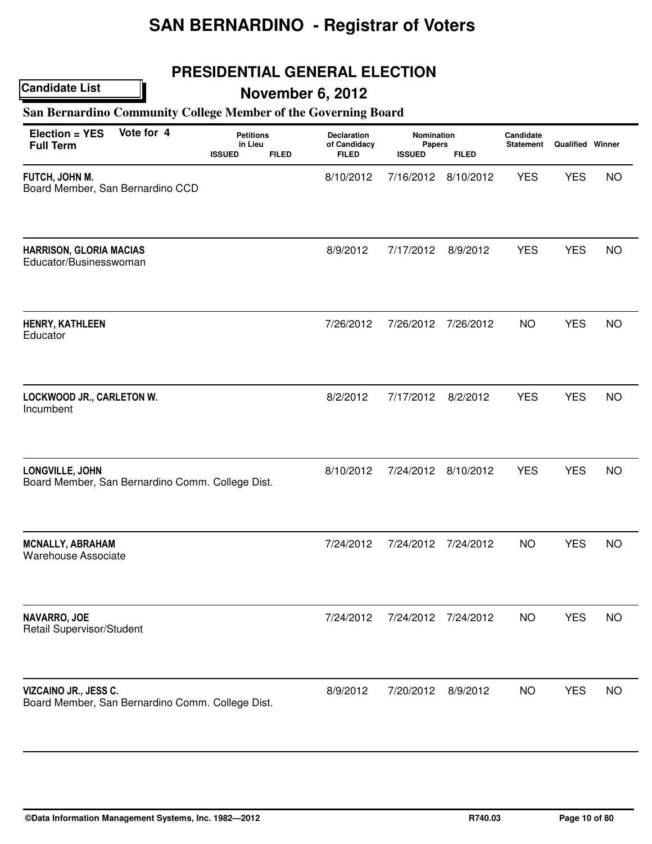## **PRESIDENTIAL GENERAL ELECTION**

## **November 6, 2012**

### **San Bernardino Community College Member of the Governing Board**

| Election = YES<br><b>Full Term</b>                                        | Vote for 4 | <b>Petitions</b><br>in Lieu<br><b>ISSUED</b><br><b>FILED</b> | <b>Declaration</b><br>of Candidacy<br><b>FILED</b> | Nomination<br><b>Papers</b><br><b>ISSUED</b> | <b>FILED</b> | Candidate<br><b>Statement</b> | <b>Qualified Winner</b> |           |
|---------------------------------------------------------------------------|------------|--------------------------------------------------------------|----------------------------------------------------|----------------------------------------------|--------------|-------------------------------|-------------------------|-----------|
| FUTCH, JOHN M.<br>Board Member, San Bernardino CCD                        |            |                                                              | 8/10/2012                                          | 7/16/2012                                    | 8/10/2012    | <b>YES</b>                    | <b>YES</b>              | <b>NO</b> |
| <b>HARRISON, GLORIA MACIAS</b><br>Educator/Businesswoman                  |            |                                                              | 8/9/2012                                           | 7/17/2012                                    | 8/9/2012     | <b>YES</b>                    | <b>YES</b>              | <b>NO</b> |
| HENRY, KATHLEEN<br>Educator                                               |            |                                                              | 7/26/2012                                          | 7/26/2012                                    | 7/26/2012    | <b>NO</b>                     | <b>YES</b>              | <b>NO</b> |
| LOCKWOOD JR., CARLETON W.<br>Incumbent                                    |            |                                                              | 8/2/2012                                           | 7/17/2012                                    | 8/2/2012     | <b>YES</b>                    | <b>YES</b>              | <b>NO</b> |
| LONGVILLE, JOHN<br>Board Member, San Bernardino Comm. College Dist.       |            |                                                              | 8/10/2012                                          | 7/24/2012                                    | 8/10/2012    | <b>YES</b>                    | <b>YES</b>              | <b>NO</b> |
| <b>MCNALLY, ABRAHAM</b><br><b>Warehouse Associate</b>                     |            |                                                              | 7/24/2012                                          | 7/24/2012                                    | 7/24/2012    | <b>NO</b>                     | <b>YES</b>              | <b>NO</b> |
| NAVARRO, JOE<br>Retail Supervisor/Student                                 |            |                                                              | 7/24/2012                                          | 7/24/2012                                    | 7/24/2012    | <b>NO</b>                     | <b>YES</b>              | <b>NO</b> |
| VIZCAINO JR., JESS C.<br>Board Member, San Bernardino Comm. College Dist. |            |                                                              | 8/9/2012                                           | 7/20/2012                                    | 8/9/2012     | <b>NO</b>                     | <b>YES</b>              | <b>NO</b> |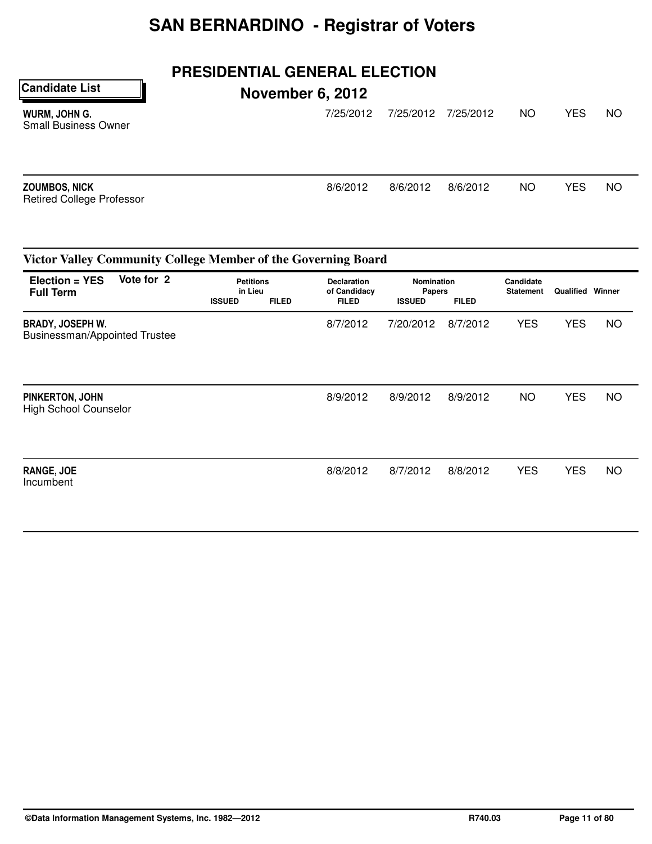### **PRESIDENTIAL GENERAL ELECTION**

**November 6, 2012**

**Candidate List**

| WURM, JOHN G.<br><b>Small Business Owner</b>      | 7/25/2012 | 7/25/2012 | 7/25/2012 | NO. | <b>YES</b> | NO.       |
|---------------------------------------------------|-----------|-----------|-----------|-----|------------|-----------|
| ZOUMBOS, NICK<br><b>Retired College Professor</b> | 8/6/2012  | 8/6/2012  | 8/6/2012  | NO. | <b>YES</b> | <b>NO</b> |

### **Petitions Declaration Nomination Candidate in Lieu Candidate of Candidacy Papers Statement in Lieu of Candidacy Papers Statement Qualified Winner ISSUED FILED FILED ISSUED FILED Victor Valley Community College Member of the Governing Board Election = YES Full Term Vote for 2** BRADY, JOSEPH W. Businessman/Appointed Trustee 8/7/2012 7/20/2012 8/7/2012 YES YES NO PINKERTON, JOHN High School Counselor 8/9/2012 8/9/2012 8/9/2012 NO YES NO RANGE, JOE Incumbent 8/8/2012 8/7/2012 8/8/2012 YES YES NO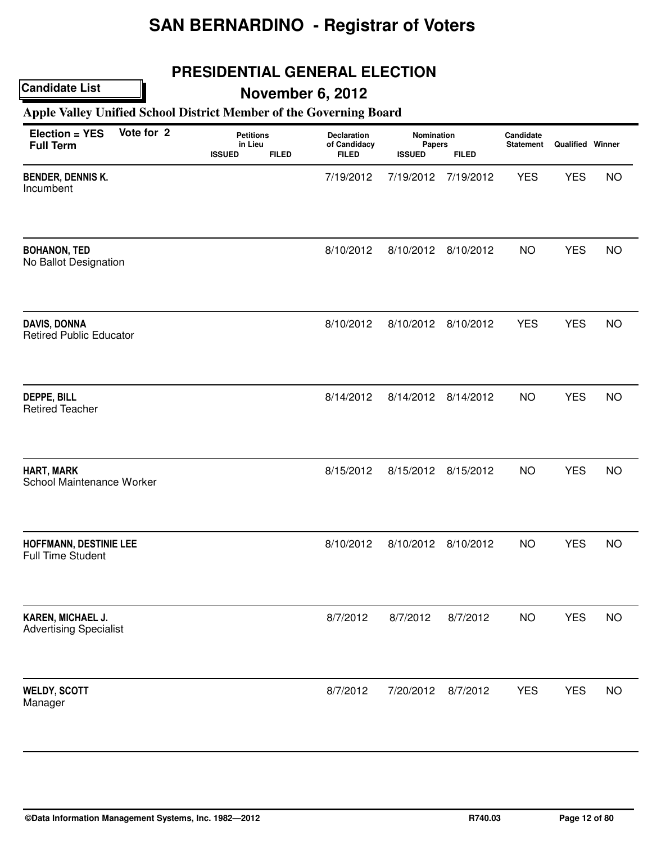## **PRESIDENTIAL GENERAL ELECTION**

## **Candidate List**

## **November 6, 2012**

### **Apple Valley Unified School District Member of the Governing Board**

| Vote for 2<br>Election = YES<br><b>Full Term</b>      | <b>Petitions</b><br>in Lieu<br><b>ISSUED</b><br><b>FILED</b> | Declaration<br>of Candidacy<br><b>FILED</b> | Nomination<br><b>Papers</b><br><b>ISSUED</b> | <b>FILED</b>        | Candidate<br><b>Statement</b> | <b>Qualified Winner</b> |           |
|-------------------------------------------------------|--------------------------------------------------------------|---------------------------------------------|----------------------------------------------|---------------------|-------------------------------|-------------------------|-----------|
| <b>BENDER, DENNIS K.</b><br>Incumbent                 |                                                              | 7/19/2012                                   | 7/19/2012                                    | 7/19/2012           | <b>YES</b>                    | <b>YES</b>              | <b>NO</b> |
| <b>BOHANON, TED</b><br>No Ballot Designation          |                                                              | 8/10/2012                                   | 8/10/2012                                    | 8/10/2012           | <b>NO</b>                     | <b>YES</b>              | <b>NO</b> |
| <b>DAVIS, DONNA</b><br><b>Retired Public Educator</b> |                                                              | 8/10/2012                                   |                                              | 8/10/2012 8/10/2012 | <b>YES</b>                    | <b>YES</b>              | <b>NO</b> |
| <b>DEPPE, BILL</b><br><b>Retired Teacher</b>          |                                                              | 8/14/2012                                   | 8/14/2012                                    | 8/14/2012           | <b>NO</b>                     | <b>YES</b>              | <b>NO</b> |
| HART, MARK<br>School Maintenance Worker               |                                                              | 8/15/2012                                   | 8/15/2012                                    | 8/15/2012           | <b>NO</b>                     | <b>YES</b>              | <b>NO</b> |
| HOFFMANN, DESTINIE LEE<br><b>Full Time Student</b>    |                                                              | 8/10/2012                                   | 8/10/2012                                    | 8/10/2012           | <b>NO</b>                     | <b>YES</b>              | <b>NO</b> |
| KAREN, MICHAEL J.<br><b>Advertising Specialist</b>    |                                                              | 8/7/2012                                    | 8/7/2012                                     | 8/7/2012            | <b>NO</b>                     | <b>YES</b>              | <b>NO</b> |
| <b>WELDY, SCOTT</b><br>Manager                        |                                                              | 8/7/2012                                    | 7/20/2012                                    | 8/7/2012            | <b>YES</b>                    | <b>YES</b>              | <b>NO</b> |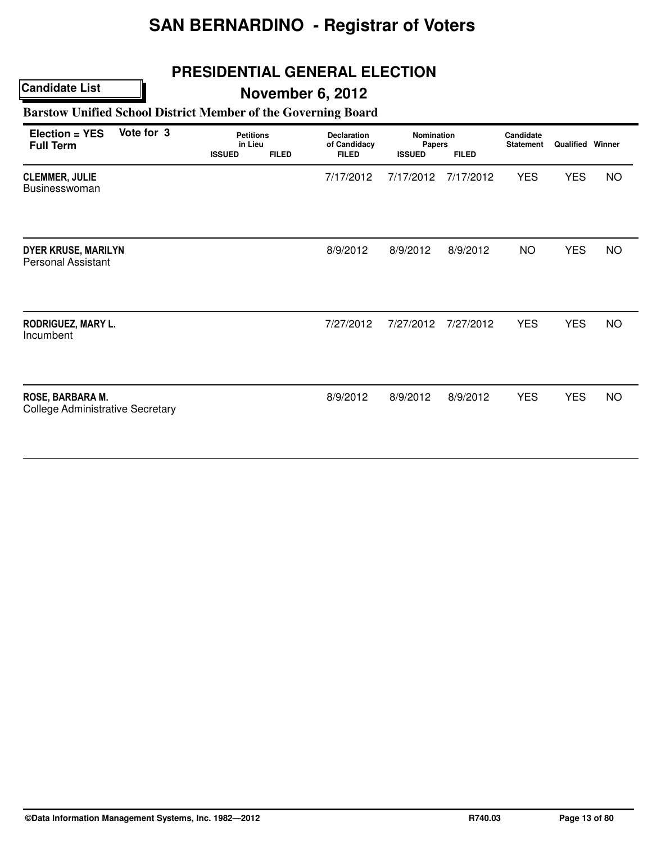## **PRESIDENTIAL GENERAL ELECTION**

### **Candidate List**

## **November 6, 2012**

### **Barstow Unified School District Member of the Governing Board**

| Vote for 3<br>Election = YES<br><b>Full Term</b>            | <b>Petitions</b><br>in Lieu<br><b>ISSUED</b> | <b>FILED</b> | <b>Declaration</b><br>of Candidacy<br><b>FILED</b> | <b>Nomination</b><br>Papers<br><b>ISSUED</b> | <b>FILED</b> | Candidate<br><b>Statement</b> | <b>Qualified Winner</b> |           |
|-------------------------------------------------------------|----------------------------------------------|--------------|----------------------------------------------------|----------------------------------------------|--------------|-------------------------------|-------------------------|-----------|
| <b>CLEMMER, JULIE</b><br>Businesswoman                      |                                              |              | 7/17/2012                                          | 7/17/2012                                    | 7/17/2012    | <b>YES</b>                    | <b>YES</b>              | <b>NO</b> |
| <b>DYER KRUSE, MARILYN</b><br><b>Personal Assistant</b>     |                                              |              | 8/9/2012                                           | 8/9/2012                                     | 8/9/2012     | <b>NO</b>                     | <b>YES</b>              | <b>NO</b> |
| RODRIGUEZ, MARY L.<br>Incumbent                             |                                              |              | 7/27/2012                                          | 7/27/2012                                    | 7/27/2012    | <b>YES</b>                    | <b>YES</b>              | <b>NO</b> |
| ROSE, BARBARA M.<br><b>College Administrative Secretary</b> |                                              |              | 8/9/2012                                           | 8/9/2012                                     | 8/9/2012     | <b>YES</b>                    | <b>YES</b>              | <b>NO</b> |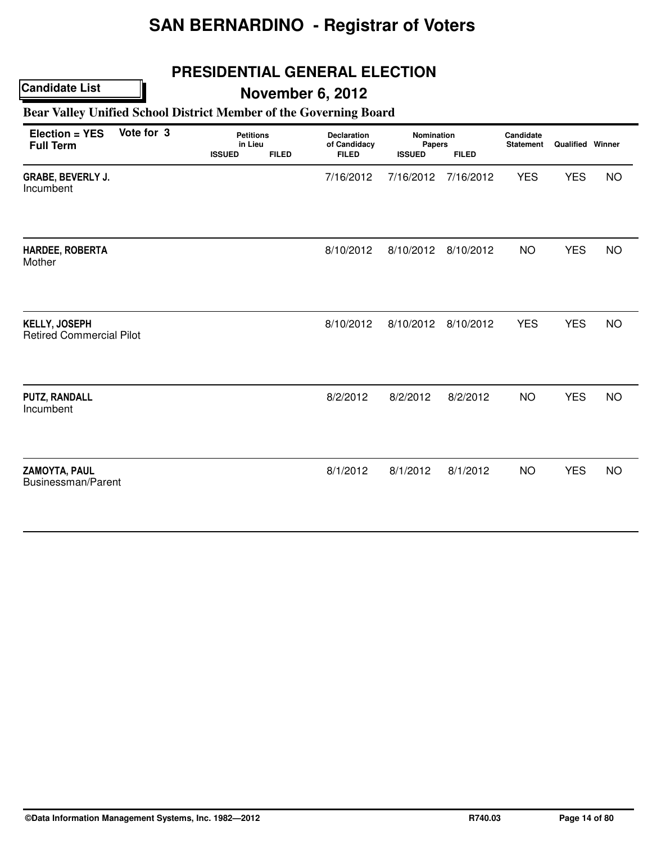## **PRESIDENTIAL GENERAL ELECTION**

## **November 6, 2012**

### **Bear Valley Unified School District Member of the Governing Board**

| Election = YES<br><b>Full Term</b>                      | Vote for 3 | <b>Petitions</b><br>in Lieu<br><b>ISSUED</b> | <b>FILED</b> | <b>Declaration</b><br>of Candidacy<br><b>FILED</b> | Nomination<br>Papers<br><b>ISSUED</b> | <b>FILED</b> | Candidate<br><b>Statement</b> | <b>Qualified Winner</b> |           |
|---------------------------------------------------------|------------|----------------------------------------------|--------------|----------------------------------------------------|---------------------------------------|--------------|-------------------------------|-------------------------|-----------|
| <b>GRABE, BEVERLY J.</b><br>Incumbent                   |            |                                              |              | 7/16/2012                                          | 7/16/2012                             | 7/16/2012    | <b>YES</b>                    | <b>YES</b>              | <b>NO</b> |
| HARDEE, ROBERTA<br>Mother                               |            |                                              |              | 8/10/2012                                          | 8/10/2012                             | 8/10/2012    | <b>NO</b>                     | <b>YES</b>              | <b>NO</b> |
| <b>KELLY, JOSEPH</b><br><b>Retired Commercial Pilot</b> |            |                                              |              | 8/10/2012                                          | 8/10/2012                             | 8/10/2012    | <b>YES</b>                    | <b>YES</b>              | <b>NO</b> |
| <b>PUTZ, RANDALL</b><br>Incumbent                       |            |                                              |              | 8/2/2012                                           | 8/2/2012                              | 8/2/2012     | <b>NO</b>                     | <b>YES</b>              | <b>NO</b> |
| <b>ZAMOYTA, PAUL</b><br>Businessman/Parent              |            |                                              |              | 8/1/2012                                           | 8/1/2012                              | 8/1/2012     | <b>NO</b>                     | <b>YES</b>              | <b>NO</b> |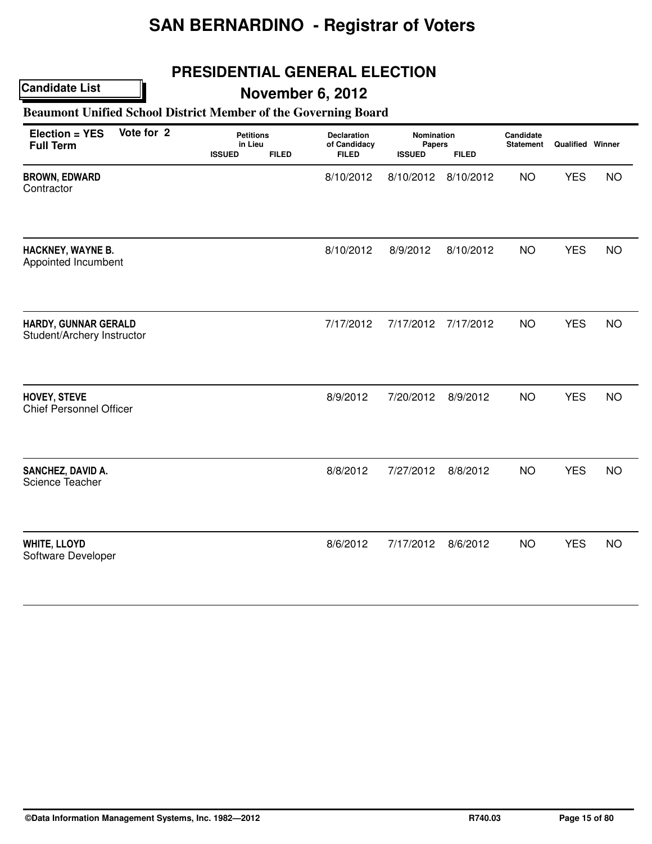## **PRESIDENTIAL GENERAL ELECTION**

### **Candidate List**

## **November 6, 2012**

### **Beaumont Unified School District Member of the Governing Board**

| Vote for 2<br>Election = YES<br><b>Full Term</b>   |  | <b>ISSUED</b> | <b>Petitions</b><br>in Lieu<br><b>FILED</b> |           | Nomination<br><b>Papers</b><br><b>ISSUED</b><br><b>FILED</b> |           | Candidate<br><b>Statement</b> | <b>Qualified Winner</b> |           |
|----------------------------------------------------|--|---------------|---------------------------------------------|-----------|--------------------------------------------------------------|-----------|-------------------------------|-------------------------|-----------|
| <b>BROWN, EDWARD</b><br>Contractor                 |  |               |                                             | 8/10/2012 | 8/10/2012                                                    | 8/10/2012 | <b>NO</b>                     | <b>YES</b>              | <b>NO</b> |
| HACKNEY, WAYNE B.<br>Appointed Incumbent           |  |               |                                             | 8/10/2012 | 8/9/2012                                                     | 8/10/2012 | <b>NO</b>                     | <b>YES</b>              | <b>NO</b> |
| HARDY, GUNNAR GERALD<br>Student/Archery Instructor |  |               |                                             | 7/17/2012 | 7/17/2012                                                    | 7/17/2012 | <b>NO</b>                     | <b>YES</b>              | <b>NO</b> |
| HOVEY, STEVE<br><b>Chief Personnel Officer</b>     |  |               |                                             | 8/9/2012  | 7/20/2012                                                    | 8/9/2012  | <b>NO</b>                     | <b>YES</b>              | <b>NO</b> |
| SANCHEZ, DAVID A.<br>Science Teacher               |  |               |                                             | 8/8/2012  | 7/27/2012                                                    | 8/8/2012  | <b>NO</b>                     | <b>YES</b>              | <b>NO</b> |
| <b>WHITE, LLOYD</b><br>Software Developer          |  |               |                                             | 8/6/2012  | 7/17/2012                                                    | 8/6/2012  | <b>NO</b>                     | <b>YES</b>              | <b>NO</b> |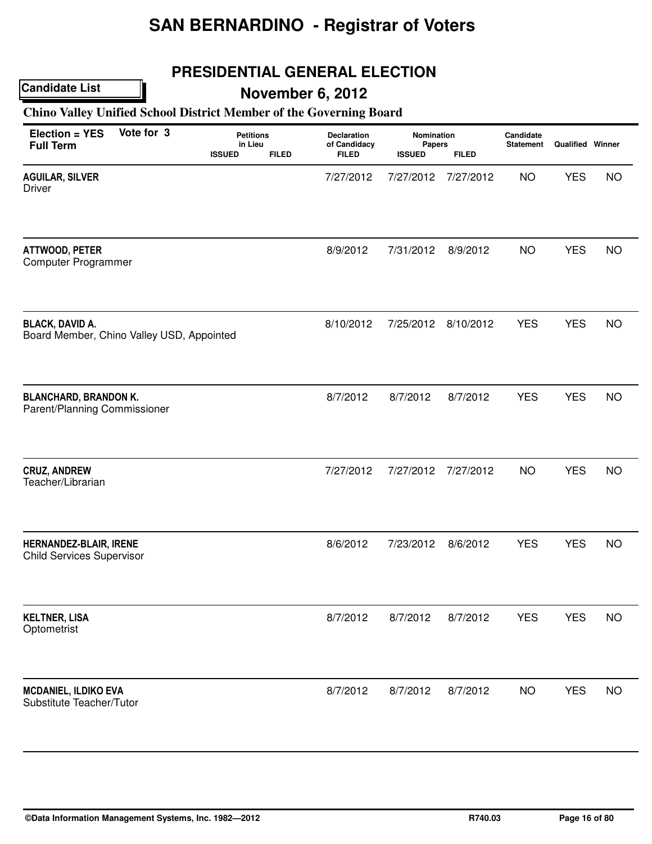## **PRESIDENTIAL GENERAL ELECTION**

### **Candidate List**

## **November 6, 2012**

### **Chino Valley Unified School District Member of the Governing Board**

| Vote for 3<br>Election = YES<br><b>Full Term</b>                    | <b>Petitions</b><br>in Lieu<br><b>ISSUED</b><br><b>FILED</b> | Declaration<br>of Candidacy<br><b>FILED</b> | Nomination<br>Papers<br><b>ISSUED</b> | <b>FILED</b> | Candidate<br><b>Statement</b> | Qualified Winner |           |
|---------------------------------------------------------------------|--------------------------------------------------------------|---------------------------------------------|---------------------------------------|--------------|-------------------------------|------------------|-----------|
| <b>AGUILAR, SILVER</b><br><b>Driver</b>                             |                                                              | 7/27/2012                                   | 7/27/2012                             | 7/27/2012    | <b>NO</b>                     | <b>YES</b>       | <b>NO</b> |
| ATTWOOD, PETER<br>Computer Programmer                               |                                                              | 8/9/2012                                    | 7/31/2012                             | 8/9/2012     | <b>NO</b>                     | <b>YES</b>       | <b>NO</b> |
| <b>BLACK, DAVID A.</b><br>Board Member, Chino Valley USD, Appointed |                                                              | 8/10/2012                                   | 7/25/2012                             | 8/10/2012    | <b>YES</b>                    | <b>YES</b>       | <b>NO</b> |
| <b>BLANCHARD, BRANDON K.</b><br>Parent/Planning Commissioner        |                                                              | 8/7/2012                                    | 8/7/2012                              | 8/7/2012     | <b>YES</b>                    | <b>YES</b>       | <b>NO</b> |
| <b>CRUZ, ANDREW</b><br>Teacher/Librarian                            |                                                              | 7/27/2012                                   | 7/27/2012                             | 7/27/2012    | <b>NO</b>                     | <b>YES</b>       | <b>NO</b> |
| HERNANDEZ-BLAIR, IRENE<br><b>Child Services Supervisor</b>          |                                                              | 8/6/2012                                    | 7/23/2012                             | 8/6/2012     | <b>YES</b>                    | <b>YES</b>       | <b>NO</b> |
| <b>KELTNER, LISA</b><br>Optometrist                                 |                                                              | 8/7/2012                                    | 8/7/2012                              | 8/7/2012     | <b>YES</b>                    | <b>YES</b>       | <b>NO</b> |
| <b>MCDANIEL, ILDIKO EVA</b><br>Substitute Teacher/Tutor             |                                                              | 8/7/2012                                    | 8/7/2012                              | 8/7/2012     | <b>NO</b>                     | <b>YES</b>       | <b>NO</b> |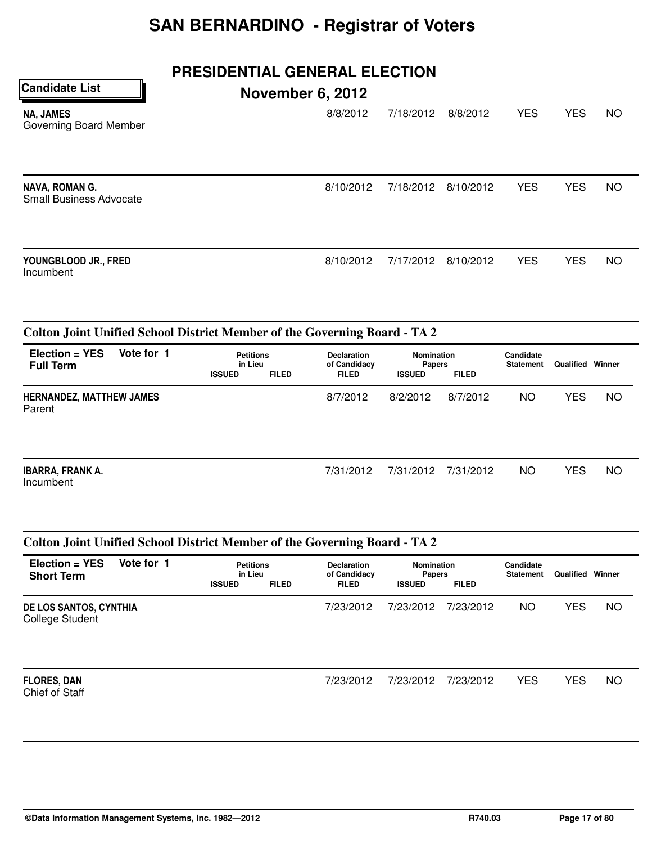## **PRESIDENTIAL GENERAL ELECTION**

| <b>Candidate List</b>                                   | <b>November 6, 2012</b> |           |           |            |            |           |
|---------------------------------------------------------|-------------------------|-----------|-----------|------------|------------|-----------|
| <b>NA, JAMES</b><br>Governing Board Member              | 8/8/2012                | 7/18/2012 | 8/8/2012  | <b>YES</b> | <b>YES</b> | <b>NO</b> |
| <b>NAVA, ROMAN G.</b><br><b>Small Business Advocate</b> | 8/10/2012               | 7/18/2012 | 8/10/2012 | <b>YES</b> | <b>YES</b> | <b>NO</b> |
| YOUNGBLOOD JR., FRED<br>Incumbent                       | 8/10/2012               | 7/17/2012 | 8/10/2012 | <b>YES</b> | <b>YES</b> | <b>NO</b> |

### **Colton Joint Unified School District Member of the Governing Board - TA 2**

| Election = YES<br><b>Full Term</b>        | Vote for 1 | <b>Petitions</b><br>in Lieu<br><b>ISSUED</b> | <b>FILED</b> | <b>Declaration</b><br>of Candidacy<br><b>FILED</b> | Nomination<br><b>Papers</b><br><b>ISSUED</b> | <b>FILED</b> | Candidate<br><b>Statement</b> | Qualified | Winner    |
|-------------------------------------------|------------|----------------------------------------------|--------------|----------------------------------------------------|----------------------------------------------|--------------|-------------------------------|-----------|-----------|
| <b>HERNANDEZ, MATTHEW JAMES</b><br>Parent |            |                                              |              | 8/7/2012                                           | 8/2/2012                                     | 8/7/2012     | ΝO                            | YES       | <b>NO</b> |
|                                           |            |                                              |              |                                                    |                                              |              |                               |           |           |

| <b>IBARRA, FRANK A.</b><br>Incumbent | 7/31/2012 7/31/2012 7/31/2012 | - NO | <b>YES</b> | <b>NO</b> |
|--------------------------------------|-------------------------------|------|------------|-----------|
|                                      |                               |      |            |           |

### **Colton Joint Unified School District Member of the Governing Board - TA 2**

| $Election = YES$<br><b>Short Term</b>     | Vote for 1 | <b>Petitions</b><br>in Lieu<br><b>ISSUED</b> | <b>FILED</b> | <b>Declaration</b><br>of Candidacy<br><b>FILED</b> | <b>Nomination</b><br><b>Papers</b><br><b>ISSUED</b> | <b>FILED</b> | Candidate<br><b>Statement</b> | Qualified  | Winner    |
|-------------------------------------------|------------|----------------------------------------------|--------------|----------------------------------------------------|-----------------------------------------------------|--------------|-------------------------------|------------|-----------|
| DE LOS SANTOS, CYNTHIA<br>College Student |            |                                              |              | 7/23/2012                                          | 7/23/2012                                           | 7/23/2012    | NO                            | <b>YES</b> | <b>NO</b> |
| <b>FLORES, DAN</b><br>Chief of Staff      |            |                                              |              | 7/23/2012                                          | 7/23/2012                                           | 7/23/2012    | <b>YES</b>                    | <b>YES</b> | <b>NO</b> |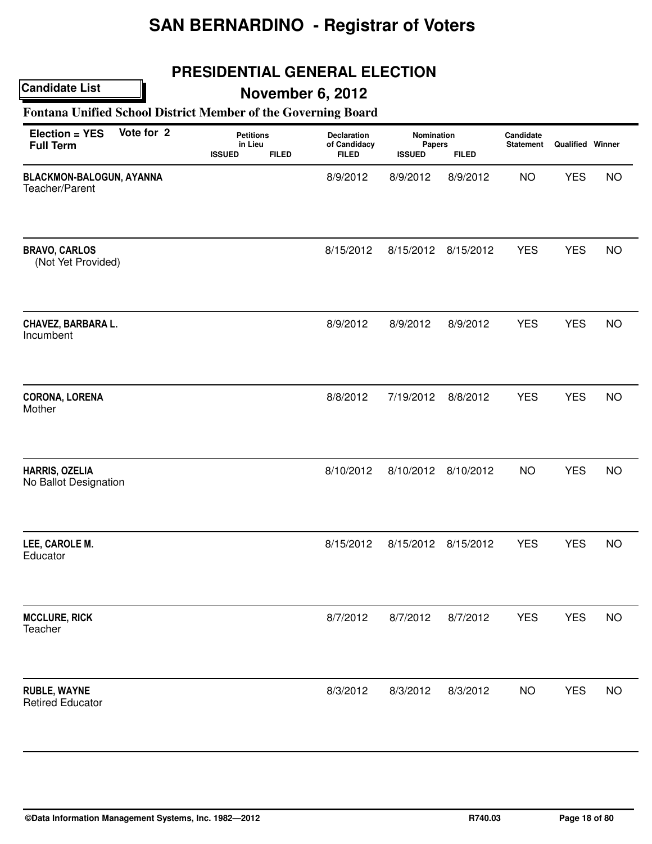## **PRESIDENTIAL GENERAL ELECTION**

### **Candidate List**

## **November 6, 2012**

### **Fontana Unified School District Member of the Governing Board**

| Election = YES<br><b>Full Term</b>             | Vote for 2 | <b>Petitions</b><br>in Lieu<br><b>FILED</b><br><b>ISSUED</b> | Declaration<br>of Candidacy<br><b>FILED</b> | Nomination<br><b>Papers</b><br><b>ISSUED</b> | <b>FILED</b> | Candidate<br><b>Statement</b> | Qualified Winner |           |
|------------------------------------------------|------------|--------------------------------------------------------------|---------------------------------------------|----------------------------------------------|--------------|-------------------------------|------------------|-----------|
| BLACKMON-BALOGUN, AYANNA<br>Teacher/Parent     |            |                                                              | 8/9/2012                                    | 8/9/2012                                     | 8/9/2012     | <b>NO</b>                     | <b>YES</b>       | <b>NO</b> |
| <b>BRAVO, CARLOS</b><br>(Not Yet Provided)     |            |                                                              | 8/15/2012                                   | 8/15/2012                                    | 8/15/2012    | <b>YES</b>                    | <b>YES</b>       | <b>NO</b> |
| CHAVEZ, BARBARA L.<br>Incumbent                |            |                                                              | 8/9/2012                                    | 8/9/2012                                     | 8/9/2012     | <b>YES</b>                    | <b>YES</b>       | <b>NO</b> |
| <b>CORONA, LORENA</b><br>Mother                |            |                                                              | 8/8/2012                                    | 7/19/2012                                    | 8/8/2012     | <b>YES</b>                    | <b>YES</b>       | <b>NO</b> |
| HARRIS, OZELIA<br>No Ballot Designation        |            |                                                              | 8/10/2012                                   | 8/10/2012                                    | 8/10/2012    | <b>NO</b>                     | <b>YES</b>       | <b>NO</b> |
| LEE, CAROLE M.<br>Educator                     |            |                                                              | 8/15/2012                                   | 8/15/2012                                    | 8/15/2012    | <b>YES</b>                    | <b>YES</b>       | <b>NO</b> |
| <b>MCCLURE, RICK</b><br>Teacher                |            |                                                              | 8/7/2012                                    | 8/7/2012                                     | 8/7/2012     | <b>YES</b>                    | <b>YES</b>       | <b>NO</b> |
| <b>RUBLE, WAYNE</b><br><b>Retired Educator</b> |            |                                                              | 8/3/2012                                    | 8/3/2012                                     | 8/3/2012     | <b>NO</b>                     | <b>YES</b>       | <b>NO</b> |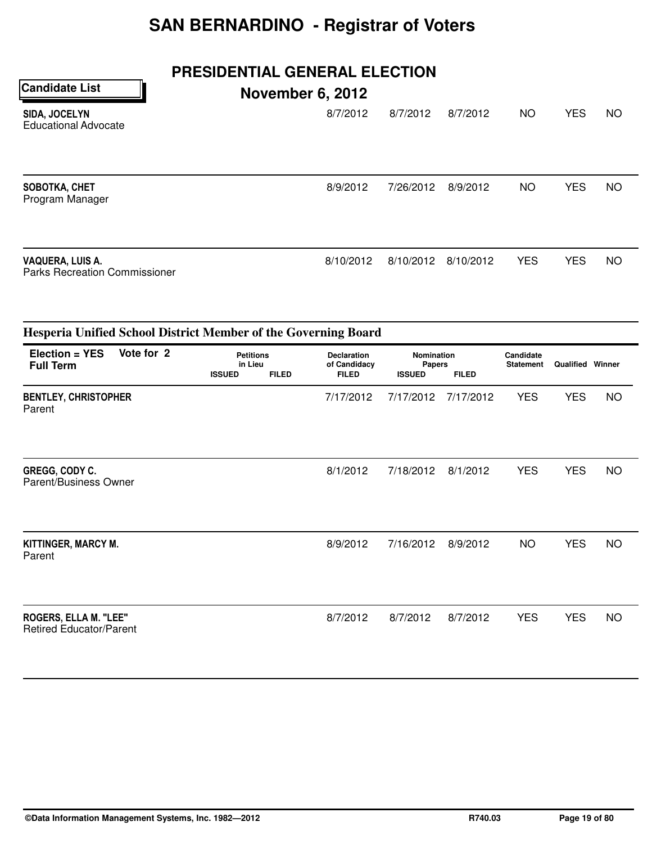## **PRESIDENTIAL GENERAL ELECTION**

| <b>Candidate List</b>                                    | <b>November 6, 2012</b> |           |           |            |            |           |
|----------------------------------------------------------|-------------------------|-----------|-----------|------------|------------|-----------|
| SIDA, JOCELYN<br><b>Educational Advocate</b>             | 8/7/2012                | 8/7/2012  | 8/7/2012  | <b>NO</b>  | <b>YES</b> | <b>NO</b> |
| SOBOTKA, CHET<br>Program Manager                         | 8/9/2012                | 7/26/2012 | 8/9/2012  | NO         | <b>YES</b> | NO        |
| VAQUERA, LUIS A.<br><b>Parks Recreation Commissioner</b> | 8/10/2012               | 8/10/2012 | 8/10/2012 | <b>YES</b> | <b>YES</b> | NO        |

|                                                         | Hesperia Unified School District Member of the Governing Board |                                              |              |                                                    |           |                                                              |            |                         |           |  |  |  |
|---------------------------------------------------------|----------------------------------------------------------------|----------------------------------------------|--------------|----------------------------------------------------|-----------|--------------------------------------------------------------|------------|-------------------------|-----------|--|--|--|
| Election = YES<br><b>Full Term</b>                      | Vote for 2                                                     | <b>Petitions</b><br>in Lieu<br><b>ISSUED</b> | <b>FILED</b> | <b>Declaration</b><br>of Candidacy<br><b>FILED</b> |           | <b>Nomination</b><br>Papers<br><b>FILED</b><br><b>ISSUED</b> |            | <b>Qualified Winner</b> |           |  |  |  |
| <b>BENTLEY, CHRISTOPHER</b><br>Parent                   |                                                                |                                              |              | 7/17/2012                                          | 7/17/2012 | 7/17/2012                                                    | <b>YES</b> | <b>YES</b>              | <b>NO</b> |  |  |  |
| GREGG, CODY C.<br>Parent/Business Owner                 |                                                                |                                              |              | 8/1/2012                                           | 7/18/2012 | 8/1/2012                                                     | <b>YES</b> | <b>YES</b>              | <b>NO</b> |  |  |  |
| KITTINGER, MARCY M.<br>Parent                           |                                                                |                                              |              | 8/9/2012                                           | 7/16/2012 | 8/9/2012                                                     | <b>NO</b>  | <b>YES</b>              | <b>NO</b> |  |  |  |
| ROGERS, ELLA M. "LEE"<br><b>Retired Educator/Parent</b> |                                                                |                                              |              | 8/7/2012                                           | 8/7/2012  | 8/7/2012                                                     | <b>YES</b> | <b>YES</b>              | <b>NO</b> |  |  |  |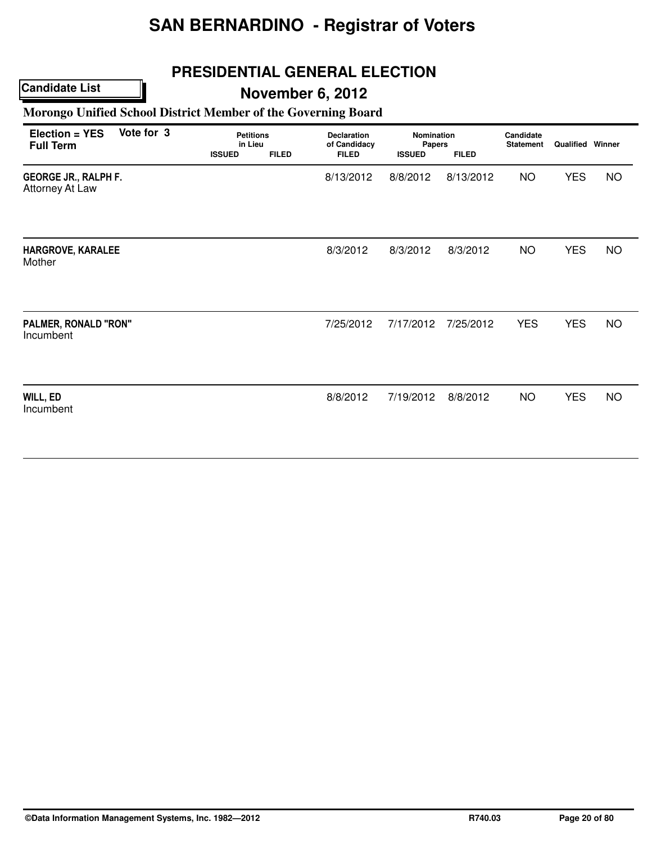## **PRESIDENTIAL GENERAL ELECTION**

### **Candidate List**

## **November 6, 2012**

### **Morongo Unified School District Member of the Governing Board**

| Election = YES<br><b>Full Term</b>                    | Vote for 3 | <b>Petitions</b><br>in Lieu<br><b>ISSUED</b> | <b>FILED</b> | <b>Declaration</b><br>of Candidacy<br><b>FILED</b> | Nomination<br>Papers<br><b>ISSUED</b> | <b>FILED</b> | Candidate<br><b>Statement</b> | <b>Qualified Winner</b> |           |
|-------------------------------------------------------|------------|----------------------------------------------|--------------|----------------------------------------------------|---------------------------------------|--------------|-------------------------------|-------------------------|-----------|
| <b>GEORGE JR., RALPH F.</b><br><b>Attorney At Law</b> |            |                                              |              | 8/13/2012                                          | 8/8/2012                              | 8/13/2012    | <b>NO</b>                     | <b>YES</b>              | <b>NO</b> |
| HARGROVE, KARALEE<br>Mother                           |            |                                              |              | 8/3/2012                                           | 8/3/2012                              | 8/3/2012     | <b>NO</b>                     | <b>YES</b>              | <b>NO</b> |
| PALMER, RONALD "RON"<br>Incumbent                     |            |                                              |              | 7/25/2012                                          | 7/17/2012                             | 7/25/2012    | <b>YES</b>                    | <b>YES</b>              | <b>NO</b> |
| WILL, ED<br>Incumbent                                 |            |                                              |              | 8/8/2012                                           | 7/19/2012                             | 8/8/2012     | <b>NO</b>                     | <b>YES</b>              | <b>NO</b> |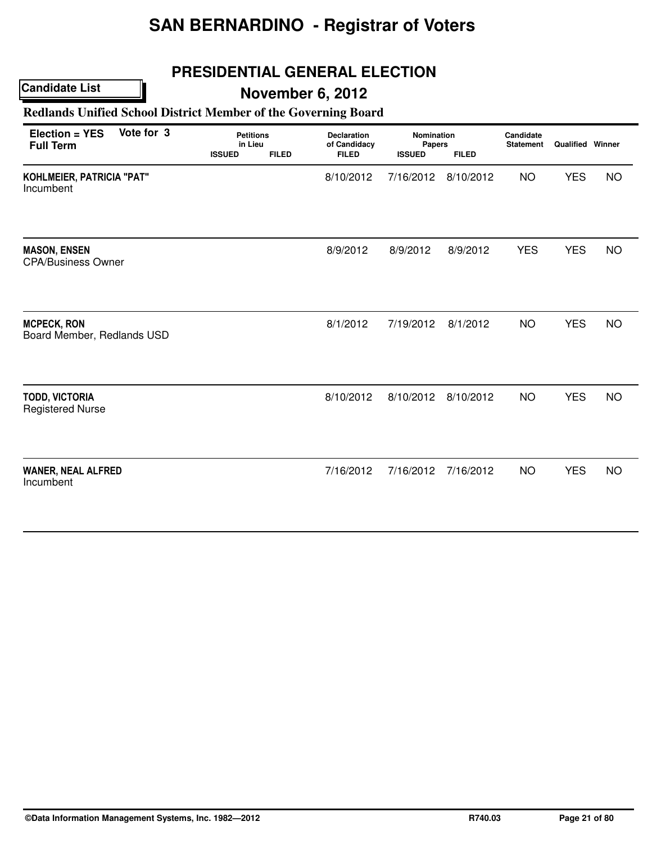## **PRESIDENTIAL GENERAL ELECTION**

### **Candidate List**

## **November 6, 2012**

### **Redlands Unified School District Member of the Governing Board**

| Vote for 3<br>Election = YES<br><b>Full Term</b> | <b>Petitions</b><br>in Lieu<br><b>ISSUED</b><br><b>FILED</b> | <b>Declaration</b><br>of Candidacy<br><b>FILED</b> | <b>Nomination</b><br>Papers<br><b>ISSUED</b><br><b>FILED</b> |           | Candidate<br><b>Statement</b> | <b>Qualified Winner</b> |           |
|--------------------------------------------------|--------------------------------------------------------------|----------------------------------------------------|--------------------------------------------------------------|-----------|-------------------------------|-------------------------|-----------|
| KOHLMEIER, PATRICIA "PAT"<br>Incumbent           |                                                              | 8/10/2012                                          | 7/16/2012                                                    | 8/10/2012 | <b>NO</b>                     | <b>YES</b>              | <b>NO</b> |
| <b>MASON, ENSEN</b><br><b>CPA/Business Owner</b> |                                                              | 8/9/2012                                           | 8/9/2012                                                     | 8/9/2012  | <b>YES</b>                    | <b>YES</b>              | <b>NO</b> |
| <b>MCPECK, RON</b><br>Board Member, Redlands USD |                                                              | 8/1/2012                                           | 7/19/2012                                                    | 8/1/2012  | <b>NO</b>                     | <b>YES</b>              | <b>NO</b> |
| <b>TODD, VICTORIA</b><br><b>Registered Nurse</b> |                                                              | 8/10/2012                                          | 8/10/2012                                                    | 8/10/2012 | <b>NO</b>                     | <b>YES</b>              | <b>NO</b> |
| <b>WANER, NEAL ALFRED</b><br>Incumbent           |                                                              | 7/16/2012                                          | 7/16/2012                                                    | 7/16/2012 | <b>NO</b>                     | <b>YES</b>              | <b>NO</b> |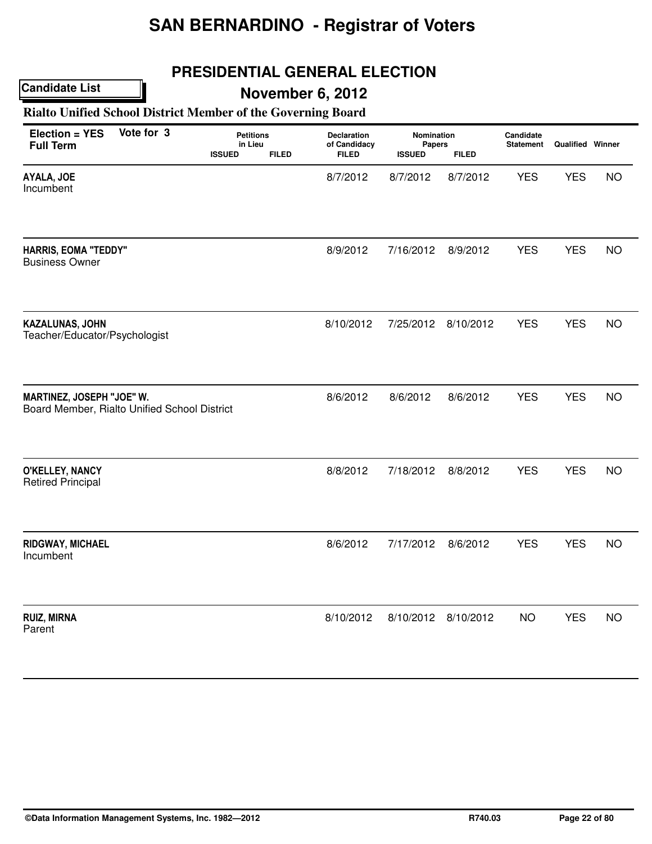## **PRESIDENTIAL GENERAL ELECTION**

### **Candidate List**

## **November 6, 2012**

### **Rialto Unified School District Member of the Governing Board**

| Election = YES<br><b>Full Term</b>                                        | Vote for 3 | <b>Petitions</b><br>in Lieu |              | Declaration<br>of Candidacy | Nomination<br>Papers |              | Candidate<br><b>Statement</b> | <b>Qualified Winner</b> |           |
|---------------------------------------------------------------------------|------------|-----------------------------|--------------|-----------------------------|----------------------|--------------|-------------------------------|-------------------------|-----------|
|                                                                           |            | <b>ISSUED</b>               | <b>FILED</b> | <b>FILED</b>                | <b>ISSUED</b>        | <b>FILED</b> |                               |                         |           |
| AYALA, JOE<br>Incumbent                                                   |            |                             |              | 8/7/2012                    | 8/7/2012             | 8/7/2012     | <b>YES</b>                    | <b>YES</b>              | <b>NO</b> |
| <b>HARRIS, EOMA "TEDDY"</b><br><b>Business Owner</b>                      |            |                             |              | 8/9/2012                    | 7/16/2012            | 8/9/2012     | <b>YES</b>                    | <b>YES</b>              | <b>NO</b> |
| KAZALUNAS, JOHN<br>Teacher/Educator/Psychologist                          |            |                             |              | 8/10/2012                   | 7/25/2012            | 8/10/2012    | <b>YES</b>                    | <b>YES</b>              | <b>NO</b> |
| MARTINEZ, JOSEPH "JOE" W.<br>Board Member, Rialto Unified School District |            |                             |              | 8/6/2012                    | 8/6/2012             | 8/6/2012     | <b>YES</b>                    | <b>YES</b>              | <b>NO</b> |
| O'KELLEY, NANCY<br><b>Retired Principal</b>                               |            |                             |              | 8/8/2012                    | 7/18/2012            | 8/8/2012     | <b>YES</b>                    | <b>YES</b>              | <b>NO</b> |
| RIDGWAY, MICHAEL<br>Incumbent                                             |            |                             |              | 8/6/2012                    | 7/17/2012            | 8/6/2012     | <b>YES</b>                    | <b>YES</b>              | <b>NO</b> |
| <b>RUIZ, MIRNA</b><br>Parent                                              |            |                             |              | 8/10/2012                   | 8/10/2012            | 8/10/2012    | <b>NO</b>                     | <b>YES</b>              | <b>NO</b> |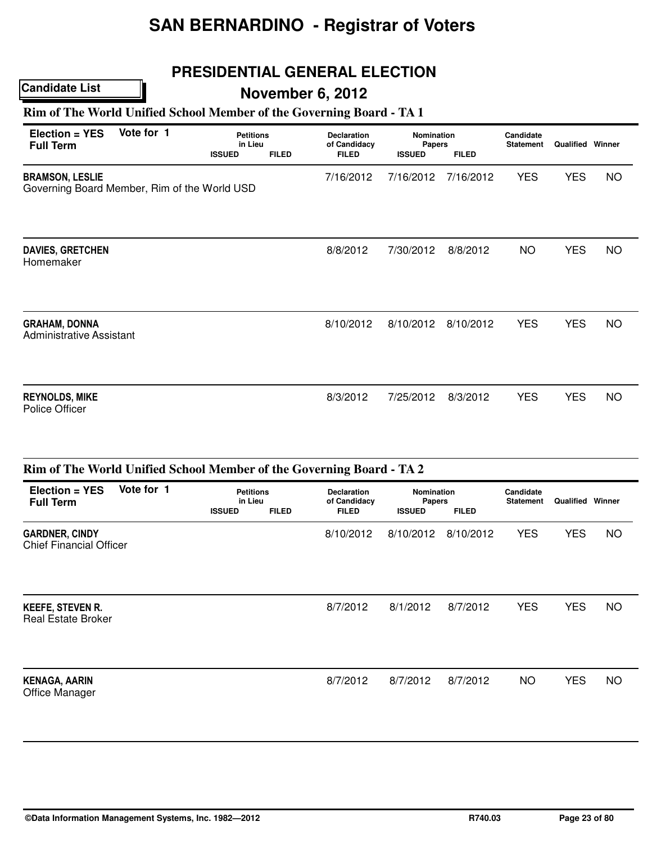## **PRESIDENTIAL GENERAL ELECTION**

## **November 6, 2012**

### **Rim of The World Unified School Member of the Governing Board - TA 1**

| Election = YES<br><b>Full Term</b>                                     | Vote for 1 | <b>Petitions</b><br>in Lieu<br><b>ISSUED</b> | <b>FILED</b> | <b>Declaration</b><br>of Candidacy<br><b>FILED</b> | <b>Nomination</b><br>Papers<br><b>ISSUED</b> | <b>FILED</b> | Candidate<br><b>Statement</b> | <b>Qualified Winner</b> |           |
|------------------------------------------------------------------------|------------|----------------------------------------------|--------------|----------------------------------------------------|----------------------------------------------|--------------|-------------------------------|-------------------------|-----------|
| <b>BRAMSON, LESLIE</b><br>Governing Board Member, Rim of the World USD |            |                                              |              | 7/16/2012                                          | 7/16/2012                                    | 7/16/2012    | <b>YES</b>                    | <b>YES</b>              | <b>NO</b> |
| <b>DAVIES, GRETCHEN</b><br>Homemaker                                   |            |                                              |              | 8/8/2012                                           | 7/30/2012                                    | 8/8/2012     | <b>NO</b>                     | <b>YES</b>              | <b>NO</b> |
| <b>GRAHAM, DONNA</b><br><b>Administrative Assistant</b>                |            |                                              |              | 8/10/2012                                          | 8/10/2012                                    | 8/10/2012    | <b>YES</b>                    | <b>YES</b>              | <b>NO</b> |
| <b>REYNOLDS, MIKE</b><br>Police Officer                                |            |                                              |              | 8/3/2012                                           | 7/25/2012                                    | 8/3/2012     | <b>YES</b>                    | <b>YES</b>              | NO        |

|                                                         | Rim of The World Unified School Member of the Governing Board - TA 2 |                                              |              |                                                    |                                                                     |           |                               |                         |           |  |  |  |  |
|---------------------------------------------------------|----------------------------------------------------------------------|----------------------------------------------|--------------|----------------------------------------------------|---------------------------------------------------------------------|-----------|-------------------------------|-------------------------|-----------|--|--|--|--|
| $Election = YES$<br><b>Full Term</b>                    | Vote for 1                                                           | <b>Petitions</b><br>in Lieu<br><b>ISSUED</b> | <b>FILED</b> | <b>Declaration</b><br>of Candidacy<br><b>FILED</b> | <b>Nomination</b><br><b>Papers</b><br><b>FILED</b><br><b>ISSUED</b> |           | Candidate<br><b>Statement</b> | <b>Qualified Winner</b> |           |  |  |  |  |
| <b>GARDNER, CINDY</b><br><b>Chief Financial Officer</b> |                                                                      |                                              |              | 8/10/2012                                          | 8/10/2012                                                           | 8/10/2012 | <b>YES</b>                    | <b>YES</b>              | NO        |  |  |  |  |
| <b>KEEFE, STEVEN R.</b><br><b>Real Estate Broker</b>    |                                                                      |                                              |              | 8/7/2012                                           | 8/1/2012                                                            | 8/7/2012  | <b>YES</b>                    | <b>YES</b>              | <b>NO</b> |  |  |  |  |
| <b>KENAGA, AARIN</b><br>Office Manager                  |                                                                      |                                              |              | 8/7/2012                                           | 8/7/2012                                                            | 8/7/2012  | NO.                           | <b>YES</b>              | NO        |  |  |  |  |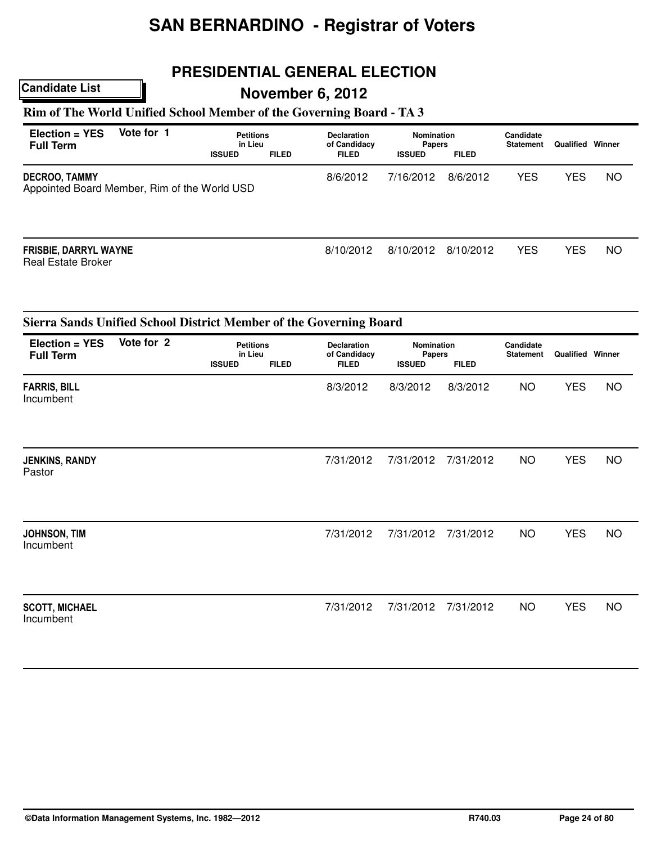## **PRESIDENTIAL GENERAL ELECTION**

## **November 6, 2012**

### **Rim of The World Unified School Member of the Governing Board - TA 3**

| Election = YES<br><b>Full Term</b>                            | Vote for 1 | <b>Petitions</b><br>in Lieu<br><b>ISSUED</b> | <b>FILED</b> | <b>Declaration</b><br>of Candidacy<br><b>FILED</b> | <b>Nomination</b><br><b>Papers</b><br><b>ISSUED</b> | <b>FILED</b> | Candidate<br><b>Statement</b> | Qualified  | Winner    |
|---------------------------------------------------------------|------------|----------------------------------------------|--------------|----------------------------------------------------|-----------------------------------------------------|--------------|-------------------------------|------------|-----------|
| DECROO, TAMMY<br>Appointed Board Member, Rim of the World USD |            | 8/6/2012                                     | 7/16/2012    | 8/6/2012                                           | <b>YES</b>                                          | <b>YES</b>   | <b>NO</b>                     |            |           |
| <b>FRISBIE, DARRYL WAYNE</b><br><b>Real Estate Broker</b>     |            |                                              |              | 8/10/2012                                          | 8/10/2012                                           | 8/10/2012    | <b>YES</b>                    | <b>YES</b> | <b>NO</b> |

| Election = YES<br><b>Full Term</b> | Vote for 2 | <b>Petitions</b><br>in Lieu<br><b>ISSUED</b> | <b>FILED</b> | <b>Declaration</b><br>of Candidacy<br><b>FILED</b> | <b>Nomination</b><br>Papers<br><b>ISSUED</b> | <b>FILED</b> | Candidate<br><b>Statement</b> | <b>Qualified Winner</b> |           |
|------------------------------------|------------|----------------------------------------------|--------------|----------------------------------------------------|----------------------------------------------|--------------|-------------------------------|-------------------------|-----------|
| <b>FARRIS, BILL</b><br>Incumbent   |            |                                              |              | 8/3/2012                                           | 8/3/2012                                     | 8/3/2012     | <b>NO</b>                     | <b>YES</b>              | <b>NO</b> |
| <b>JENKINS, RANDY</b><br>Pastor    |            |                                              |              | 7/31/2012                                          | 7/31/2012                                    | 7/31/2012    | <b>NO</b>                     | <b>YES</b>              | <b>NO</b> |
| JOHNSON, TIM<br>Incumbent          |            |                                              |              | 7/31/2012                                          | 7/31/2012                                    | 7/31/2012    | <b>NO</b>                     | <b>YES</b>              | <b>NO</b> |
| <b>SCOTT, MICHAEL</b><br>Incumbent |            |                                              |              | 7/31/2012                                          | 7/31/2012                                    | 7/31/2012    | <b>NO</b>                     | <b>YES</b>              | <b>NO</b> |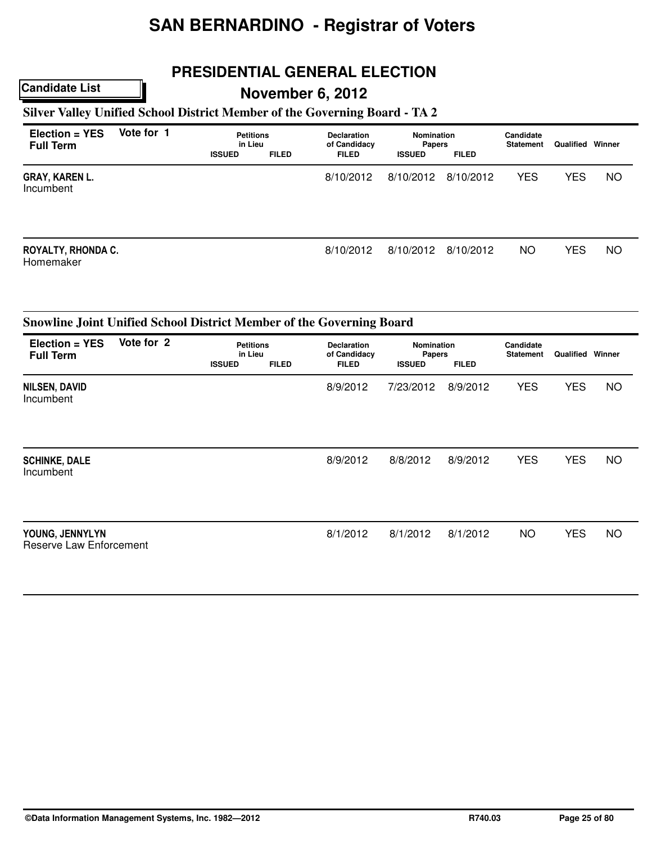## **PRESIDENTIAL GENERAL ELECTION**

## **November 6, 2012**

### **Silver Valley Unified School District Member of the Governing Board - TA 2**

| Election = YES<br><b>Full Term</b> | Vote for 1 | <b>Petitions</b><br>in Lieu<br><b>ISSUED</b> | <b>FILED</b> | <b>Declaration</b><br>of Candidacy<br><b>FILED</b> | <b>Nomination</b><br><b>Papers</b><br><b>ISSUED</b> | <b>FILED</b> | Candidate<br><b>Statement</b> | <b>Qualified Winner</b> |           |
|------------------------------------|------------|----------------------------------------------|--------------|----------------------------------------------------|-----------------------------------------------------|--------------|-------------------------------|-------------------------|-----------|
| <b>GRAY, KAREN L.</b><br>Incumbent |            |                                              |              | 8/10/2012                                          | 8/10/2012                                           | 8/10/2012    | <b>YES</b>                    | <b>YES</b>              | <b>NO</b> |
| ROYALTY, RHONDA C.<br>Homemaker    |            |                                              |              | 8/10/2012                                          | 8/10/2012                                           | 8/10/2012    | NO.                           | <b>YES</b>              | <b>NO</b> |

|                                            | Snowline Joint Unified School District Member of the Governing Board |                                              |              |                                                    |                                                       |          |                               |            |           |  |  |  |
|--------------------------------------------|----------------------------------------------------------------------|----------------------------------------------|--------------|----------------------------------------------------|-------------------------------------------------------|----------|-------------------------------|------------|-----------|--|--|--|
| Election = YES<br><b>Full Term</b>         | Vote for 2                                                           | <b>Petitions</b><br>in Lieu<br><b>ISSUED</b> | <b>FILED</b> | <b>Declaration</b><br>of Candidacy<br><b>FILED</b> | Nomination<br>Papers<br><b>FILED</b><br><b>ISSUED</b> |          | Candidate<br><b>Statement</b> | Qualified  | Winner    |  |  |  |
|                                            |                                                                      |                                              |              |                                                    |                                                       |          |                               |            |           |  |  |  |
| <b>NILSEN, DAVID</b><br>Incumbent          |                                                                      |                                              |              | 8/9/2012                                           | 7/23/2012                                             | 8/9/2012 | <b>YES</b>                    | <b>YES</b> | <b>NO</b> |  |  |  |
| <b>SCHINKE, DALE</b>                       |                                                                      |                                              |              | 8/9/2012                                           | 8/8/2012                                              | 8/9/2012 | <b>YES</b>                    | <b>YES</b> | NO        |  |  |  |
| Incumbent                                  |                                                                      |                                              |              |                                                    |                                                       |          |                               |            |           |  |  |  |
| YOUNG, JENNYLYN<br>Reserve Law Enforcement |                                                                      |                                              |              | 8/1/2012                                           | 8/1/2012                                              | 8/1/2012 | <b>NO</b>                     | <b>YES</b> | <b>NO</b> |  |  |  |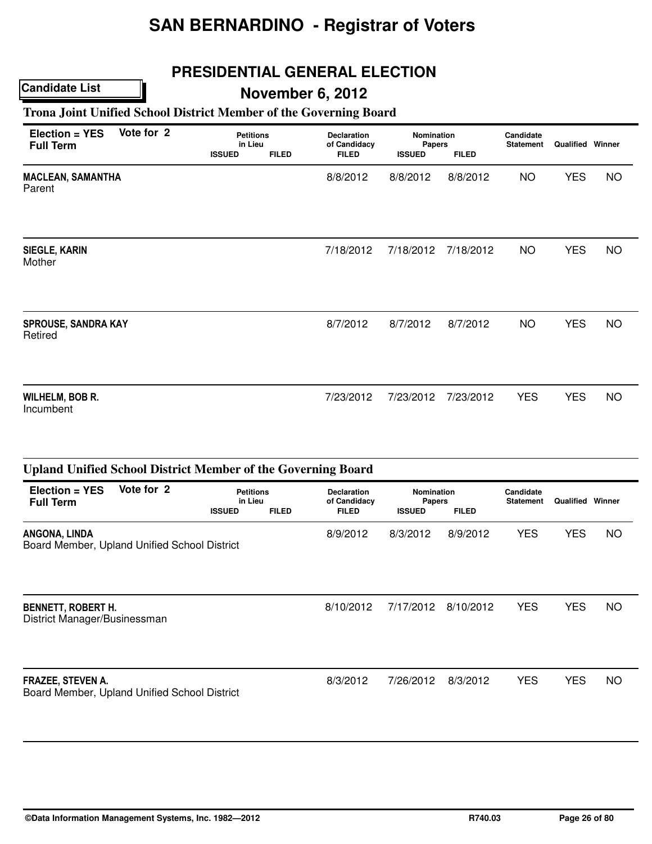## **PRESIDENTIAL GENERAL ELECTION**

## **Candidate List**

## **November 6, 2012**

### **Trona Joint Unified School District Member of the Governing Board**

| Election = YES<br><b>Full Term</b>    | Vote for 2 | <b>Petitions</b><br>in Lieu<br><b>ISSUED</b> | <b>FILED</b> | <b>Declaration</b><br>of Candidacy<br><b>FILED</b> | <b>Nomination</b><br>Papers<br><b>ISSUED</b> | <b>FILED</b> | Candidate<br><b>Statement</b> | <b>Qualified Winner</b> |           |
|---------------------------------------|------------|----------------------------------------------|--------------|----------------------------------------------------|----------------------------------------------|--------------|-------------------------------|-------------------------|-----------|
| <b>MACLEAN, SAMANTHA</b><br>Parent    |            |                                              |              | 8/8/2012                                           | 8/8/2012                                     | 8/8/2012     | <b>NO</b>                     | <b>YES</b>              | <b>NO</b> |
| <b>SIEGLE, KARIN</b><br>Mother        |            |                                              |              | 7/18/2012                                          | 7/18/2012                                    | 7/18/2012    | <b>NO</b>                     | <b>YES</b>              | <b>NO</b> |
| <b>SPROUSE, SANDRA KAY</b><br>Retired |            |                                              |              | 8/7/2012                                           | 8/7/2012                                     | 8/7/2012     | <b>NO</b>                     | <b>YES</b>              | <b>NO</b> |
| <b>WILHELM, BOB R.</b><br>Incumbent   |            |                                              |              | 7/23/2012                                          | 7/23/2012                                    | 7/23/2012    | <b>YES</b>                    | <b>YES</b>              | <b>NO</b> |

|                                                                          | <b>Upland Unified School District Member of the Governing Board</b> |                                              |              |                                                    |                                              |              |                               |                         |     |  |  |  |  |
|--------------------------------------------------------------------------|---------------------------------------------------------------------|----------------------------------------------|--------------|----------------------------------------------------|----------------------------------------------|--------------|-------------------------------|-------------------------|-----|--|--|--|--|
| $Election = YES$<br><b>Full Term</b>                                     | Vote for 2                                                          | <b>Petitions</b><br>in Lieu<br><b>ISSUED</b> | <b>FILED</b> | <b>Declaration</b><br>of Candidacy<br><b>FILED</b> | <b>Nomination</b><br>Papers<br><b>ISSUED</b> | <b>FILED</b> | Candidate<br><b>Statement</b> | <b>Qualified Winner</b> |     |  |  |  |  |
| ANGONA, LINDA<br>Board Member, Upland Unified School District            |                                                                     |                                              |              | 8/9/2012                                           | 8/3/2012                                     | 8/9/2012     | <b>YES</b>                    | <b>YES</b>              | NO  |  |  |  |  |
| <b>BENNETT, ROBERT H.</b><br>District Manager/Businessman                |                                                                     |                                              |              | 8/10/2012                                          | 7/17/2012                                    | 8/10/2012    | <b>YES</b>                    | <b>YES</b>              | NO. |  |  |  |  |
| <b>FRAZEE, STEVEN A.</b><br>Board Member, Upland Unified School District |                                                                     |                                              |              | 8/3/2012                                           | 7/26/2012                                    | 8/3/2012     | <b>YES</b>                    | <b>YES</b>              | NO. |  |  |  |  |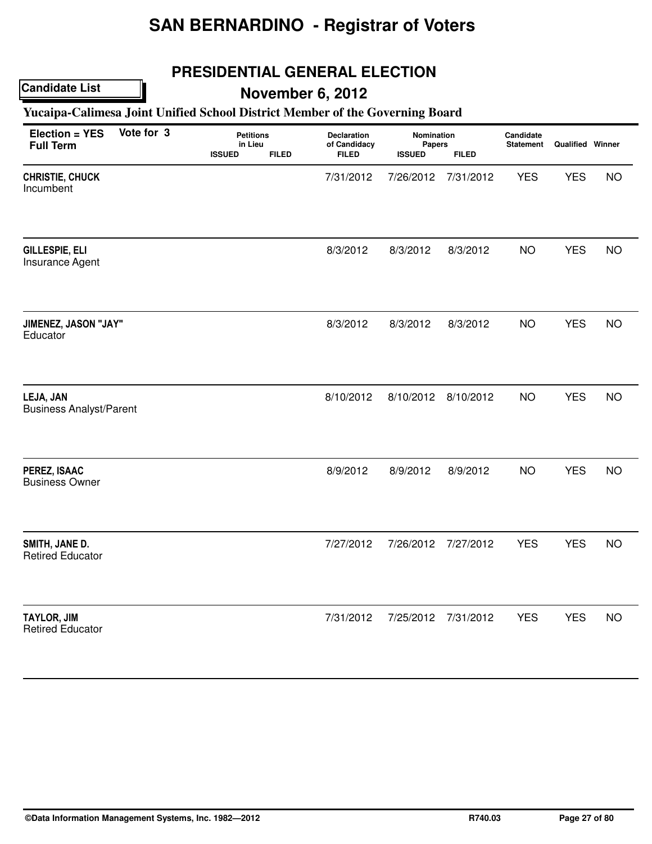## **PRESIDENTIAL GENERAL ELECTION**

### **Candidate List**

## **November 6, 2012**

### **Yucaipa-Calimesa Joint Unified School District Member of the Governing Board**

| Election = YES<br><b>Full Term</b>            | Vote for 3 | <b>Petitions</b><br>in Lieu<br><b>ISSUED</b> | <b>FILED</b> | Declaration<br>of Candidacy<br><b>FILED</b> | Nomination<br>Papers<br><b>ISSUED</b> | <b>FILED</b> | Candidate<br><b>Statement</b> | <b>Qualified Winner</b> |           |
|-----------------------------------------------|------------|----------------------------------------------|--------------|---------------------------------------------|---------------------------------------|--------------|-------------------------------|-------------------------|-----------|
| CHRISTIE, CHUCK<br>Incumbent                  |            |                                              |              | 7/31/2012                                   | 7/26/2012                             | 7/31/2012    | <b>YES</b>                    | <b>YES</b>              | <b>NO</b> |
| GILLESPIE, ELI<br>Insurance Agent             |            |                                              |              | 8/3/2012                                    | 8/3/2012                              | 8/3/2012     | <b>NO</b>                     | <b>YES</b>              | <b>NO</b> |
| JIMENEZ, JASON "JAY"<br>Educator              |            |                                              |              | 8/3/2012                                    | 8/3/2012                              | 8/3/2012     | <b>NO</b>                     | <b>YES</b>              | <b>NO</b> |
| LEJA, JAN<br><b>Business Analyst/Parent</b>   |            |                                              |              | 8/10/2012                                   | 8/10/2012 8/10/2012                   |              | <b>NO</b>                     | <b>YES</b>              | <b>NO</b> |
| PEREZ, ISAAC<br><b>Business Owner</b>         |            |                                              |              | 8/9/2012                                    | 8/9/2012                              | 8/9/2012     | <b>NO</b>                     | <b>YES</b>              | <b>NO</b> |
| SMITH, JANE D.<br><b>Retired Educator</b>     |            |                                              |              | 7/27/2012                                   | 7/26/2012                             | 7/27/2012    | <b>YES</b>                    | <b>YES</b>              | <b>NO</b> |
| <b>TAYLOR, JIM</b><br><b>Retired Educator</b> |            |                                              |              | 7/31/2012                                   | 7/25/2012                             | 7/31/2012    | <b>YES</b>                    | <b>YES</b>              | <b>NO</b> |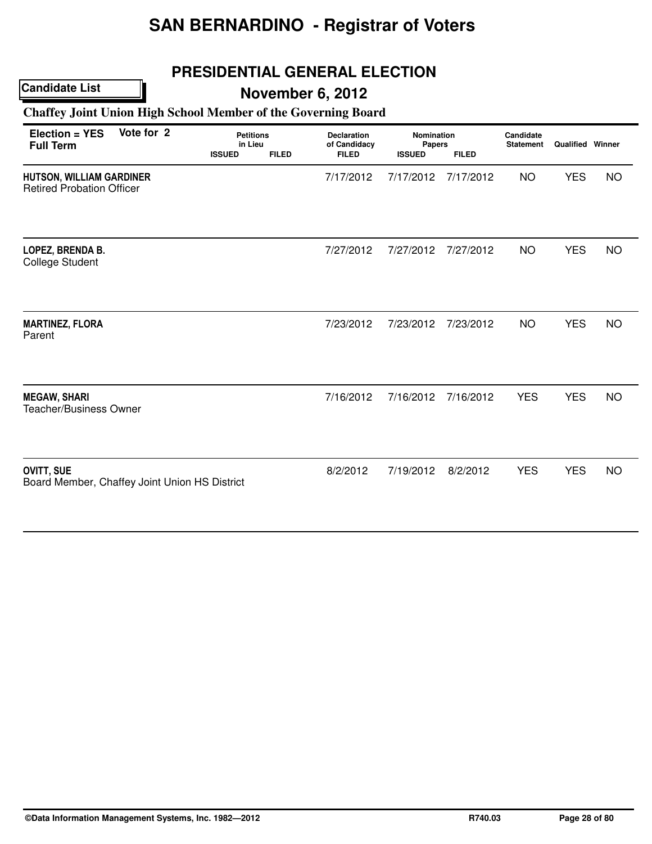## **PRESIDENTIAL GENERAL ELECTION**

## **November 6, 2012**

### **Chaffey Joint Union High School Member of the Governing Board**

| Election = YES<br><b>Full Term</b>                                  | Vote for 2 | <b>Petitions</b><br>in Lieu<br><b>ISSUED</b> | <b>FILED</b> | <b>Declaration</b><br>of Candidacy<br><b>FILED</b> | Nomination<br>Papers<br><b>ISSUED</b> | <b>FILED</b> | Candidate<br><b>Statement</b> | <b>Qualified Winner</b> |           |
|---------------------------------------------------------------------|------------|----------------------------------------------|--------------|----------------------------------------------------|---------------------------------------|--------------|-------------------------------|-------------------------|-----------|
| <b>HUTSON, WILLIAM GARDINER</b><br><b>Retired Probation Officer</b> |            |                                              |              | 7/17/2012                                          | 7/17/2012                             | 7/17/2012    | <b>NO</b>                     | <b>YES</b>              | <b>NO</b> |
| LOPEZ, BRENDA B.<br><b>College Student</b>                          |            |                                              |              | 7/27/2012                                          | 7/27/2012                             | 7/27/2012    | <b>NO</b>                     | <b>YES</b>              | <b>NO</b> |
| <b>MARTINEZ, FLORA</b><br>Parent                                    |            |                                              |              | 7/23/2012                                          | 7/23/2012                             | 7/23/2012    | <b>NO</b>                     | <b>YES</b>              | <b>NO</b> |
| <b>MEGAW, SHARI</b><br><b>Teacher/Business Owner</b>                |            |                                              |              | 7/16/2012                                          | 7/16/2012                             | 7/16/2012    | <b>YES</b>                    | <b>YES</b>              | <b>NO</b> |
| <b>OVITT, SUE</b><br>Board Member, Chaffey Joint Union HS District  |            |                                              |              | 8/2/2012                                           | 7/19/2012                             | 8/2/2012     | <b>YES</b>                    | <b>YES</b>              | <b>NO</b> |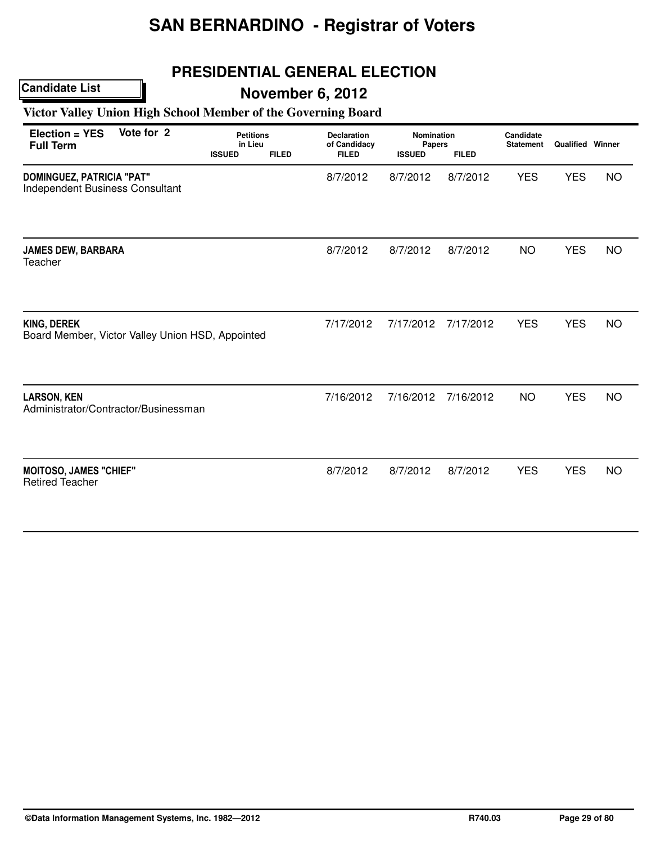## **PRESIDENTIAL GENERAL ELECTION**

## **Candidate List**

## **November 6, 2012**

### **Victor Valley Union High School Member of the Governing Board**

| Vote for 2<br>Election = YES<br><b>Full Term</b>                    |                                                  | <b>Petitions</b><br>in Lieu<br><b>ISSUED</b><br><b>FILED</b> |  | <b>Declaration</b><br>of Candidacy<br><b>FILED</b> | <b>Nomination</b><br>Papers<br><b>ISSUED</b><br><b>FILED</b> |           | Candidate<br><b>Statement</b> | <b>Qualified Winner</b> |           |
|---------------------------------------------------------------------|--------------------------------------------------|--------------------------------------------------------------|--|----------------------------------------------------|--------------------------------------------------------------|-----------|-------------------------------|-------------------------|-----------|
| <b>DOMINGUEZ, PATRICIA "PAT"</b><br>Independent Business Consultant |                                                  |                                                              |  | 8/7/2012                                           | 8/7/2012                                                     | 8/7/2012  | <b>YES</b>                    | <b>YES</b>              | <b>NO</b> |
| <b>JAMES DEW, BARBARA</b><br>Teacher                                |                                                  |                                                              |  | 8/7/2012                                           | 8/7/2012                                                     | 8/7/2012  | <b>NO</b>                     | <b>YES</b>              | <b>NO</b> |
| <b>KING, DEREK</b>                                                  | Board Member, Victor Valley Union HSD, Appointed |                                                              |  | 7/17/2012                                          | 7/17/2012                                                    | 7/17/2012 | <b>YES</b>                    | <b>YES</b>              | <b>NO</b> |
| <b>LARSON, KEN</b><br>Administrator/Contractor/Businessman          |                                                  |                                                              |  | 7/16/2012                                          | 7/16/2012                                                    | 7/16/2012 | <b>NO</b>                     | <b>YES</b>              | <b>NO</b> |
| <b>MOITOSO, JAMES "CHIEF"</b><br><b>Retired Teacher</b>             |                                                  |                                                              |  | 8/7/2012                                           | 8/7/2012                                                     | 8/7/2012  | <b>YES</b>                    | <b>YES</b>              | <b>NO</b> |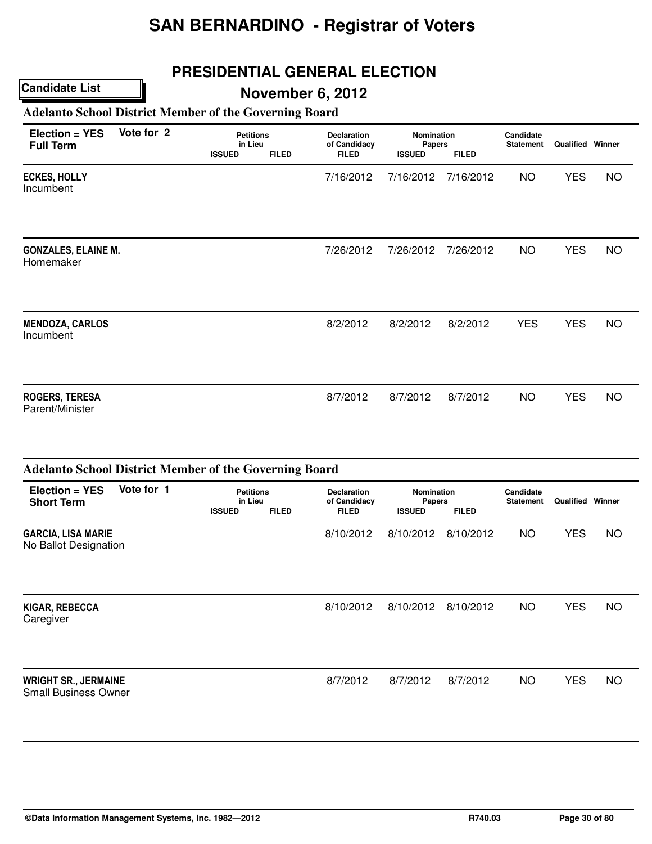## **PRESIDENTIAL GENERAL ELECTION**

## **November 6, 2012**

### **Adelanto School District Member of the Governing Board**

| Election = YES<br><b>Full Term</b>       | Vote for 2 | <b>Petitions</b><br>in Lieu<br><b>ISSUED</b> | <b>FILED</b> | <b>Declaration</b><br>of Candidacy<br><b>FILED</b> | <b>Nomination</b><br>Papers<br><b>ISSUED</b> | <b>FILED</b> | Candidate<br><b>Statement</b> | <b>Qualified Winner</b> |           |  |
|------------------------------------------|------------|----------------------------------------------|--------------|----------------------------------------------------|----------------------------------------------|--------------|-------------------------------|-------------------------|-----------|--|
| <b>ECKES, HOLLY</b><br>Incumbent         |            |                                              |              | 7/16/2012                                          | 7/16/2012                                    | 7/16/2012    | <b>NO</b>                     | <b>YES</b>              | <b>NO</b> |  |
| <b>GONZALES, ELAINE M.</b><br>Homemaker  |            |                                              |              | 7/26/2012                                          | 7/26/2012                                    | 7/26/2012    | <b>NO</b>                     | <b>YES</b>              | <b>NO</b> |  |
| <b>MENDOZA, CARLOS</b><br>Incumbent      |            |                                              |              | 8/2/2012                                           | 8/2/2012                                     | 8/2/2012     | <b>YES</b>                    | <b>YES</b>              | <b>NO</b> |  |
| <b>ROGERS, TERESA</b><br>Parent/Minister |            |                                              |              | 8/7/2012                                           | 8/7/2012                                     | 8/7/2012     | <b>NO</b>                     | <b>YES</b>              | <b>NO</b> |  |

|                                                            | <b>Adelanto School District Member of the Governing Board</b> |                                              |              |                                                    |                                                              |           |                               |                         |    |  |  |  |  |
|------------------------------------------------------------|---------------------------------------------------------------|----------------------------------------------|--------------|----------------------------------------------------|--------------------------------------------------------------|-----------|-------------------------------|-------------------------|----|--|--|--|--|
| $Election = YES$<br><b>Short Term</b>                      | Vote for 1                                                    | <b>Petitions</b><br>in Lieu<br><b>ISSUED</b> | <b>FILED</b> | <b>Declaration</b><br>of Candidacy<br><b>FILED</b> | <b>Nomination</b><br>Papers<br><b>FILED</b><br><b>ISSUED</b> |           | Candidate<br><b>Statement</b> | <b>Qualified Winner</b> |    |  |  |  |  |
| <b>GARCIA, LISA MARIE</b><br>No Ballot Designation         |                                                               |                                              |              | 8/10/2012                                          | 8/10/2012                                                    | 8/10/2012 | <b>NO</b>                     | <b>YES</b>              | NO |  |  |  |  |
| KIGAR, REBECCA<br>Caregiver                                |                                                               |                                              |              | 8/10/2012                                          | 8/10/2012                                                    | 8/10/2012 | NO.                           | <b>YES</b>              | NO |  |  |  |  |
| <b>WRIGHT SR., JERMAINE</b><br><b>Small Business Owner</b> |                                                               |                                              |              | 8/7/2012                                           | 8/7/2012                                                     | 8/7/2012  | NO.                           | <b>YES</b>              | NO |  |  |  |  |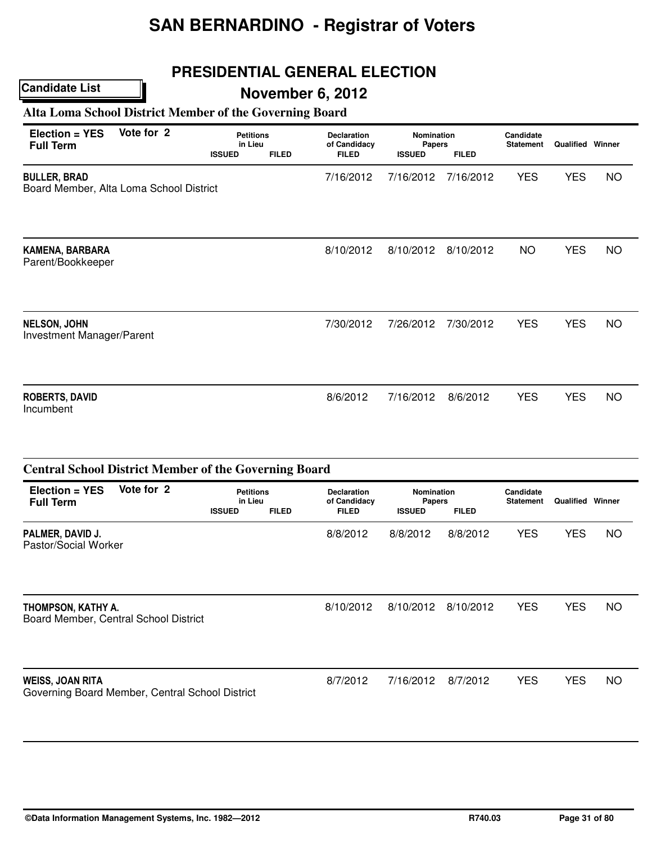## **PRESIDENTIAL GENERAL ELECTION**

## **November 6, 2012**

### **Alta Loma School District Member of the Governing Board**

**Candidate List**

| Election = YES<br><b>Full Term</b>                             | Vote for 2 | <b>Petitions</b><br>in Lieu<br><b>ISSUED</b> | <b>FILED</b> | <b>Declaration</b><br>of Candidacy<br><b>FILED</b> | Nomination<br>Papers<br><b>ISSUED</b> | <b>FILED</b> | Candidate<br><b>Statement</b> | <b>Qualified Winner</b> |           |
|----------------------------------------------------------------|------------|----------------------------------------------|--------------|----------------------------------------------------|---------------------------------------|--------------|-------------------------------|-------------------------|-----------|
| <b>BULLER, BRAD</b><br>Board Member, Alta Loma School District |            |                                              |              | 7/16/2012                                          | 7/16/2012                             | 7/16/2012    | <b>YES</b>                    | <b>YES</b>              | <b>NO</b> |
| KAMENA, BARBARA<br>Parent/Bookkeeper                           |            |                                              |              | 8/10/2012                                          | 8/10/2012                             | 8/10/2012    | <b>NO</b>                     | <b>YES</b>              | NO.       |
| <b>NELSON, JOHN</b><br>Investment Manager/Parent               |            |                                              |              | 7/30/2012                                          | 7/26/2012                             | 7/30/2012    | <b>YES</b>                    | <b>YES</b>              | NO.       |
| <b>ROBERTS, DAVID</b><br>Incumbent                             |            |                                              |              | 8/6/2012                                           | 7/16/2012                             | 8/6/2012     | <b>YES</b>                    | <b>YES</b>              | <b>NO</b> |

|                                                                            | <b>Central School District Member of the Governing Board</b> |                                              |              |                                                    |                                                              |           |                               |                         |     |  |  |  |  |
|----------------------------------------------------------------------------|--------------------------------------------------------------|----------------------------------------------|--------------|----------------------------------------------------|--------------------------------------------------------------|-----------|-------------------------------|-------------------------|-----|--|--|--|--|
| $Election = YES$<br><b>Full Term</b>                                       | Vote for 2                                                   | <b>Petitions</b><br>in Lieu<br><b>ISSUED</b> | <b>FILED</b> | <b>Declaration</b><br>of Candidacy<br><b>FILED</b> | <b>Nomination</b><br>Papers<br><b>FILED</b><br><b>ISSUED</b> |           | Candidate<br><b>Statement</b> | <b>Qualified Winner</b> |     |  |  |  |  |
| PALMER, DAVID J.<br>Pastor/Social Worker                                   |                                                              |                                              |              | 8/8/2012                                           | 8/8/2012                                                     | 8/8/2012  | <b>YES</b>                    | <b>YES</b>              | NO. |  |  |  |  |
| THOMPSON, KATHY A.<br>Board Member, Central School District                |                                                              |                                              |              | 8/10/2012                                          | 8/10/2012                                                    | 8/10/2012 | <b>YES</b>                    | <b>YES</b>              | NO. |  |  |  |  |
| <b>WEISS, JOAN RITA</b><br>Governing Board Member, Central School District |                                                              |                                              |              | 8/7/2012                                           | 7/16/2012                                                    | 8/7/2012  | <b>YES</b>                    | <b>YES</b>              | NO. |  |  |  |  |

#### **©Data Information Management Systems, Inc. 1982—2012 R740.03 Page 31 of 80**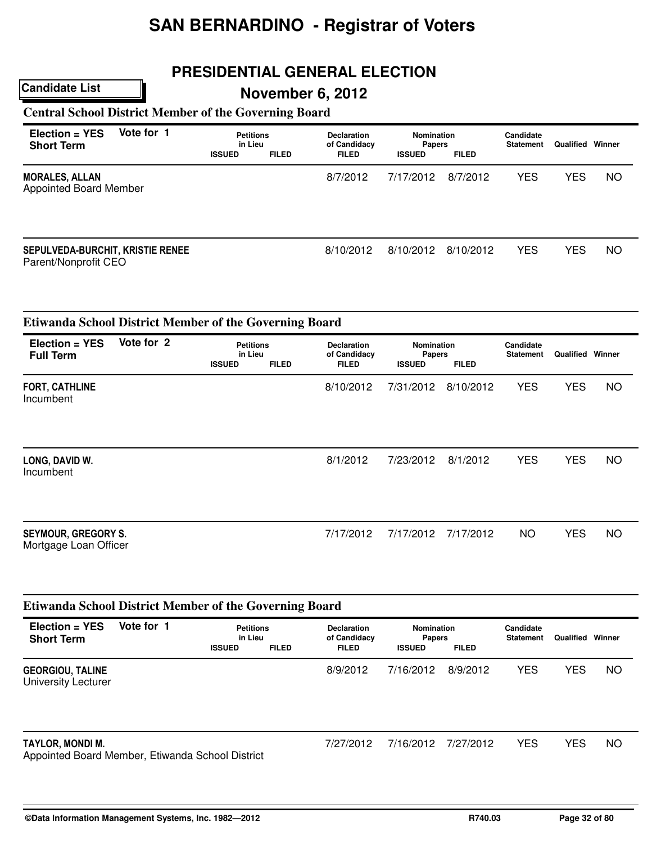## **PRESIDENTIAL GENERAL ELECTION**

## **November 6, 2012**

### **Central School District Member of the Governing Board**

| $Election = YES$<br><b>Short Term</b>                    | Vote for 1 | <b>Petitions</b><br>in Lieu<br><b>ISSUED</b> | <b>FILED</b> | <b>Declaration</b><br>of Candidacy<br><b>FILED</b> | Nomination<br><b>Papers</b><br><b>ISSUED</b> | <b>FILED</b> | Candidate<br><b>Statement</b> | Qualified  | Winner    |
|----------------------------------------------------------|------------|----------------------------------------------|--------------|----------------------------------------------------|----------------------------------------------|--------------|-------------------------------|------------|-----------|
| <b>MORALES, ALLAN</b><br><b>Appointed Board Member</b>   |            |                                              |              | 8/7/2012                                           | 7/17/2012                                    | 8/7/2012     | <b>YES</b>                    | <b>YES</b> | <b>NO</b> |
| SEPULVEDA-BURCHIT, KRISTIE RENEE<br>Parent/Nonprofit CEO |            |                                              |              | 8/10/2012                                          | 8/10/2012                                    | 8/10/2012    | <b>YES</b>                    | <b>YES</b> | <b>NO</b> |

|                                                     | <b>Etiwanda School District Member of the Governing Board</b> |                                              |              |                                                    |                                                              |           |                               |                         |           |  |  |  |  |
|-----------------------------------------------------|---------------------------------------------------------------|----------------------------------------------|--------------|----------------------------------------------------|--------------------------------------------------------------|-----------|-------------------------------|-------------------------|-----------|--|--|--|--|
| Election = YES<br><b>Full Term</b>                  | Vote for 2                                                    | <b>Petitions</b><br>in Lieu<br><b>ISSUED</b> | <b>FILED</b> | <b>Declaration</b><br>of Candidacy<br><b>FILED</b> | <b>Nomination</b><br>Papers<br><b>ISSUED</b><br><b>FILED</b> |           | Candidate<br><b>Statement</b> | <b>Qualified Winner</b> |           |  |  |  |  |
| <b>FORT, CATHLINE</b><br>Incumbent                  |                                                               |                                              |              | 8/10/2012                                          | 7/31/2012                                                    | 8/10/2012 | <b>YES</b>                    | <b>YES</b>              | <b>NO</b> |  |  |  |  |
| LONG, DAVID W.<br>Incumbent                         |                                                               |                                              |              | 8/1/2012                                           | 7/23/2012                                                    | 8/1/2012  | <b>YES</b>                    | <b>YES</b>              | <b>NO</b> |  |  |  |  |
| <b>SEYMOUR, GREGORY S.</b><br>Mortgage Loan Officer |                                                               |                                              |              | 7/17/2012                                          | 7/17/2012                                                    | 7/17/2012 | <b>NO</b>                     | <b>YES</b>              | <b>NO</b> |  |  |  |  |

| <b>Etiwanda School District Member of the Governing Board</b>        |            |                                              |              |                                                    |                                                              |           |                               |            |        |  |  |  |  |
|----------------------------------------------------------------------|------------|----------------------------------------------|--------------|----------------------------------------------------|--------------------------------------------------------------|-----------|-------------------------------|------------|--------|--|--|--|--|
| $Election = YES$<br><b>Short Term</b>                                | Vote for 1 | <b>Petitions</b><br>in Lieu<br><b>ISSUED</b> | <b>FILED</b> | <b>Declaration</b><br>of Candidacy<br><b>FILED</b> | Nomination<br><b>Papers</b><br><b>ISSUED</b><br><b>FILED</b> |           | Candidate<br><b>Statement</b> | Qualified  | Winner |  |  |  |  |
| <b>GEORGIOU, TALINE</b><br><b>University Lecturer</b>                |            |                                              |              | 8/9/2012                                           | 7/16/2012                                                    | 8/9/2012  | <b>YES</b>                    | <b>YES</b> | NO.    |  |  |  |  |
| TAYLOR, MONDI M.<br>Appointed Board Member, Etiwanda School District |            |                                              |              | 7/27/2012                                          | 7/16/2012                                                    | 7/27/2012 | <b>YES</b>                    | <b>YES</b> | NO.    |  |  |  |  |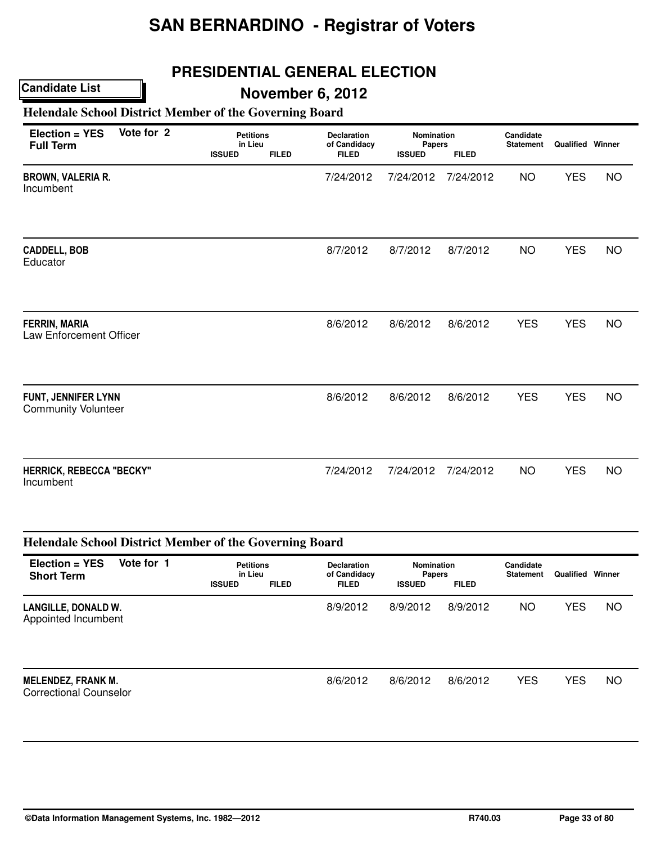## **PRESIDENTIAL GENERAL ELECTION**

## **November 6, 2012**

### **Helendale School District Member of the Governing Board**

| Vote for 2<br>$Election = YES$<br><b>Full Term</b>     |  | <b>ISSUED</b> | <b>Petitions</b><br>in Lieu<br><b>FILED</b> |           | Nomination<br>Papers<br><b>FILED</b><br><b>ISSUED</b> |           | Candidate<br><b>Statement</b> | <b>Qualified Winner</b> |           |
|--------------------------------------------------------|--|---------------|---------------------------------------------|-----------|-------------------------------------------------------|-----------|-------------------------------|-------------------------|-----------|
| <b>BROWN, VALERIA R.</b><br>Incumbent                  |  |               |                                             | 7/24/2012 | 7/24/2012                                             | 7/24/2012 | <b>NO</b>                     | <b>YES</b>              | <b>NO</b> |
| <b>CADDELL, BOB</b><br>Educator                        |  |               |                                             | 8/7/2012  | 8/7/2012                                              | 8/7/2012  | <b>NO</b>                     | <b>YES</b>              | <b>NO</b> |
| <b>FERRIN, MARIA</b><br><b>Law Enforcement Officer</b> |  |               |                                             | 8/6/2012  | 8/6/2012                                              | 8/6/2012  | <b>YES</b>                    | <b>YES</b>              | <b>NO</b> |
| FUNT, JENNIFER LYNN<br><b>Community Volunteer</b>      |  |               |                                             | 8/6/2012  | 8/6/2012                                              | 8/6/2012  | <b>YES</b>                    | <b>YES</b>              | <b>NO</b> |
| <b>HERRICK, REBECCA "BECKY"</b><br>Incumbent           |  |               |                                             | 7/24/2012 | 7/24/2012                                             | 7/24/2012 | <b>NO</b>                     | <b>YES</b>              | <b>NO</b> |

| <b>Helendale School District Member of the Governing Board</b> |            |                                              |              |                                                    |                                                                     |          |                               |            |        |  |  |  |
|----------------------------------------------------------------|------------|----------------------------------------------|--------------|----------------------------------------------------|---------------------------------------------------------------------|----------|-------------------------------|------------|--------|--|--|--|
| Election = YES<br><b>Short Term</b>                            | Vote for 1 | <b>Petitions</b><br>in Lieu<br><b>ISSUED</b> | <b>FILED</b> | <b>Declaration</b><br>of Candidacy<br><b>FILED</b> | <b>Nomination</b><br><b>Papers</b><br><b>FILED</b><br><b>ISSUED</b> |          | Candidate<br><b>Statement</b> | Qualified  | Winner |  |  |  |
| LANGILLE, DONALD W.<br>Appointed Incumbent                     |            |                                              |              | 8/9/2012                                           | 8/9/2012                                                            | 8/9/2012 | <b>NO</b>                     | <b>YES</b> | NO.    |  |  |  |
| <b>MELENDEZ, FRANK M.</b><br><b>Correctional Counselor</b>     |            |                                              |              | 8/6/2012                                           | 8/6/2012                                                            | 8/6/2012 | <b>YES</b>                    | <b>YES</b> | NO.    |  |  |  |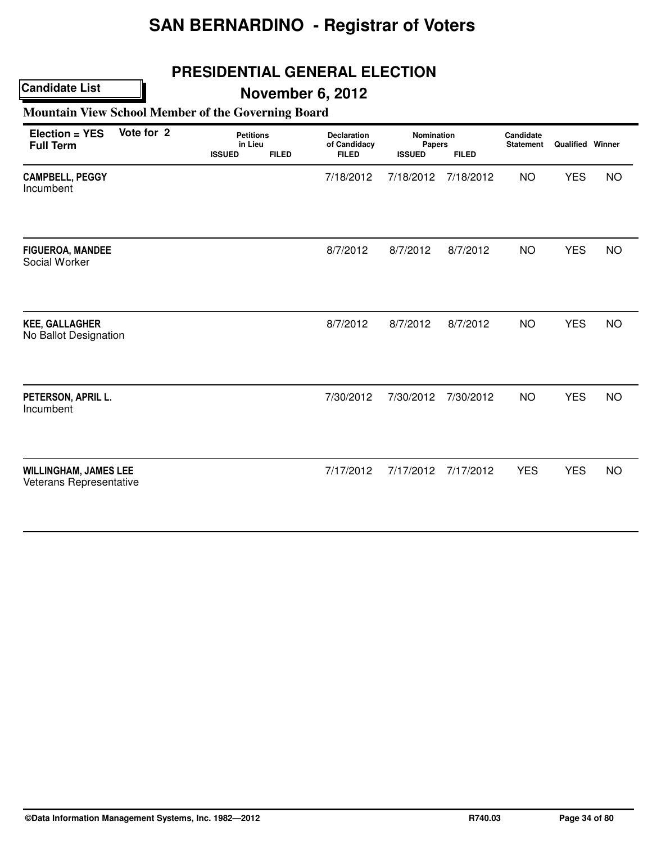## **PRESIDENTIAL GENERAL ELECTION**

## **November 6, 2012**

### **Mountain View School Member of the Governing Board**

| Election = YES<br><b>Full Term</b>                      | Vote for 2 | <b>Petitions</b><br>in Lieu<br><b>ISSUED</b><br><b>FILED</b> |  | <b>Declaration</b><br>of Candidacy<br><b>FILED</b> | Nomination<br>Papers<br><b>ISSUED</b><br><b>FILED</b> |           | Candidate<br><b>Statement</b> | <b>Qualified Winner</b> |           |
|---------------------------------------------------------|------------|--------------------------------------------------------------|--|----------------------------------------------------|-------------------------------------------------------|-----------|-------------------------------|-------------------------|-----------|
| <b>CAMPBELL, PEGGY</b><br>Incumbent                     |            |                                                              |  | 7/18/2012                                          | 7/18/2012                                             | 7/18/2012 | <b>NO</b>                     | <b>YES</b>              | <b>NO</b> |
| <b>FIGUEROA, MANDEE</b><br>Social Worker                |            |                                                              |  | 8/7/2012                                           | 8/7/2012                                              | 8/7/2012  | <b>NO</b>                     | <b>YES</b>              | <b>NO</b> |
| <b>KEE, GALLAGHER</b><br>No Ballot Designation          |            |                                                              |  | 8/7/2012                                           | 8/7/2012                                              | 8/7/2012  | <b>NO</b>                     | <b>YES</b>              | <b>NO</b> |
| PETERSON, APRIL L.<br>Incumbent                         |            |                                                              |  | 7/30/2012                                          | 7/30/2012                                             | 7/30/2012 | <b>NO</b>                     | <b>YES</b>              | <b>NO</b> |
| <b>WILLINGHAM, JAMES LEE</b><br>Veterans Representative |            |                                                              |  | 7/17/2012                                          | 7/17/2012                                             | 7/17/2012 | <b>YES</b>                    | <b>YES</b>              | <b>NO</b> |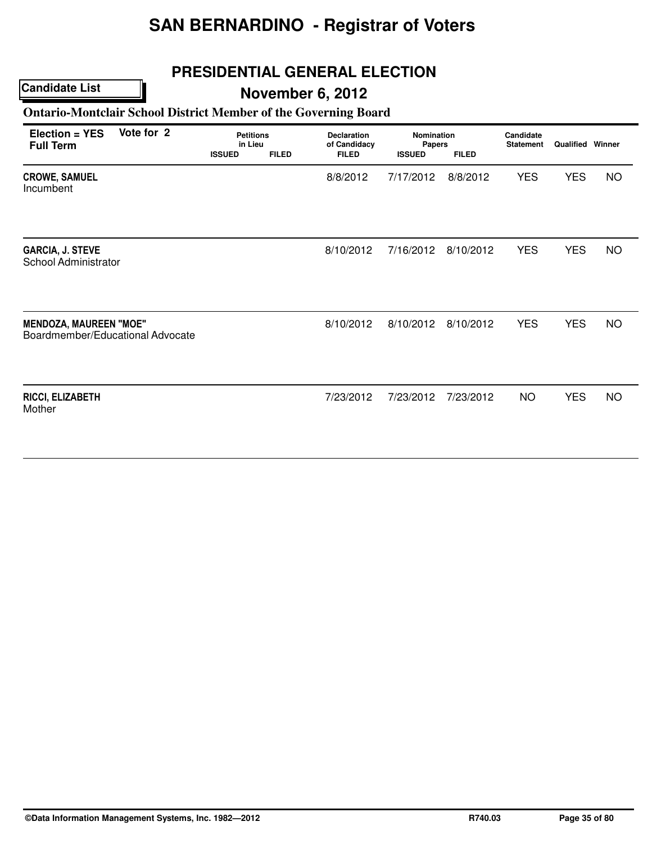## **PRESIDENTIAL GENERAL ELECTION**

### **Candidate List**

## **November 6, 2012**

### **Ontario-Montclair School District Member of the Governing Board**

| Election = YES<br><b>Full Term</b>                                | Vote for 2 | <b>Petitions</b><br>in Lieu<br><b>ISSUED</b> | <b>FILED</b> | <b>Declaration</b><br>of Candidacy<br><b>FILED</b> | <b>Nomination</b><br><b>Papers</b><br><b>ISSUED</b> | <b>FILED</b> | Candidate<br><b>Statement</b> | Qualified Winner |           |
|-------------------------------------------------------------------|------------|----------------------------------------------|--------------|----------------------------------------------------|-----------------------------------------------------|--------------|-------------------------------|------------------|-----------|
| <b>CROWE, SAMUEL</b><br>Incumbent                                 |            |                                              |              | 8/8/2012                                           | 7/17/2012                                           | 8/8/2012     | <b>YES</b>                    | <b>YES</b>       | <b>NO</b> |
| <b>GARCIA, J. STEVE</b><br>School Administrator                   |            |                                              |              | 8/10/2012                                          | 7/16/2012                                           | 8/10/2012    | <b>YES</b>                    | <b>YES</b>       | <b>NO</b> |
| <b>MENDOZA, MAUREEN "MOE"</b><br>Boardmember/Educational Advocate |            |                                              |              | 8/10/2012                                          | 8/10/2012                                           | 8/10/2012    | <b>YES</b>                    | <b>YES</b>       | <b>NO</b> |
| RICCI, ELIZABETH<br>Mother                                        |            |                                              |              | 7/23/2012                                          | 7/23/2012                                           | 7/23/2012    | <b>NO</b>                     | <b>YES</b>       | <b>NO</b> |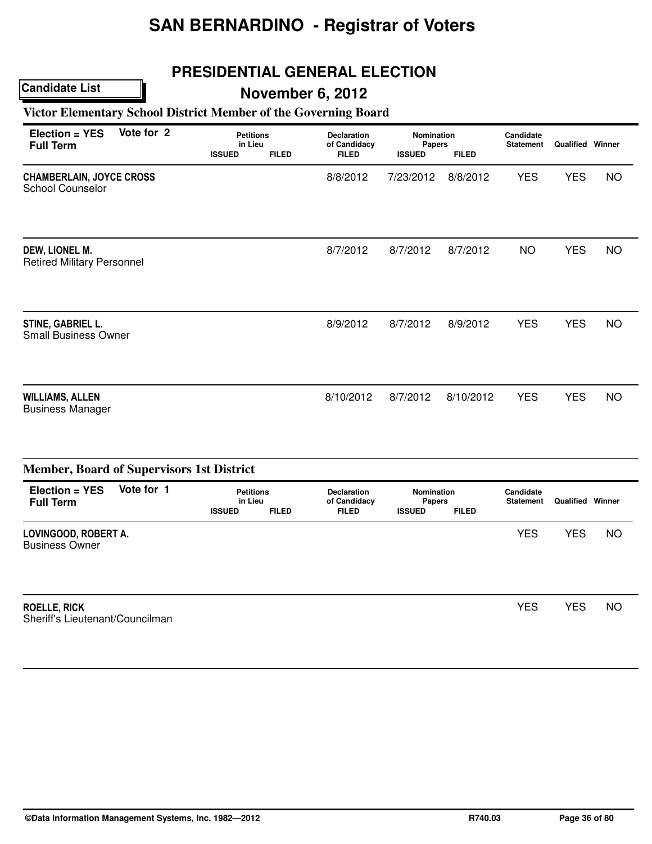## **PRESIDENTIAL GENERAL ELECTION**

### **Candidate List**

## **November 6, 2012**

## **Victor Elementary School District Member of the Governing Board**

| Election = YES<br><b>Full Term</b>                         | Vote for 2 | <b>Petitions</b><br>in Lieu<br><b>ISSUED</b> | <b>FILED</b> | <b>Declaration</b><br>of Candidacy<br><b>FILED</b> | <b>Nomination</b><br>Papers<br><b>ISSUED</b> | <b>FILED</b> | Candidate<br><b>Statement</b> | Qualified Winner |           |  |
|------------------------------------------------------------|------------|----------------------------------------------|--------------|----------------------------------------------------|----------------------------------------------|--------------|-------------------------------|------------------|-----------|--|
| <b>CHAMBERLAIN, JOYCE CROSS</b><br><b>School Counselor</b> |            |                                              |              | 8/8/2012                                           | 7/23/2012                                    | 8/8/2012     | <b>YES</b>                    | <b>YES</b>       | <b>NO</b> |  |
| DEW, LIONEL M.<br><b>Retired Military Personnel</b>        |            |                                              |              | 8/7/2012                                           | 8/7/2012                                     | 8/7/2012     | <b>NO</b>                     | <b>YES</b>       | <b>NO</b> |  |
| STINE, GABRIEL L.<br><b>Small Business Owner</b>           |            |                                              |              | 8/9/2012                                           | 8/7/2012                                     | 8/9/2012     | <b>YES</b>                    | <b>YES</b>       | <b>NO</b> |  |
| <b>WILLIAMS, ALLEN</b><br><b>Business Manager</b>          |            |                                              |              | 8/10/2012                                          | 8/7/2012                                     | 8/10/2012    | <b>YES</b>                    | <b>YES</b>       | <b>NO</b> |  |

|                                                        | <b>Member, Board of Supervisors 1st District</b> |                             |              |                                    |                             |              |                               |            |           |
|--------------------------------------------------------|--------------------------------------------------|-----------------------------|--------------|------------------------------------|-----------------------------|--------------|-------------------------------|------------|-----------|
| Election = YES<br><b>Full Term</b>                     | Vote for 1                                       | <b>Petitions</b><br>in Lieu |              | <b>Declaration</b><br>of Candidacy | Nomination<br><b>Papers</b> |              | Candidate<br><b>Statement</b> | Qualified  | Winner    |
|                                                        |                                                  | <b>ISSUED</b>               | <b>FILED</b> | <b>FILED</b>                       | <b>ISSUED</b>               | <b>FILED</b> |                               |            |           |
| LOVINGOOD, ROBERT A.<br><b>Business Owner</b>          |                                                  |                             |              |                                    |                             |              | <b>YES</b>                    | <b>YES</b> | NO        |
| <b>ROELLE, RICK</b><br>Sheriff's Lieutenant/Councilman |                                                  |                             |              |                                    |                             |              | <b>YES</b>                    | <b>YES</b> | <b>NO</b> |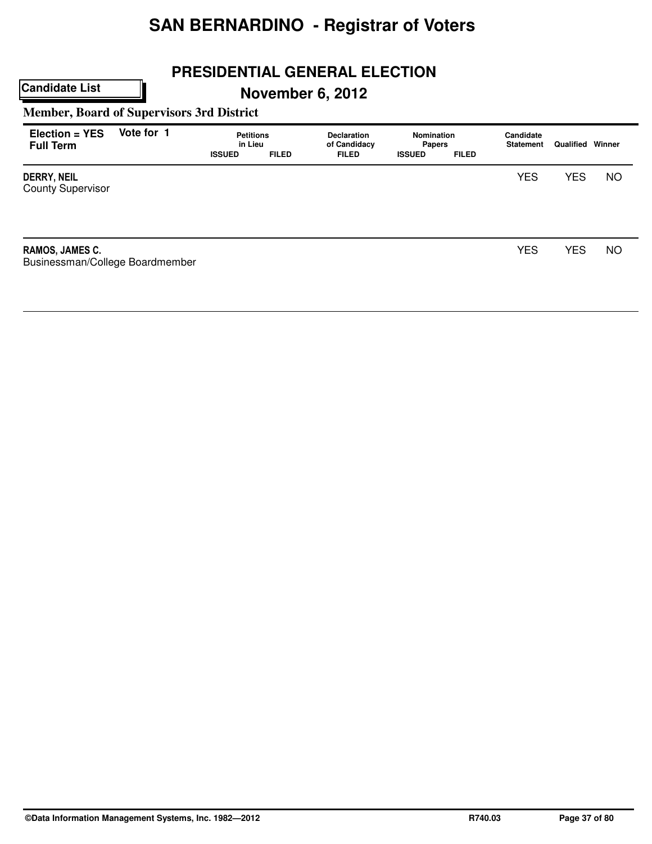# **PRESIDENTIAL GENERAL ELECTION**

**November 6, 2012**

**Member, Board of Supervisors 3rd District**

**Candidate List**

| Election = YES<br><b>Full Term</b>                 | Vote for 1 | <b>Petitions</b><br>in Lieu<br><b>ISSUED</b> | <b>FILED</b> | <b>Declaration</b><br>of Candidacy<br><b>FILED</b> | <b>Nomination</b><br><b>Papers</b><br><b>ISSUED</b> | <b>FILED</b> | Candidate<br><b>Statement</b> | Qualified  | Winner    |
|----------------------------------------------------|------------|----------------------------------------------|--------------|----------------------------------------------------|-----------------------------------------------------|--------------|-------------------------------|------------|-----------|
| <b>DERRY, NEIL</b><br><b>County Supervisor</b>     |            |                                              |              |                                                    |                                                     |              | <b>YES</b>                    | <b>YES</b> | <b>NO</b> |
| RAMOS, JAMES C.<br>Businessman/College Boardmember |            |                                              |              |                                                    |                                                     |              | <b>YES</b>                    | <b>YES</b> | <b>NO</b> |

**©Data Information Management Systems, Inc. 1982—2012 R740.03 Page 37 of 80**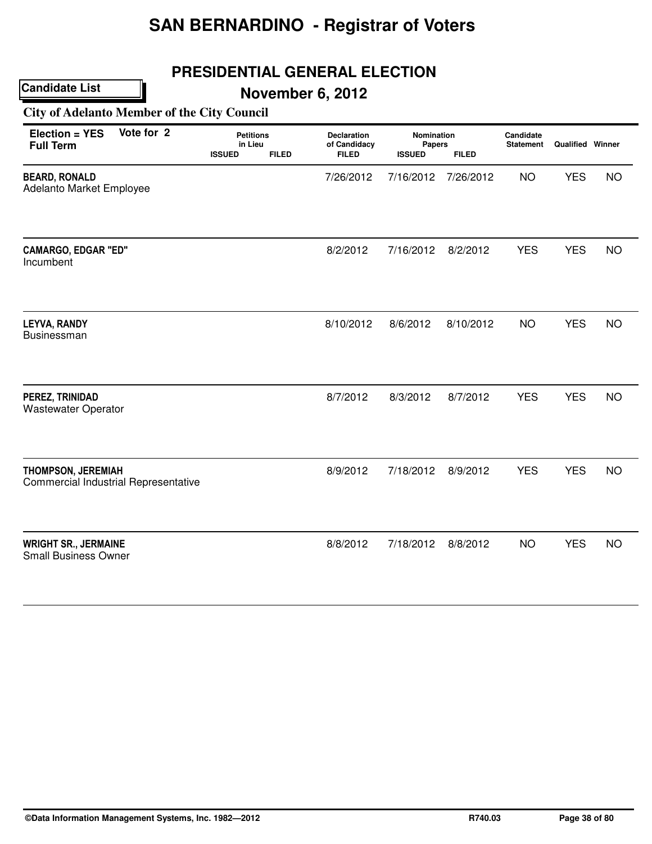## **PRESIDENTIAL GENERAL ELECTION**

**November 6, 2012**

**City of Adelanto Member of the City Council**

| Election = YES<br><b>Full Term</b>                                       | Vote for 2 | <b>Petitions</b><br>in Lieu<br><b>ISSUED</b> | <b>FILED</b> | <b>Declaration</b><br>of Candidacy<br><b>FILED</b> | Nomination<br>Papers<br><b>ISSUED</b> | <b>FILED</b> | Candidate<br><b>Statement</b> | Qualified Winner |           |
|--------------------------------------------------------------------------|------------|----------------------------------------------|--------------|----------------------------------------------------|---------------------------------------|--------------|-------------------------------|------------------|-----------|
| <b>BEARD, RONALD</b><br>Adelanto Market Employee                         |            |                                              |              | 7/26/2012                                          | 7/16/2012                             | 7/26/2012    | <b>NO</b>                     | <b>YES</b>       | <b>NO</b> |
| <b>CAMARGO, EDGAR "ED"</b><br>Incumbent                                  |            |                                              |              | 8/2/2012                                           | 7/16/2012                             | 8/2/2012     | <b>YES</b>                    | <b>YES</b>       | NO        |
| <b>LEYVA, RANDY</b><br>Businessman                                       |            |                                              |              | 8/10/2012                                          | 8/6/2012                              | 8/10/2012    | <b>NO</b>                     | <b>YES</b>       | <b>NO</b> |
| PEREZ, TRINIDAD<br><b>Wastewater Operator</b>                            |            |                                              |              | 8/7/2012                                           | 8/3/2012                              | 8/7/2012     | <b>YES</b>                    | <b>YES</b>       | <b>NO</b> |
| <b>THOMPSON, JEREMIAH</b><br><b>Commercial Industrial Representative</b> |            |                                              |              | 8/9/2012                                           | 7/18/2012                             | 8/9/2012     | <b>YES</b>                    | <b>YES</b>       | <b>NO</b> |
| <b>WRIGHT SR., JERMAINE</b><br><b>Small Business Owner</b>               |            |                                              |              | 8/8/2012                                           | 7/18/2012                             | 8/8/2012     | <b>NO</b>                     | <b>YES</b>       | <b>NO</b> |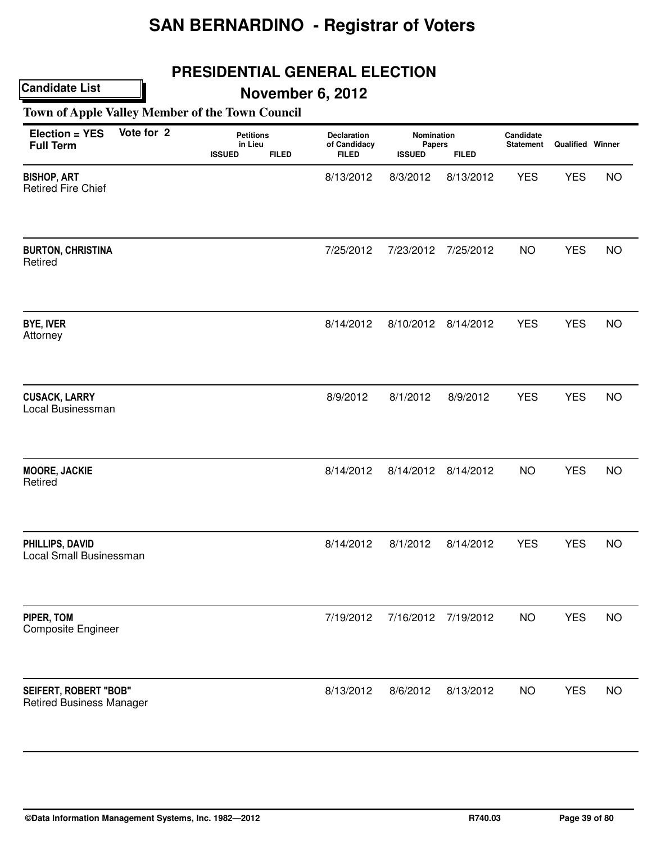## **PRESIDENTIAL GENERAL ELECTION**

## **November 6, 2012**

**Town of Apple Valley Member of the Town Council**

| Election = YES<br><b>Full Term</b>                              | Vote for 2 | <b>Petitions</b><br>in Lieu<br><b>ISSUED</b><br><b>FILED</b> | Declaration<br>of Candidacy<br><b>FILED</b> | Nomination<br>Papers<br><b>ISSUED</b> | <b>FILED</b>        | Candidate<br><b>Statement</b> | <b>Qualified Winner</b> |           |
|-----------------------------------------------------------------|------------|--------------------------------------------------------------|---------------------------------------------|---------------------------------------|---------------------|-------------------------------|-------------------------|-----------|
| <b>BISHOP, ART</b><br><b>Retired Fire Chief</b>                 |            |                                                              | 8/13/2012                                   | 8/3/2012                              | 8/13/2012           | <b>YES</b>                    | <b>YES</b>              | <b>NO</b> |
| <b>BURTON, CHRISTINA</b><br>Retired                             |            |                                                              | 7/25/2012                                   | 7/23/2012                             | 7/25/2012           | <b>NO</b>                     | <b>YES</b>              | <b>NO</b> |
| <b>BYE, IVER</b><br>Attorney                                    |            |                                                              | 8/14/2012                                   |                                       | 8/10/2012 8/14/2012 | <b>YES</b>                    | <b>YES</b>              | <b>NO</b> |
| <b>CUSACK, LARRY</b><br>Local Businessman                       |            |                                                              | 8/9/2012                                    | 8/1/2012                              | 8/9/2012            | <b>YES</b>                    | <b>YES</b>              | <b>NO</b> |
| <b>MOORE, JACKIE</b><br>Retired                                 |            |                                                              | 8/14/2012                                   | 8/14/2012                             | 8/14/2012           | <b>NO</b>                     | <b>YES</b>              | <b>NO</b> |
| PHILLIPS, DAVID<br>Local Small Businessman                      |            |                                                              | 8/14/2012                                   | 8/1/2012                              | 8/14/2012           | <b>YES</b>                    | <b>YES</b>              | <b>NO</b> |
| PIPER, TOM<br><b>Composite Engineer</b>                         |            |                                                              | 7/19/2012                                   | 7/16/2012                             | 7/19/2012           | <b>NO</b>                     | <b>YES</b>              | <b>NO</b> |
| <b>SEIFERT, ROBERT "BOB"</b><br><b>Retired Business Manager</b> |            |                                                              | 8/13/2012                                   | 8/6/2012                              | 8/13/2012           | <b>NO</b>                     | <b>YES</b>              | <b>NO</b> |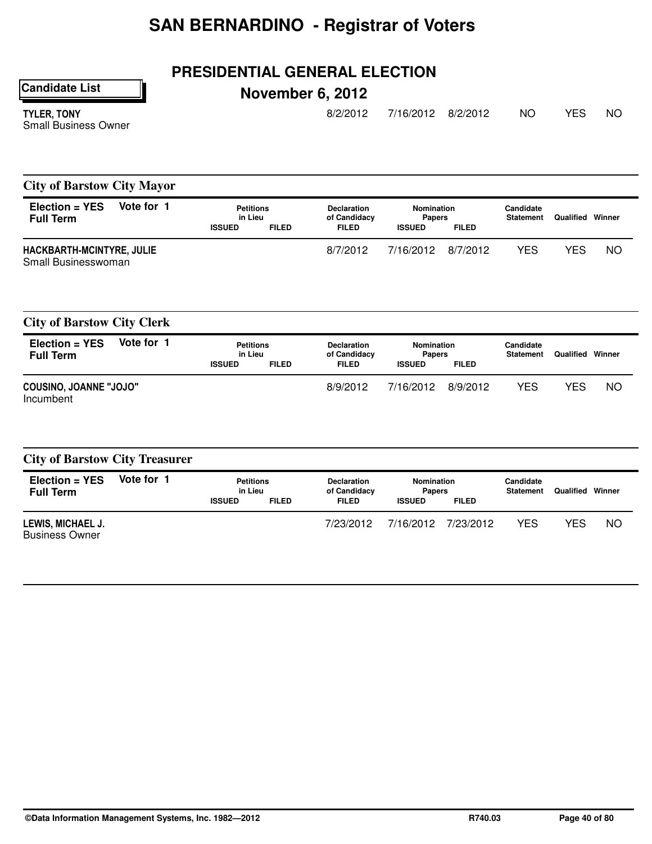## **PRESIDENTIAL GENERAL ELECTION**

**Candidate List**

# **November 6, 2012**

TYLER, TONY Small Business Owner 8/2/2012 7/16/2012 8/2/2012 NO YES NO

### **City of Barstow City Mayor**

| Vote for 1<br>$Election = YES$<br><b>Full Term</b> |  |               | <b>Petitions</b><br><b>Declaration</b><br>in Lieu<br>of Candidacy |              | Nomination<br><b>Papers</b> |              | Candidate<br><b>Statement</b> | Qualified | Winner |
|----------------------------------------------------|--|---------------|-------------------------------------------------------------------|--------------|-----------------------------|--------------|-------------------------------|-----------|--------|
|                                                    |  | <b>ISSUED</b> | <b>FILED</b>                                                      | <b>FILED</b> | <b>ISSUED</b>               | <b>FILED</b> |                               |           |        |
| HACKBARTH-MCINTYRE, JULIE<br>Small Businesswoman   |  |               |                                                                   | 8/7/2012     | 7/16/2012                   | 8/7/2012     | YES                           | YES       | ΝO     |

|  |  | <b>City of Barstow City Clerk</b> |  |  |
|--|--|-----------------------------------|--|--|
|--|--|-----------------------------------|--|--|

| $Election = YES$<br><b>Full Term</b>       | Vote for 1 | <b>Petitions</b><br>in Lieu<br><b>ISSUED</b> | <b>FILED</b> | <b>Declaration</b><br>of Candidacy<br><b>FILED</b> | Nomination<br><b>Papers</b><br><b>ISSUED</b> | <b>FILED</b> | Candidate<br><b>Statement</b> | Qualified | Winner |
|--------------------------------------------|------------|----------------------------------------------|--------------|----------------------------------------------------|----------------------------------------------|--------------|-------------------------------|-----------|--------|
| <b>COUSINO, JOANNE "JOJO"</b><br>Incumbent |            |                                              |              | 8/9/2012                                           | 7/16/2012                                    | 8/9/2012     | YES                           | YES       | NO     |

#### **City of Barstow City Treasurer**

| $Election = YES$<br><b>Full Term</b>       | Vote for 1 | Petitions<br>in Lieu |              | <b>Declaration</b><br>of Candidacy | Nomination<br><b>Papers</b> |              | Candidate<br><b>Statement</b> | Qualified | Winner |
|--------------------------------------------|------------|----------------------|--------------|------------------------------------|-----------------------------|--------------|-------------------------------|-----------|--------|
|                                            |            | <b>ISSUED</b>        | <b>FILED</b> | <b>FILED</b>                       | <b>ISSUED</b>               | <b>FILED</b> |                               |           |        |
| LEWIS, MICHAEL J.<br><b>Business Owner</b> |            |                      |              | 7/23/2012                          | 7/16/2012                   | 7/23/2012    | YES                           | YES       | ΝO     |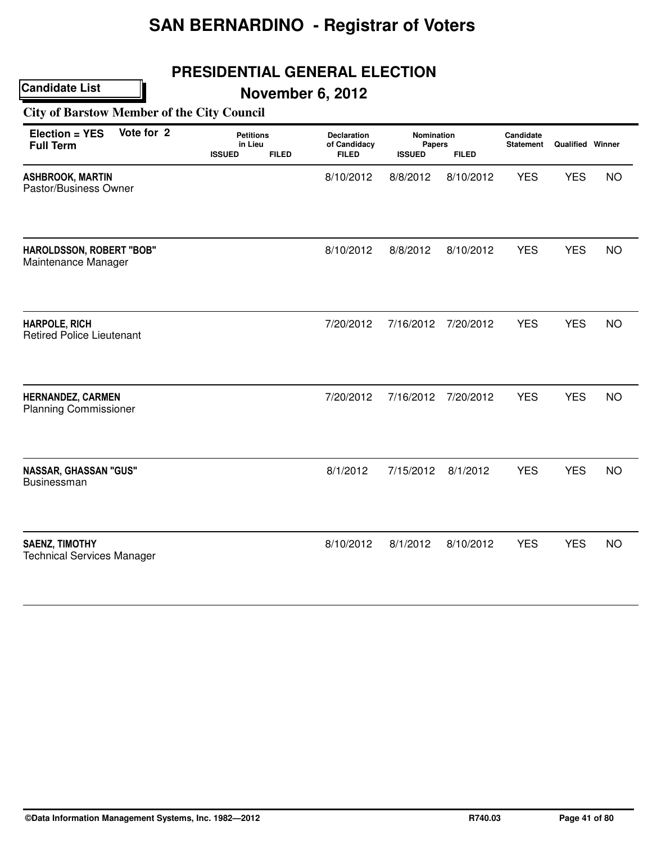## **PRESIDENTIAL GENERAL ELECTION**

**November 6, 2012**

**City of Barstow Member of the City Council**

| Vote for 2<br>Election = YES<br><b>Full Term</b>           | <b>Petitions</b><br>in Lieu<br><b>ISSUED</b><br><b>FILED</b> | <b>Declaration</b><br>of Candidacy<br><b>FILED</b> | Nomination<br>Papers<br><b>ISSUED</b> | <b>FILED</b> | Candidate<br><b>Statement</b> | <b>Qualified Winner</b> |           |
|------------------------------------------------------------|--------------------------------------------------------------|----------------------------------------------------|---------------------------------------|--------------|-------------------------------|-------------------------|-----------|
| <b>ASHBROOK, MARTIN</b><br>Pastor/Business Owner           |                                                              | 8/10/2012                                          | 8/8/2012                              | 8/10/2012    | <b>YES</b>                    | <b>YES</b>              | <b>NO</b> |
| HAROLDSSON, ROBERT "BOB"<br>Maintenance Manager            |                                                              | 8/10/2012                                          | 8/8/2012                              | 8/10/2012    | <b>YES</b>                    | <b>YES</b>              | <b>NO</b> |
| <b>HARPOLE, RICH</b><br><b>Retired Police Lieutenant</b>   |                                                              | 7/20/2012                                          | 7/16/2012                             | 7/20/2012    | <b>YES</b>                    | <b>YES</b>              | <b>NO</b> |
| <b>HERNANDEZ, CARMEN</b><br><b>Planning Commissioner</b>   |                                                              | 7/20/2012                                          | 7/16/2012                             | 7/20/2012    | <b>YES</b>                    | <b>YES</b>              | <b>NO</b> |
| <b>NASSAR, GHASSAN "GUS"</b><br><b>Businessman</b>         |                                                              | 8/1/2012                                           | 7/15/2012                             | 8/1/2012     | <b>YES</b>                    | <b>YES</b>              | <b>NO</b> |
| <b>SAENZ, TIMOTHY</b><br><b>Technical Services Manager</b> |                                                              | 8/10/2012                                          | 8/1/2012                              | 8/10/2012    | <b>YES</b>                    | <b>YES</b>              | <b>NO</b> |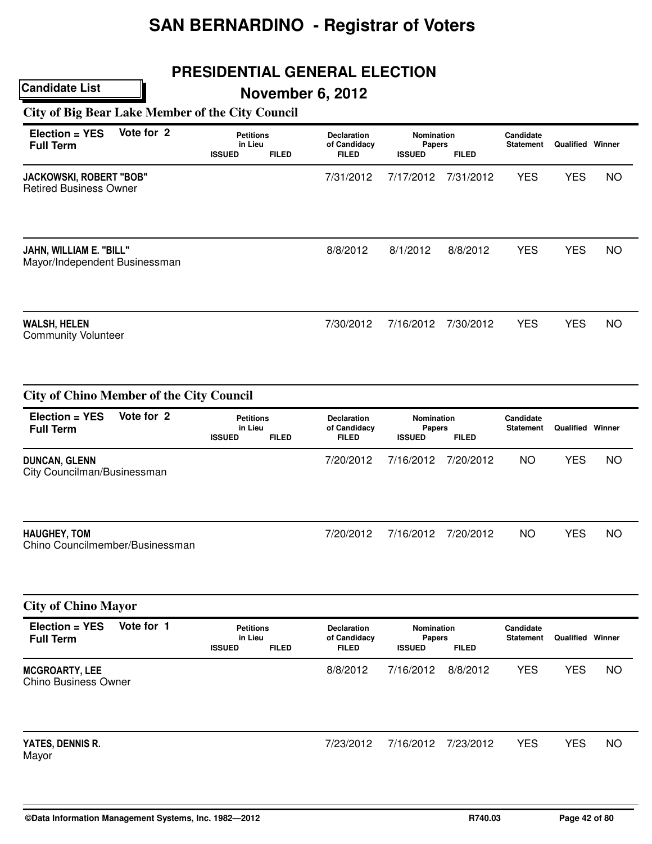## **PRESIDENTIAL GENERAL ELECTION**

## **November 6, 2012**

**City of Big Bear Lake Member of the City Council**

**Candidate List**

City Councilman/Businessman

| Election = YES<br><b>Full Term</b>                                | Vote for 2 | <b>Petitions</b><br>in Lieu<br><b>ISSUED</b> | <b>FILED</b> | <b>Declaration</b><br>of Candidacy<br><b>FILED</b> | <b>Nomination</b><br>Papers<br><b>ISSUED</b> | <b>FILED</b>              | Candidate<br><b>Statement</b> | <b>Qualified Winner</b>               |           |
|-------------------------------------------------------------------|------------|----------------------------------------------|--------------|----------------------------------------------------|----------------------------------------------|---------------------------|-------------------------------|---------------------------------------|-----------|
| <b>JACKOWSKI, ROBERT "BOB"</b><br><b>Retired Business Owner</b>   |            |                                              |              | 7/31/2012                                          | 7/17/2012                                    | 7/31/2012                 | <b>YES</b>                    | <b>YES</b>                            | <b>NO</b> |
| JAHN, WILLIAM E. "BILL"<br>Mayor/Independent Businessman          |            |                                              |              | 8/8/2012                                           | 8/1/2012                                     | 8/8/2012                  | <b>YES</b>                    | <b>YES</b>                            | NO        |
| <b>WALSH, HELEN</b><br><b>Community Volunteer</b>                 |            |                                              |              | 7/30/2012                                          | 7/16/2012                                    | 7/30/2012                 | <b>YES</b>                    | <b>YES</b>                            | <b>NO</b> |
| <b>City of Chino Member of the City Council</b><br>Election = YES | Vote for 2 | <b>Petitions</b>                             |              | <b>Declaration</b>                                 | <b>Nomination</b>                            |                           | Candidate                     |                                       |           |
| <b>Full Term</b><br><b>DUNCAN, GLENN</b>                          |            | in Lieu<br><b>ISSUED</b>                     | <b>FILED</b> | of Candidacy<br><b>FILED</b><br>7/20/2012          | <b>Papers</b><br><b>ISSUED</b><br>7/16/2012  | <b>FILED</b><br>7/20/2012 | <b>Statement</b><br><b>NO</b> | <b>Qualified Winner</b><br><b>YES</b> | <b>NO</b> |

| <b>HAUGHEY, TOM</b>             | 7/20/2012 | 7/16/2012 | 7/20/2012 | NC | VEC  | <b>NC</b> |
|---------------------------------|-----------|-----------|-----------|----|------|-----------|
|                                 |           |           |           |    | ن با |           |
| Chino Councilmember/Businessman |           |           |           |    |      |           |
|                                 |           |           |           |    |      |           |

|                                               | <b>City of Chino Mayor</b> |                                              |              |                                                    |                                       |              |                               |                         |           |  |  |  |
|-----------------------------------------------|----------------------------|----------------------------------------------|--------------|----------------------------------------------------|---------------------------------------|--------------|-------------------------------|-------------------------|-----------|--|--|--|
| $Election = YES$<br><b>Full Term</b>          | Vote for 1                 | <b>Petitions</b><br>in Lieu<br><b>ISSUED</b> | <b>FILED</b> | <b>Declaration</b><br>of Candidacy<br><b>FILED</b> | Nomination<br>Papers<br><b>ISSUED</b> | <b>FILED</b> | Candidate<br><b>Statement</b> | <b>Qualified Winner</b> |           |  |  |  |
| <b>MCGROARTY, LEE</b><br>Chino Business Owner |                            |                                              |              | 8/8/2012                                           | 7/16/2012                             | 8/8/2012     | <b>YES</b>                    | <b>YES</b>              | <b>NO</b> |  |  |  |
| YATES, DENNIS R.<br>Mayor                     |                            |                                              |              | 7/23/2012                                          | 7/16/2012                             | 7/23/2012    | <b>YES</b>                    | <b>YES</b>              | <b>NO</b> |  |  |  |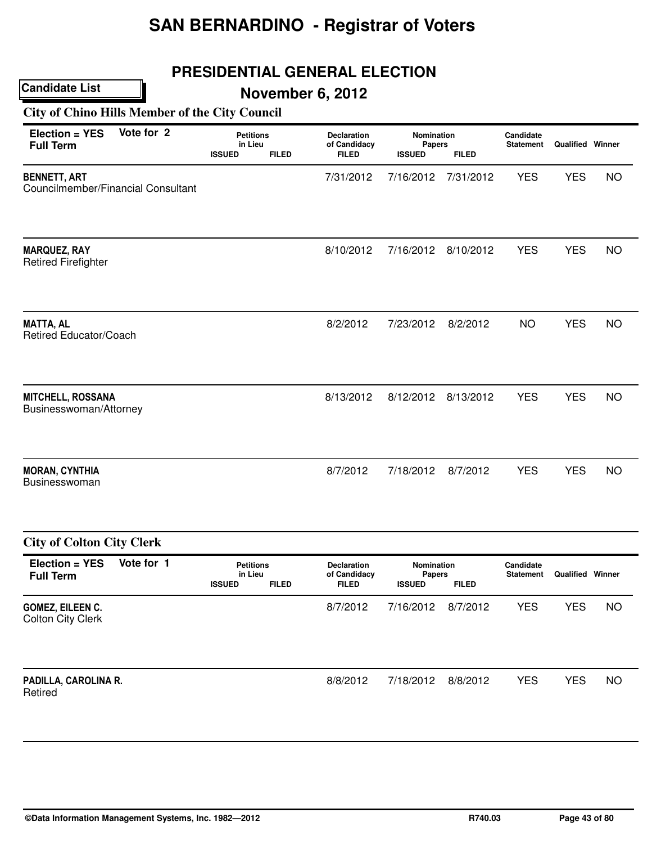## **PRESIDENTIAL GENERAL ELECTION**

# **November 6, 2012**

**City of Chino Hills Member of the City Council**

| Vote for 2<br>Election = YES<br><b>Full Term</b>          | <b>Petitions</b><br>in Lieu<br><b>ISSUED</b><br><b>FILED</b> | <b>Declaration</b><br>of Candidacy<br><b>FILED</b> | Nomination<br><b>Papers</b><br><b>ISSUED</b> | <b>FILED</b> | Candidate<br><b>Statement</b> | <b>Qualified Winner</b> |           |
|-----------------------------------------------------------|--------------------------------------------------------------|----------------------------------------------------|----------------------------------------------|--------------|-------------------------------|-------------------------|-----------|
| <b>BENNETT, ART</b><br>Councilmember/Financial Consultant |                                                              | 7/31/2012                                          | 7/16/2012                                    | 7/31/2012    | <b>YES</b>                    | <b>YES</b>              | <b>NO</b> |
| <b>MARQUEZ, RAY</b><br><b>Retired Firefighter</b>         |                                                              | 8/10/2012                                          | 7/16/2012                                    | 8/10/2012    | <b>YES</b>                    | <b>YES</b>              | <b>NO</b> |
| <b>MATTA, AL</b><br>Retired Educator/Coach                |                                                              | 8/2/2012                                           | 7/23/2012                                    | 8/2/2012     | <b>NO</b>                     | <b>YES</b>              | <b>NO</b> |
| <b>MITCHELL, ROSSANA</b><br>Businesswoman/Attorney        |                                                              | 8/13/2012                                          | 8/12/2012                                    | 8/13/2012    | <b>YES</b>                    | <b>YES</b>              | <b>NO</b> |
| <b>MORAN, CYNTHIA</b><br>Businesswoman                    |                                                              | 8/7/2012                                           | 7/18/2012                                    | 8/7/2012     | <b>YES</b>                    | <b>YES</b>              | <b>NO</b> |
| <b>City of Colton City Clerk</b>                          |                                                              |                                                    |                                              |              |                               |                         |           |
| Vote for 1<br>Election = YES<br><b>Full Term</b>          | <b>Petitions</b><br>in Lieu<br><b>ISSUED</b><br><b>FILED</b> | Declaration<br>of Candidacy<br><b>FILED</b>        | Nomination<br><b>Papers</b><br><b>ISSUED</b> | <b>FILED</b> | Candidate<br><b>Statement</b> | <b>Qualified Winner</b> |           |
| GOMEZ, EILEEN C.<br><b>Colton City Clerk</b>              |                                                              | 8/7/2012                                           | 7/16/2012                                    | 8/7/2012     | <b>YES</b>                    | <b>YES</b>              | <b>NO</b> |
| PADILLA, CAROLINA R.<br>Retired                           |                                                              | 8/8/2012                                           | 7/18/2012                                    | 8/8/2012     | <b>YES</b>                    | <b>YES</b>              | <b>NO</b> |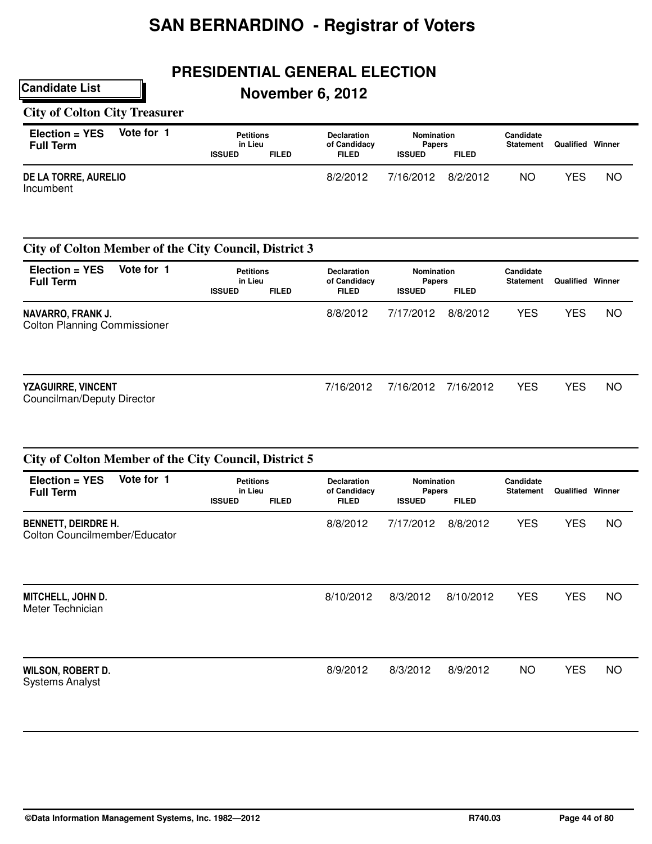## **PRESIDENTIAL GENERAL ELECTION**

## **November 6, 2012**

#### **City of Colton City Treasurer**

**Candidate List**

| Election = YES<br><b>Full Term</b> | Vote for 1 | <b>Petitions</b><br>in Lieu |              | <b>Declaration</b><br>of Candidacy | <b>Nomination</b><br><b>Papers</b> |              | Candidate<br><b>Statement</b> | Qualified | Winner |
|------------------------------------|------------|-----------------------------|--------------|------------------------------------|------------------------------------|--------------|-------------------------------|-----------|--------|
|                                    |            | <b>ISSUED</b>               | <b>FILED</b> | <b>FILED</b>                       | <b>ISSUED</b>                      | <b>FILED</b> |                               |           |        |
| DE LA TORRE, AURELIO<br>Incumbent  |            |                             |              | 8/2/2012                           | 7/16/2012                          | 8/2/2012     | ΝO                            | YES       | ΝC     |

#### **City of Colton Member of the City Council, District 3**

| Vote for 1<br>Election = YES<br><b>Full Term</b>         | <b>Petitions</b><br>in Lieu<br><b>ISSUED</b> | <b>FILED</b> | <b>Declaration</b><br>of Candidacy<br><b>FILED</b> | <b>Nomination</b><br><b>Papers</b><br><b>ISSUED</b> | <b>FILED</b> | Candidate<br><b>Statement</b> | Qualified  | Winner    |
|----------------------------------------------------------|----------------------------------------------|--------------|----------------------------------------------------|-----------------------------------------------------|--------------|-------------------------------|------------|-----------|
| NAVARRO, FRANK J.<br><b>Colton Planning Commissioner</b> |                                              |              | 8/8/2012                                           | 7/17/2012                                           | 8/8/2012     | <b>YES</b>                    | <b>YES</b> | <b>NO</b> |
| <b>YZAGUIRRE, VINCENT</b><br>Councilman/Deputy Director  |                                              |              | 7/16/2012                                          | 7/16/2012                                           | 7/16/2012    | YES                           | YES        | <b>NO</b> |

| City of Colton Member of the City Council, District 5       |            |                                              |              |                                                    |                                                     |              |                               |                         |           |  |
|-------------------------------------------------------------|------------|----------------------------------------------|--------------|----------------------------------------------------|-----------------------------------------------------|--------------|-------------------------------|-------------------------|-----------|--|
| Election = YES<br><b>Full Term</b>                          | Vote for 1 | <b>Petitions</b><br>in Lieu<br><b>ISSUED</b> | <b>FILED</b> | <b>Declaration</b><br>of Candidacy<br><b>FILED</b> | <b>Nomination</b><br><b>Papers</b><br><b>ISSUED</b> | <b>FILED</b> | Candidate<br><b>Statement</b> | <b>Qualified Winner</b> |           |  |
| <b>BENNETT, DEIRDRE H.</b><br>Colton Councilmember/Educator |            |                                              |              | 8/8/2012                                           | 7/17/2012                                           | 8/8/2012     | <b>YES</b>                    | <b>YES</b>              | <b>NO</b> |  |
| MITCHELL, JOHN D.<br>Meter Technician                       |            |                                              |              | 8/10/2012                                          | 8/3/2012                                            | 8/10/2012    | <b>YES</b>                    | <b>YES</b>              | <b>NO</b> |  |
| WILSON, ROBERT D.<br><b>Systems Analyst</b>                 |            |                                              |              | 8/9/2012                                           | 8/3/2012                                            | 8/9/2012     | <b>NO</b>                     | <b>YES</b>              | <b>NO</b> |  |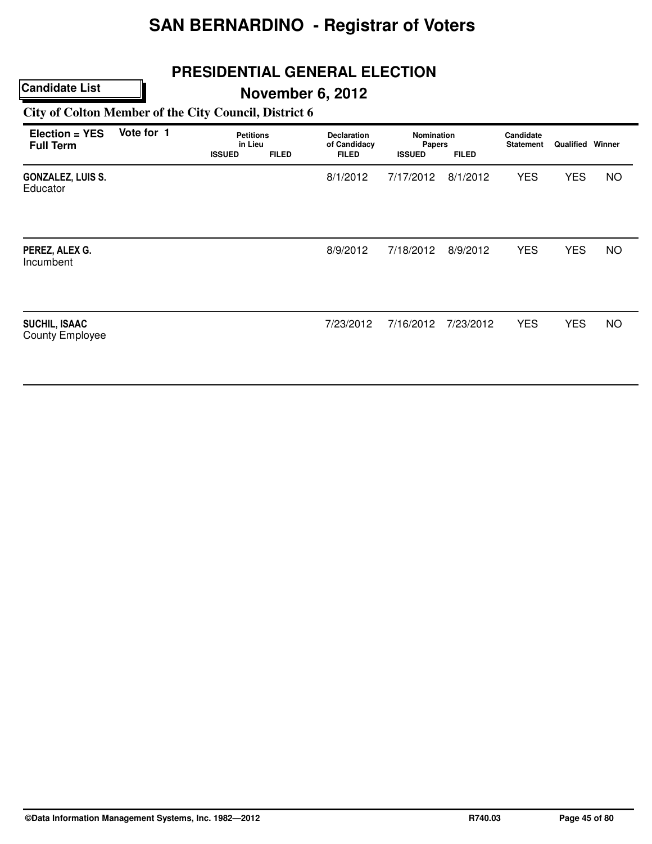# **PRESIDENTIAL GENERAL ELECTION**

## **November 6, 2012**

#### **City of Colton Member of the City Council, District 6**

| Election = YES<br><b>Full Term</b>             | Vote for 1 | <b>Petitions</b><br>in Lieu<br><b>ISSUED</b> | <b>FILED</b> | Declaration<br>of Candidacy<br><b>FILED</b> | <b>Nomination</b><br>Papers<br><b>ISSUED</b> | <b>FILED</b> | Candidate<br><b>Statement</b> | <b>Qualified Winner</b> |           |
|------------------------------------------------|------------|----------------------------------------------|--------------|---------------------------------------------|----------------------------------------------|--------------|-------------------------------|-------------------------|-----------|
| <b>GONZALEZ, LUIS S.</b><br>Educator           |            |                                              |              | 8/1/2012                                    | 7/17/2012                                    | 8/1/2012     | <b>YES</b>                    | <b>YES</b>              | <b>NO</b> |
| PEREZ, ALEX G.<br>Incumbent                    |            |                                              |              | 8/9/2012                                    | 7/18/2012                                    | 8/9/2012     | <b>YES</b>                    | <b>YES</b>              | <b>NO</b> |
| <b>SUCHIL, ISAAC</b><br><b>County Employee</b> |            |                                              |              | 7/23/2012                                   | 7/16/2012                                    | 7/23/2012    | <b>YES</b>                    | <b>YES</b>              | <b>NO</b> |

**©Data Information Management Systems, Inc. 1982—2012 R740.03 Page 45 of 80**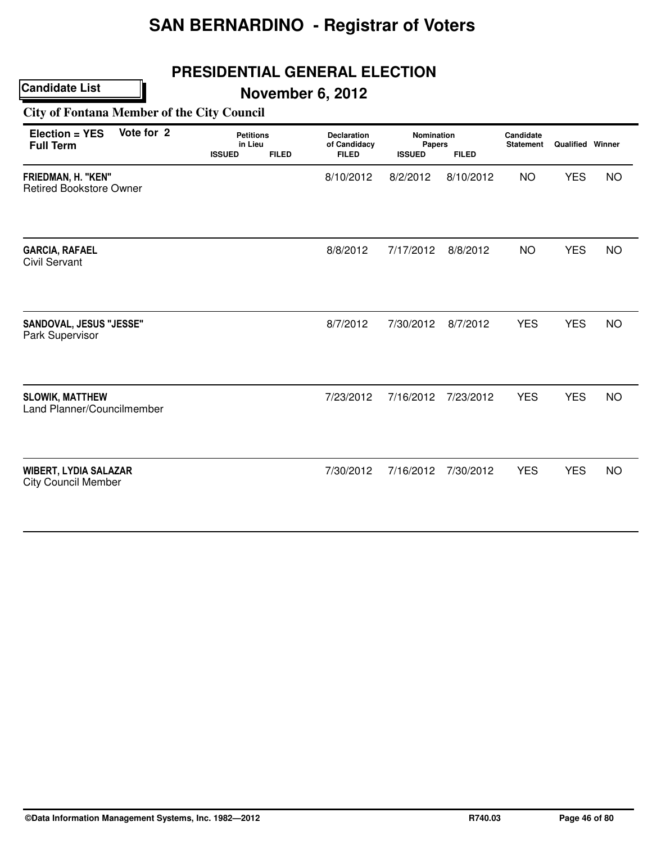## **PRESIDENTIAL GENERAL ELECTION**

## **November 6, 2012**

#### **City of Fontana Member of the City Council**

| Vote for 2<br>Election = YES<br><b>Full Term</b>           | <b>Petitions</b><br>in Lieu   | <b>Declaration</b><br>of Candidacy | <b>Nomination</b><br>Papers |              | Candidate<br><b>Statement</b> | <b>Qualified Winner</b> |           |
|------------------------------------------------------------|-------------------------------|------------------------------------|-----------------------------|--------------|-------------------------------|-------------------------|-----------|
|                                                            | <b>ISSUED</b><br><b>FILED</b> | <b>FILED</b>                       | <b>ISSUED</b>               | <b>FILED</b> |                               |                         |           |
| FRIEDMAN, H. "KEN"<br><b>Retired Bookstore Owner</b>       |                               | 8/10/2012                          | 8/2/2012                    | 8/10/2012    | <b>NO</b>                     | <b>YES</b>              | <b>NO</b> |
| <b>GARCIA, RAFAEL</b>                                      |                               | 8/8/2012                           | 7/17/2012                   | 8/8/2012     | <b>NO</b>                     | <b>YES</b>              | <b>NO</b> |
| <b>Civil Servant</b>                                       |                               |                                    |                             |              |                               |                         |           |
| SANDOVAL, JESUS "JESSE"<br>Park Supervisor                 |                               | 8/7/2012                           | 7/30/2012                   | 8/7/2012     | <b>YES</b>                    | <b>YES</b>              | <b>NO</b> |
| <b>SLOWIK, MATTHEW</b><br>Land Planner/Councilmember       |                               | 7/23/2012                          | 7/16/2012                   | 7/23/2012    | <b>YES</b>                    | <b>YES</b>              | <b>NO</b> |
| <b>WIBERT, LYDIA SALAZAR</b><br><b>City Council Member</b> |                               | 7/30/2012                          | 7/16/2012                   | 7/30/2012    | <b>YES</b>                    | <b>YES</b>              | <b>NO</b> |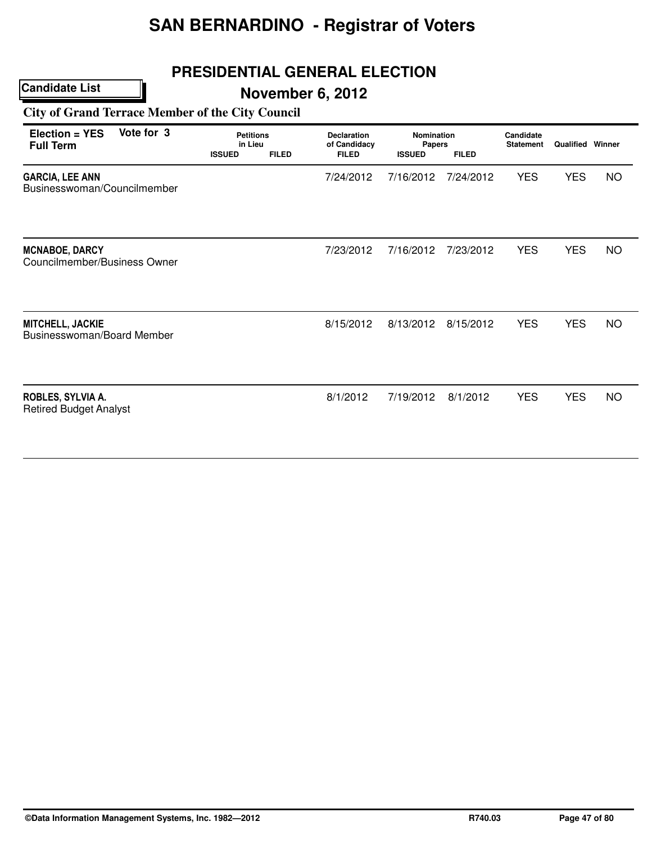## **PRESIDENTIAL GENERAL ELECTION**

## **November 6, 2012**

**City of Grand Terrace Member of the City Council**

| Election = YES<br><b>Full Term</b>                    | Vote for 3 | <b>Petitions</b><br>in Lieu<br><b>ISSUED</b> | <b>FILED</b> | <b>Declaration</b><br>of Candidacy<br><b>FILED</b> | <b>Nomination</b><br>Papers<br><b>ISSUED</b> | <b>FILED</b> | Candidate<br><b>Statement</b> | <b>Qualified Winner</b> |           |
|-------------------------------------------------------|------------|----------------------------------------------|--------------|----------------------------------------------------|----------------------------------------------|--------------|-------------------------------|-------------------------|-----------|
| <b>GARCIA, LEE ANN</b><br>Businesswoman/Councilmember |            |                                              |              | 7/24/2012                                          | 7/16/2012                                    | 7/24/2012    | <b>YES</b>                    | <b>YES</b>              | <b>NO</b> |
| <b>MCNABOE, DARCY</b><br>Councilmember/Business Owner |            |                                              |              | 7/23/2012                                          | 7/16/2012                                    | 7/23/2012    | <b>YES</b>                    | <b>YES</b>              | <b>NO</b> |
| MITCHELL, JACKIE<br>Businesswoman/Board Member        |            |                                              |              | 8/15/2012                                          | 8/13/2012                                    | 8/15/2012    | <b>YES</b>                    | <b>YES</b>              | <b>NO</b> |
| ROBLES, SYLVIA A.<br><b>Retired Budget Analyst</b>    |            |                                              |              | 8/1/2012                                           | 7/19/2012                                    | 8/1/2012     | <b>YES</b>                    | <b>YES</b>              | <b>NO</b> |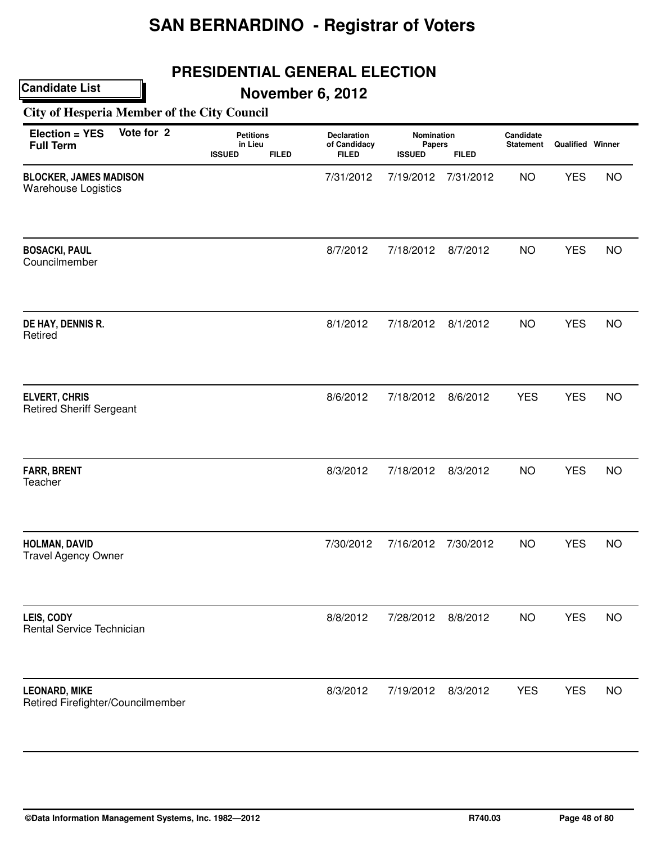## **PRESIDENTIAL GENERAL ELECTION**

**November 6, 2012**

**City of Hesperia Member of the City Council**

| Vote for 2<br>Election = YES<br><b>Full Term</b>            | <b>Petitions</b><br>in Lieu<br><b>ISSUED</b><br><b>FILED</b> | Declaration<br>of Candidacy<br><b>FILED</b> | Nomination<br>Papers<br><b>ISSUED</b> | <b>FILED</b> | Candidate<br><b>Statement</b> | Qualified Winner |           |
|-------------------------------------------------------------|--------------------------------------------------------------|---------------------------------------------|---------------------------------------|--------------|-------------------------------|------------------|-----------|
| <b>BLOCKER, JAMES MADISON</b><br><b>Warehouse Logistics</b> |                                                              | 7/31/2012                                   | 7/19/2012                             | 7/31/2012    | <b>NO</b>                     | <b>YES</b>       | <b>NO</b> |
| <b>BOSACKI, PAUL</b><br>Councilmember                       |                                                              | 8/7/2012                                    | 7/18/2012                             | 8/7/2012     | <b>NO</b>                     | <b>YES</b>       | <b>NO</b> |
| DE HAY, DENNIS R.<br>Retired                                |                                                              | 8/1/2012                                    | 7/18/2012                             | 8/1/2012     | <b>NO</b>                     | <b>YES</b>       | <b>NO</b> |
| <b>ELVERT, CHRIS</b><br><b>Retired Sheriff Sergeant</b>     |                                                              | 8/6/2012                                    | 7/18/2012                             | 8/6/2012     | <b>YES</b>                    | <b>YES</b>       | <b>NO</b> |
| <b>FARR, BRENT</b><br>Teacher                               |                                                              | 8/3/2012                                    | 7/18/2012                             | 8/3/2012     | <b>NO</b>                     | <b>YES</b>       | <b>NO</b> |
| HOLMAN, DAVID<br><b>Travel Agency Owner</b>                 |                                                              | 7/30/2012                                   | 7/16/2012                             | 7/30/2012    | <b>NO</b>                     | <b>YES</b>       | <b>NO</b> |
| LEIS, CODY<br>Rental Service Technician                     |                                                              | 8/8/2012                                    | 7/28/2012                             | 8/8/2012     | <b>NO</b>                     | <b>YES</b>       | <b>NO</b> |
| <b>LEONARD, MIKE</b><br>Retired Firefighter/Councilmember   |                                                              | 8/3/2012                                    | 7/19/2012                             | 8/3/2012     | <b>YES</b>                    | <b>YES</b>       | <b>NO</b> |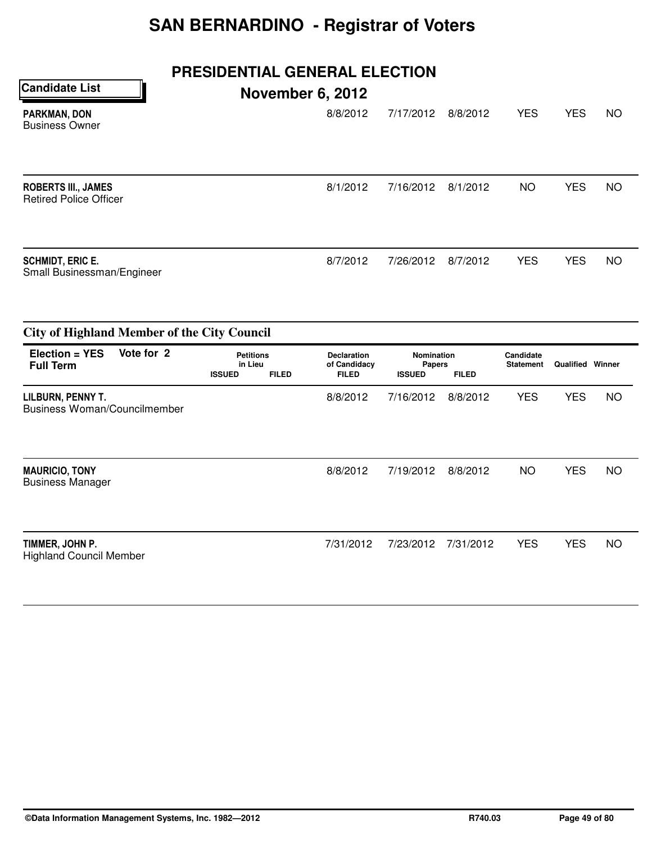# **PRESIDENTIAL GENERAL ELECTION**

| <b>Candidate List</b>                                       | <b>November 6, 2012</b> |           |          |            |            |           |
|-------------------------------------------------------------|-------------------------|-----------|----------|------------|------------|-----------|
| <b>PARKMAN, DON</b><br><b>Business Owner</b>                | 8/8/2012                | 7/17/2012 | 8/8/2012 | <b>YES</b> | <b>YES</b> | <b>NO</b> |
| <b>ROBERTS III., JAMES</b><br><b>Retired Police Officer</b> | 8/1/2012                | 7/16/2012 | 8/1/2012 | <b>NO</b>  | <b>YES</b> | <b>NO</b> |
| <b>SCHMIDT, ERIC E.</b><br>Small Businessman/Engineer       | 8/7/2012                | 7/26/2012 | 8/7/2012 | <b>YES</b> | <b>YES</b> | <b>NO</b> |

| <b>City of Highland Member of the City Council</b> |            |                                              |              |                                                    |                                              |              |                               |                         |    |  |
|----------------------------------------------------|------------|----------------------------------------------|--------------|----------------------------------------------------|----------------------------------------------|--------------|-------------------------------|-------------------------|----|--|
| $Election = YES$<br><b>Full Term</b>               | Vote for 2 | <b>Petitions</b><br>in Lieu<br><b>ISSUED</b> | <b>FILED</b> | <b>Declaration</b><br>of Candidacy<br><b>FILED</b> | <b>Nomination</b><br>Papers<br><b>ISSUED</b> | <b>FILED</b> | Candidate<br><b>Statement</b> | <b>Qualified Winner</b> |    |  |
| LILBURN, PENNY T.<br>Business Woman/Councilmember  |            |                                              |              | 8/8/2012                                           | 7/16/2012                                    | 8/8/2012     | <b>YES</b>                    | <b>YES</b>              | NO |  |
| <b>MAURICIO, TONY</b><br><b>Business Manager</b>   |            |                                              |              | 8/8/2012                                           | 7/19/2012                                    | 8/8/2012     | <b>NO</b>                     | <b>YES</b>              | NO |  |
| TIMMER, JOHN P.<br><b>Highland Council Member</b>  |            |                                              |              | 7/31/2012                                          | 7/23/2012                                    | 7/31/2012    | <b>YES</b>                    | <b>YES</b>              | NO |  |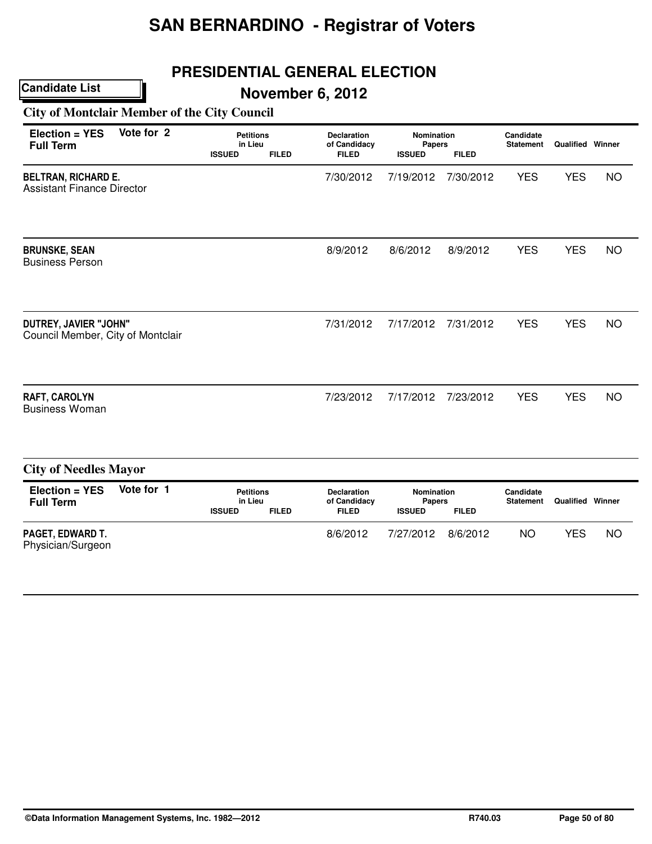## **PRESIDENTIAL GENERAL ELECTION**

## **November 6, 2012**

#### **City of Montclair Member of the City Council**

| Vote for 2<br>Election = YES<br><b>Full Term</b>                | <b>Petitions</b><br>in Lieu<br><b>ISSUED</b> | <b>FILED</b> | <b>Declaration</b><br>of Candidacy<br><b>FILED</b> | Nomination<br>Papers<br><b>ISSUED</b> | <b>FILED</b> | Candidate<br><b>Statement</b> | Qualified Winner |           |
|-----------------------------------------------------------------|----------------------------------------------|--------------|----------------------------------------------------|---------------------------------------|--------------|-------------------------------|------------------|-----------|
| <b>BELTRAN, RICHARD E.</b><br><b>Assistant Finance Director</b> |                                              |              | 7/30/2012                                          | 7/19/2012                             | 7/30/2012    | <b>YES</b>                    | <b>YES</b>       | <b>NO</b> |
| <b>BRUNSKE, SEAN</b><br><b>Business Person</b>                  |                                              |              | 8/9/2012                                           | 8/6/2012                              | 8/9/2012     | <b>YES</b>                    | <b>YES</b>       | <b>NO</b> |
| DUTREY, JAVIER "JOHN"<br>Council Member, City of Montclair      |                                              |              | 7/31/2012                                          | 7/17/2012                             | 7/31/2012    | <b>YES</b>                    | <b>YES</b>       | <b>NO</b> |
| <b>RAFT, CAROLYN</b><br><b>Business Woman</b>                   |                                              |              | 7/23/2012                                          | 7/17/2012                             | 7/23/2012    | <b>YES</b>                    | <b>YES</b>       | <b>NO</b> |
| <b>City of Needles Mayor</b>                                    |                                              |              |                                                    |                                       |              |                               |                  |           |

| $Election = YES$<br><b>Full Term</b>         | Vote for 1 | Petitions<br>in Lieu |              | <b>Declaration</b><br>of Candidacy | Nomination<br><b>Papers</b> |              | Candidate<br><b>Statement</b> | Qualified | Winner |
|----------------------------------------------|------------|----------------------|--------------|------------------------------------|-----------------------------|--------------|-------------------------------|-----------|--------|
|                                              |            | <b>ISSUED</b>        | <b>FILED</b> | <b>FILED</b>                       | <b>ISSUED</b>               | <b>FILED</b> |                               |           |        |
| <b>PAGET, EDWARD T.</b><br>Physician/Surgeon |            |                      |              | 8/6/2012                           | 7/27/2012                   | 8/6/2012     | NO                            | YES       | NΟ     |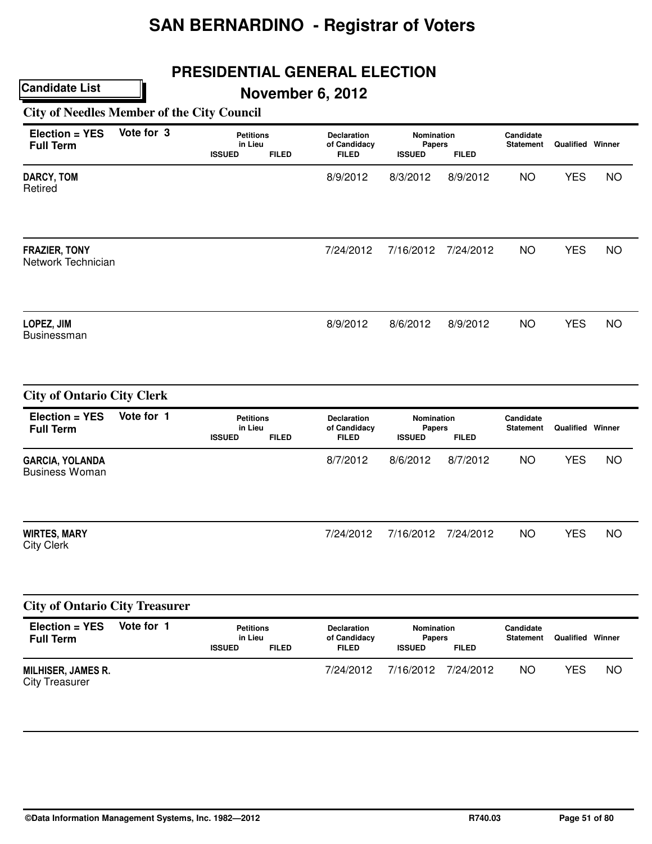## **PRESIDENTIAL GENERAL ELECTION**

**November 6, 2012**

**City of Needles Member of the City Council**

| Election = YES<br><b>Full Term</b>                 | Vote for 3 | <b>Petitions</b><br>in Lieu<br><b>ISSUED</b><br><b>FILED</b> | <b>Declaration</b><br>of Candidacy<br>FILED        | Nomination<br><b>Papers</b><br><b>ISSUED</b> | <b>FILED</b> | Candidate<br><b>Statement</b> | <b>Qualified Winner</b> |           |
|----------------------------------------------------|------------|--------------------------------------------------------------|----------------------------------------------------|----------------------------------------------|--------------|-------------------------------|-------------------------|-----------|
| DARCY, TOM<br>Retired                              |            |                                                              | 8/9/2012                                           | 8/3/2012                                     | 8/9/2012     | <b>NO</b>                     | <b>YES</b>              | <b>NO</b> |
| <b>FRAZIER, TONY</b><br>Network Technician         |            |                                                              | 7/24/2012                                          | 7/16/2012                                    | 7/24/2012    | <b>NO</b>                     | <b>YES</b>              | <b>NO</b> |
| LOPEZ, JIM<br>Businessman                          |            |                                                              | 8/9/2012                                           | 8/6/2012                                     | 8/9/2012     | <b>NO</b>                     | <b>YES</b>              | <b>NO</b> |
| <b>City of Ontario City Clerk</b>                  |            |                                                              |                                                    |                                              |              |                               |                         |           |
| Election = YES<br><b>Full Term</b>                 | Vote for 1 | <b>Petitions</b><br>in Lieu<br><b>ISSUED</b><br><b>FILED</b> | <b>Declaration</b><br>of Candidacy<br><b>FILED</b> | Nomination<br><b>Papers</b><br><b>ISSUED</b> | <b>FILED</b> | Candidate<br><b>Statement</b> | <b>Qualified Winner</b> |           |
| <b>GARCIA, YOLANDA</b><br><b>Business Woman</b>    |            |                                                              | 8/7/2012                                           | 8/6/2012                                     | 8/7/2012     | <b>NO</b>                     | <b>YES</b>              | <b>NO</b> |
| <b>WIRTES, MARY</b><br><b>City Clerk</b>           |            |                                                              | 7/24/2012                                          | 7/16/2012                                    | 7/24/2012    | <b>NO</b>                     | <b>YES</b>              | <b>NO</b> |
| <b>City of Ontario City Treasurer</b>              |            |                                                              |                                                    |                                              |              |                               |                         |           |
| Election = YES<br><b>Full Term</b>                 | Vote for 1 | <b>Petitions</b><br>in Lieu<br><b>ISSUED</b><br><b>FILED</b> | Declaration<br>of Candidacy<br><b>FILED</b>        | Nomination<br><b>Papers</b><br><b>ISSUED</b> | <b>FILED</b> | Candidate<br><b>Statement</b> | Qualified Winner        |           |
| <b>MILHISER, JAMES R.</b><br><b>City Treasurer</b> |            |                                                              | 7/24/2012                                          | 7/16/2012                                    | 7/24/2012    | <b>NO</b>                     | <b>YES</b>              | <b>NO</b> |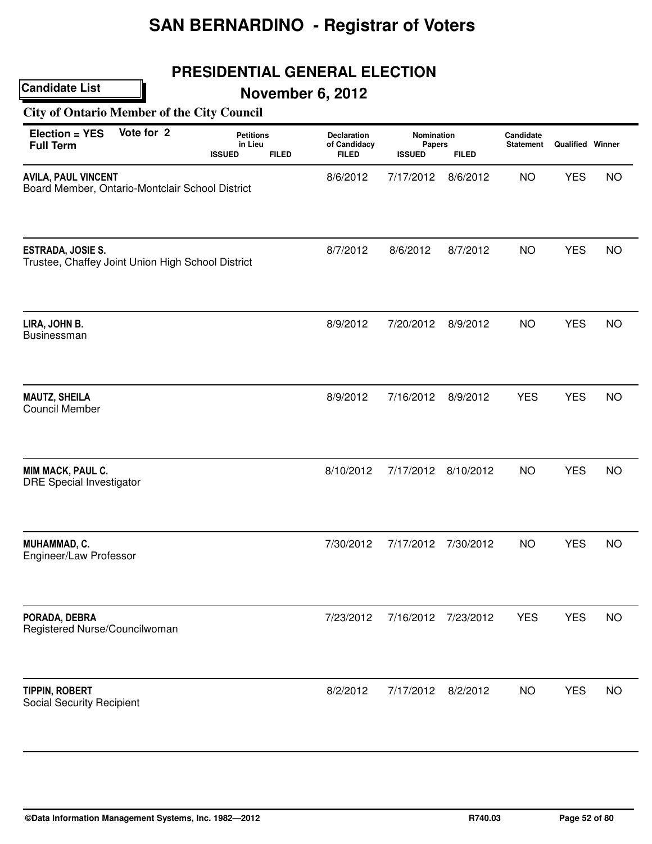## **PRESIDENTIAL GENERAL ELECTION**

## **November 6, 2012**

#### **City of Ontario Member of the City Council**

| Vote for 2<br><b>Election = YES</b><br><b>Full Term</b>                       | <b>Petitions</b><br>in Lieu<br><b>ISSUED</b><br><b>FILED</b> | <b>Declaration</b><br>of Candidacy<br><b>FILED</b> | Nomination<br><b>Papers</b><br><b>ISSUED</b> | <b>FILED</b> | Candidate<br><b>Statement</b> | <b>Qualified Winner</b> |           |
|-------------------------------------------------------------------------------|--------------------------------------------------------------|----------------------------------------------------|----------------------------------------------|--------------|-------------------------------|-------------------------|-----------|
| <b>AVILA, PAUL VINCENT</b><br>Board Member, Ontario-Montclair School District |                                                              | 8/6/2012                                           | 7/17/2012                                    | 8/6/2012     | <b>NO</b>                     | <b>YES</b>              | <b>NO</b> |
| <b>ESTRADA, JOSIE S.</b><br>Trustee, Chaffey Joint Union High School District |                                                              | 8/7/2012                                           | 8/6/2012                                     | 8/7/2012     | <b>NO</b>                     | <b>YES</b>              | <b>NO</b> |
| LIRA, JOHN B.<br><b>Businessman</b>                                           |                                                              | 8/9/2012                                           | 7/20/2012                                    | 8/9/2012     | <b>NO</b>                     | <b>YES</b>              | <b>NO</b> |
| <b>MAUTZ, SHEILA</b><br><b>Council Member</b>                                 |                                                              | 8/9/2012                                           | 7/16/2012                                    | 8/9/2012     | <b>YES</b>                    | <b>YES</b>              | <b>NO</b> |
| MIM MACK, PAUL C.<br><b>DRE Special Investigator</b>                          |                                                              | 8/10/2012                                          | 7/17/2012                                    | 8/10/2012    | <b>NO</b>                     | <b>YES</b>              | <b>NO</b> |
| MUHAMMAD, C.<br>Engineer/Law Professor                                        |                                                              | 7/30/2012                                          | 7/17/2012                                    | 7/30/2012    | <b>NO</b>                     | <b>YES</b>              | <b>NO</b> |
| PORADA, DEBRA<br>Registered Nurse/Councilwoman                                |                                                              | 7/23/2012                                          | 7/16/2012                                    | 7/23/2012    | <b>YES</b>                    | <b>YES</b>              | <b>NO</b> |
| <b>TIPPIN, ROBERT</b><br><b>Social Security Recipient</b>                     |                                                              | 8/2/2012                                           | 7/17/2012                                    | 8/2/2012     | <b>NO</b>                     | <b>YES</b>              | <b>NO</b> |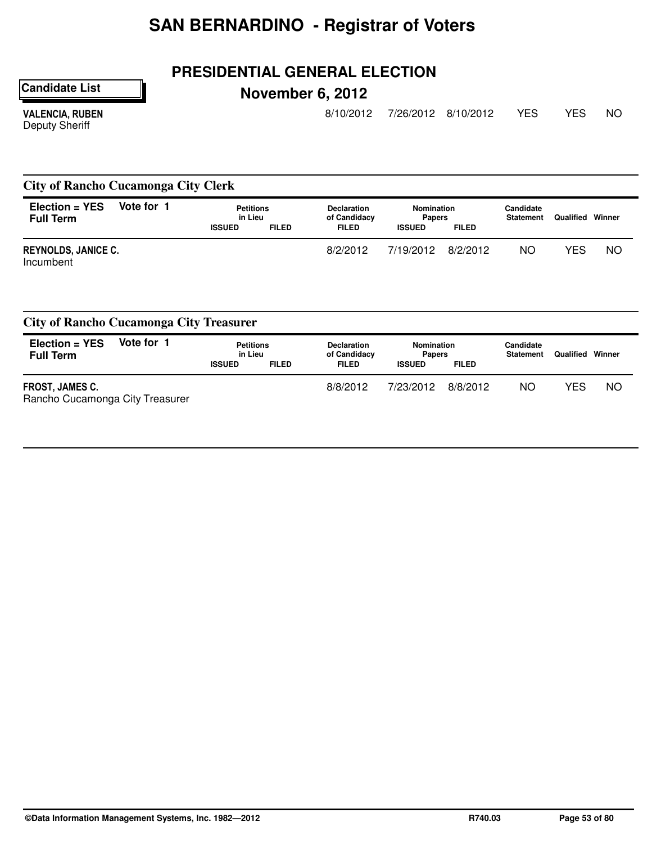## **PRESIDENTIAL GENERAL ELECTION**

**Candidate List**

# **November 6, 2012**

VALENCIA, RUBEN Deputy Sheriff

8/10/2012 7/26/2012 8/10/2012 YES YES NO

**City of Rancho Cucamonga City Clerk**

| $Election = YES$<br><b>Full Term</b>    | Vote for 1 | <b>Petitions</b><br>in Lieu<br><b>ISSUED</b> | <b>FILED</b> | <b>Declaration</b><br>of Candidacy<br><b>FILED</b> | <b>Nomination</b><br><b>Papers</b><br><b>ISSUED</b> | <b>FILED</b> | Candidate<br><b>Statement</b> | Qualified | Winner    |
|-----------------------------------------|------------|----------------------------------------------|--------------|----------------------------------------------------|-----------------------------------------------------|--------------|-------------------------------|-----------|-----------|
| <b>REYNOLDS, JANICE C.</b><br>Incumbent |            |                                              |              | 8/2/2012                                           | 7/19/2012                                           | 8/2/2012     | ΝO                            | YES       | <b>NO</b> |

| <b>City of Rancho Cucamonga City Treasurer</b>            |            |                             |              |                                    |                             |              |                               |           |        |  |
|-----------------------------------------------------------|------------|-----------------------------|--------------|------------------------------------|-----------------------------|--------------|-------------------------------|-----------|--------|--|
| $Election = YES$<br><b>Full Term</b>                      | Vote for 1 | <b>Petitions</b><br>in Lieu |              | <b>Declaration</b><br>of Candidacy | Nomination<br><b>Papers</b> |              | Candidate<br><b>Statement</b> | Qualified | Winner |  |
|                                                           |            | <b>ISSUED</b>               | <b>FILED</b> | <b>FILED</b>                       | <b>ISSUED</b>               | <b>FILED</b> |                               |           |        |  |
| <b>FROST, JAMES C.</b><br>Rancho Cucamonga City Treasurer |            |                             |              | 8/8/2012                           | 7/23/2012                   | 8/8/2012     | NO.                           | YES       | NO     |  |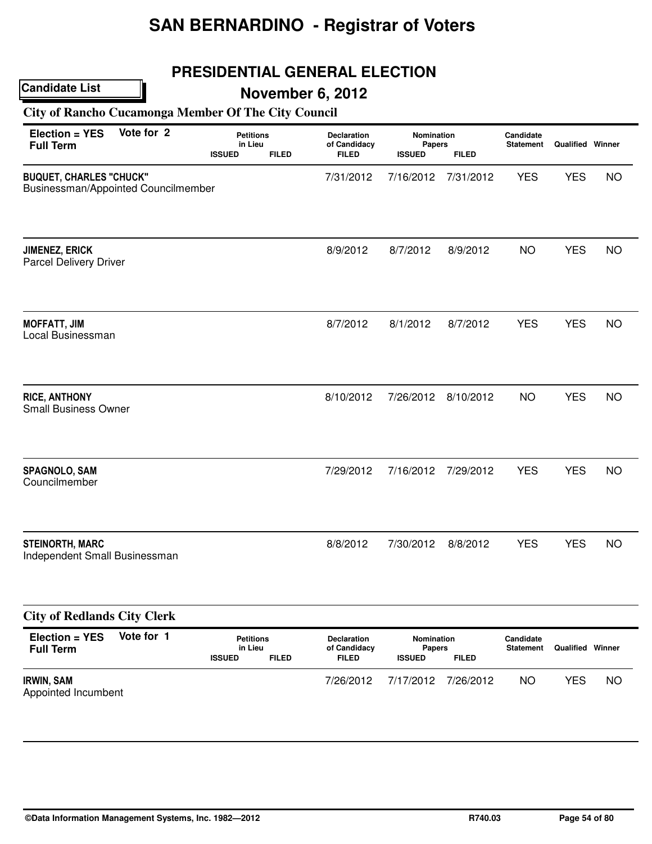# **PRESIDENTIAL GENERAL ELECTION**

## **November 6, 2012**

#### **City of Rancho Cucamonga Member Of The City Council**

| Vote for 2<br>Election = YES<br><b>Full Term</b>                      | <b>Petitions</b><br>in Lieu<br><b>ISSUED</b><br><b>FILED</b> | Declaration<br>of Candidacy<br><b>FILED</b> | Nomination<br>Papers<br><b>ISSUED</b>        | <b>FILED</b> | Candidate<br><b>Statement</b> | <b>Qualified Winner</b> |           |
|-----------------------------------------------------------------------|--------------------------------------------------------------|---------------------------------------------|----------------------------------------------|--------------|-------------------------------|-------------------------|-----------|
| <b>BUQUET, CHARLES "CHUCK"</b><br>Businessman/Appointed Councilmember |                                                              | 7/31/2012                                   | 7/16/2012                                    | 7/31/2012    | <b>YES</b>                    | <b>YES</b>              | <b>NO</b> |
| <b>JIMENEZ, ERICK</b><br>Parcel Delivery Driver                       |                                                              | 8/9/2012                                    | 8/7/2012                                     | 8/9/2012     | <b>NO</b>                     | <b>YES</b>              | <b>NO</b> |
| <b>MOFFATT, JIM</b><br>Local Businessman                              |                                                              | 8/7/2012                                    | 8/1/2012                                     | 8/7/2012     | <b>YES</b>                    | <b>YES</b>              | <b>NO</b> |
| <b>RICE, ANTHONY</b><br><b>Small Business Owner</b>                   |                                                              | 8/10/2012                                   | 7/26/2012                                    | 8/10/2012    | <b>NO</b>                     | <b>YES</b>              | <b>NO</b> |
| SPAGNOLO, SAM<br>Councilmember                                        |                                                              | 7/29/2012                                   | 7/16/2012                                    | 7/29/2012    | <b>YES</b>                    | <b>YES</b>              | <b>NO</b> |
| <b>STEINORTH, MARC</b><br>Independent Small Businessman               |                                                              | 8/8/2012                                    | 7/30/2012                                    | 8/8/2012     | <b>YES</b>                    | <b>YES</b>              | <b>NO</b> |
| <b>City of Redlands City Clerk</b>                                    |                                                              |                                             |                                              |              |                               |                         |           |
| Vote for 1<br>Election = YES<br><b>Full Term</b>                      | <b>Petitions</b><br>in Lieu<br><b>ISSUED</b><br><b>FILED</b> |                                             | Nomination<br><b>Papers</b><br><b>ISSUED</b> | <b>FILED</b> | Candidate<br><b>Statement</b> | <b>Qualified Winner</b> |           |
| <b>IRWIN, SAM</b><br>Appointed Incumbent                              |                                                              | 7/26/2012                                   | 7/17/2012                                    | 7/26/2012    | <b>NO</b>                     | <b>YES</b>              | <b>NO</b> |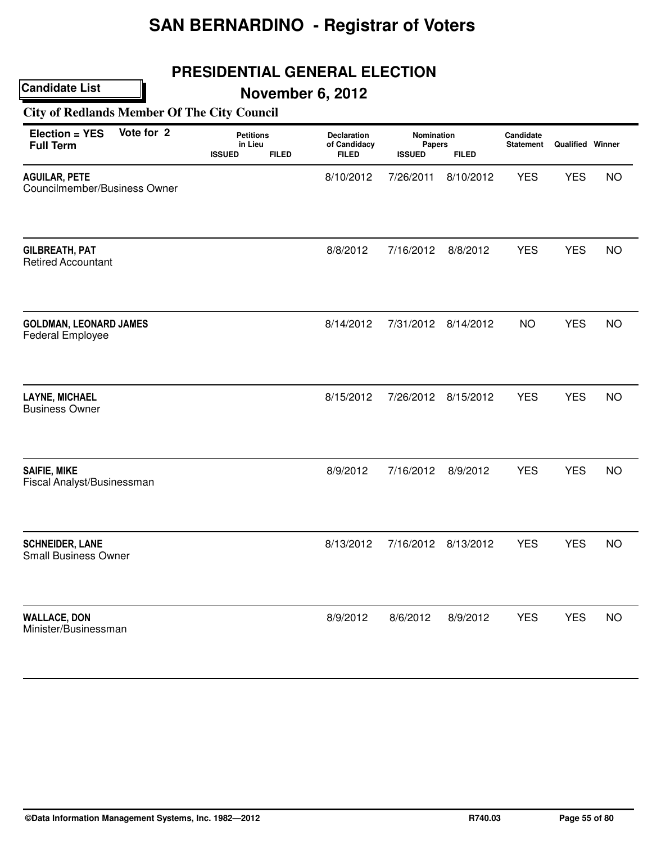## **PRESIDENTIAL GENERAL ELECTION**

## **November 6, 2012**

#### **City of Redlands Member Of The City Council**

| Vote for 2<br>Election = YES<br><b>Full Term</b>         | <b>Petitions</b><br>in Lieu<br><b>ISSUED</b> | <b>FILED</b> | <b>Declaration</b><br>of Candidacy<br><b>FILED</b> | <b>Nomination</b><br>Papers<br><b>ISSUED</b> | <b>FILED</b>        | Candidate<br><b>Statement</b> | Qualified Winner |           |
|----------------------------------------------------------|----------------------------------------------|--------------|----------------------------------------------------|----------------------------------------------|---------------------|-------------------------------|------------------|-----------|
| <b>AGUILAR, PETE</b><br>Councilmember/Business Owner     |                                              |              | 8/10/2012                                          | 7/26/2011                                    | 8/10/2012           | <b>YES</b>                    | <b>YES</b>       | <b>NO</b> |
| <b>GILBREATH, PAT</b><br><b>Retired Accountant</b>       |                                              |              | 8/8/2012                                           | 7/16/2012                                    | 8/8/2012            | <b>YES</b>                    | <b>YES</b>       | <b>NO</b> |
| <b>GOLDMAN, LEONARD JAMES</b><br><b>Federal Employee</b> |                                              |              | 8/14/2012                                          | 7/31/2012                                    | 8/14/2012           | <b>NO</b>                     | <b>YES</b>       | <b>NO</b> |
| <b>LAYNE, MICHAEL</b><br><b>Business Owner</b>           |                                              |              | 8/15/2012                                          |                                              | 7/26/2012 8/15/2012 | <b>YES</b>                    | <b>YES</b>       | <b>NO</b> |
| <b>SAIFIE, MIKE</b><br>Fiscal Analyst/Businessman        |                                              |              | 8/9/2012                                           | 7/16/2012                                    | 8/9/2012            | <b>YES</b>                    | <b>YES</b>       | <b>NO</b> |
| <b>SCHNEIDER, LANE</b><br><b>Small Business Owner</b>    |                                              |              | 8/13/2012                                          | 7/16/2012                                    | 8/13/2012           | <b>YES</b>                    | <b>YES</b>       | <b>NO</b> |
| <b>WALLACE, DON</b><br>Minister/Businessman              |                                              |              | 8/9/2012                                           | 8/6/2012                                     | 8/9/2012            | <b>YES</b>                    | <b>YES</b>       | <b>NO</b> |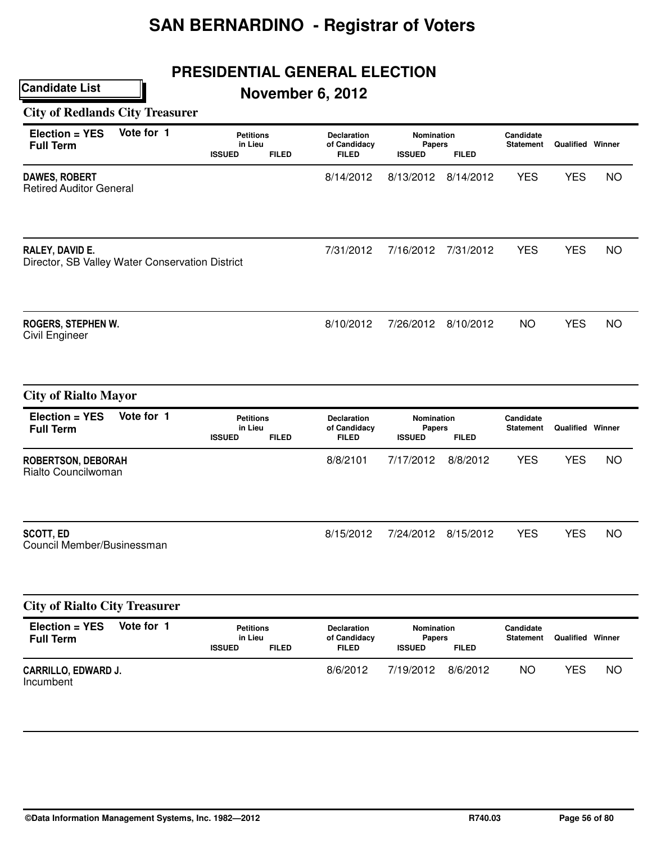# **PRESIDENTIAL GENERAL ELECTION**

# **November 6, 2012**

#### **City of Redlands City Treasurer**

| Vote for 1<br>Election = YES<br><b>Full Term</b>                   | <b>Petitions</b><br>in Lieu<br><b>ISSUED</b><br><b>FILED</b> | <b>Declaration</b><br>of Candidacy<br><b>FILED</b> | Nomination<br><b>Papers</b><br><b>ISSUED</b> | <b>FILED</b>        | Candidate<br><b>Statement</b> | <b>Qualified Winner</b> |           |
|--------------------------------------------------------------------|--------------------------------------------------------------|----------------------------------------------------|----------------------------------------------|---------------------|-------------------------------|-------------------------|-----------|
| <b>DAWES, ROBERT</b><br><b>Retired Auditor General</b>             |                                                              | 8/14/2012                                          | 8/13/2012                                    | 8/14/2012           | <b>YES</b>                    | <b>YES</b>              | <b>NO</b> |
| RALEY, DAVID E.<br>Director, SB Valley Water Conservation District |                                                              | 7/31/2012                                          | 7/16/2012                                    | 7/31/2012           | <b>YES</b>                    | <b>YES</b>              | <b>NO</b> |
| ROGERS, STEPHEN W.<br>Civil Engineer                               |                                                              | 8/10/2012                                          |                                              | 7/26/2012 8/10/2012 | <b>NO</b>                     | <b>YES</b>              | <b>NO</b> |
| <b>City of Rialto Mayor</b>                                        |                                                              |                                                    |                                              |                     |                               |                         |           |
| Vote for 1<br>Election = YES<br><b>Full Term</b>                   | <b>Petitions</b><br>in Lieu<br><b>ISSUED</b><br><b>FILED</b> | <b>Declaration</b><br>of Candidacy<br><b>FILED</b> | Nomination<br>Papers<br><b>ISSUED</b>        | <b>FILED</b>        | Candidate<br><b>Statement</b> | <b>Qualified Winner</b> |           |
| <b>ROBERTSON, DEBORAH</b><br>Rialto Councilwoman                   |                                                              | 8/8/2101                                           | 7/17/2012                                    | 8/8/2012            | <b>YES</b>                    | <b>YES</b>              | <b>NO</b> |
| <b>SCOTT, ED</b><br>Council Member/Businessman                     |                                                              | 8/15/2012                                          | 7/24/2012                                    | 8/15/2012           | <b>YES</b>                    | <b>YES</b>              | <b>NO</b> |
| <b>City of Rialto City Treasurer</b>                               |                                                              |                                                    |                                              |                     |                               |                         |           |
| Vote for 1<br>Election = YES<br><b>Full Term</b>                   | <b>Petitions</b><br>in Lieu<br><b>ISSUED</b><br><b>FILED</b> | Declaration<br>of Candidacy<br><b>FILED</b>        | Nomination<br><b>Papers</b><br><b>ISSUED</b> | <b>FILED</b>        | Candidate<br><b>Statement</b> | <b>Qualified Winner</b> |           |
| CARRILLO, EDWARD J.<br>Incumbent                                   |                                                              | 8/6/2012                                           | 7/19/2012                                    | 8/6/2012            | <b>NO</b>                     | <b>YES</b>              | <b>NO</b> |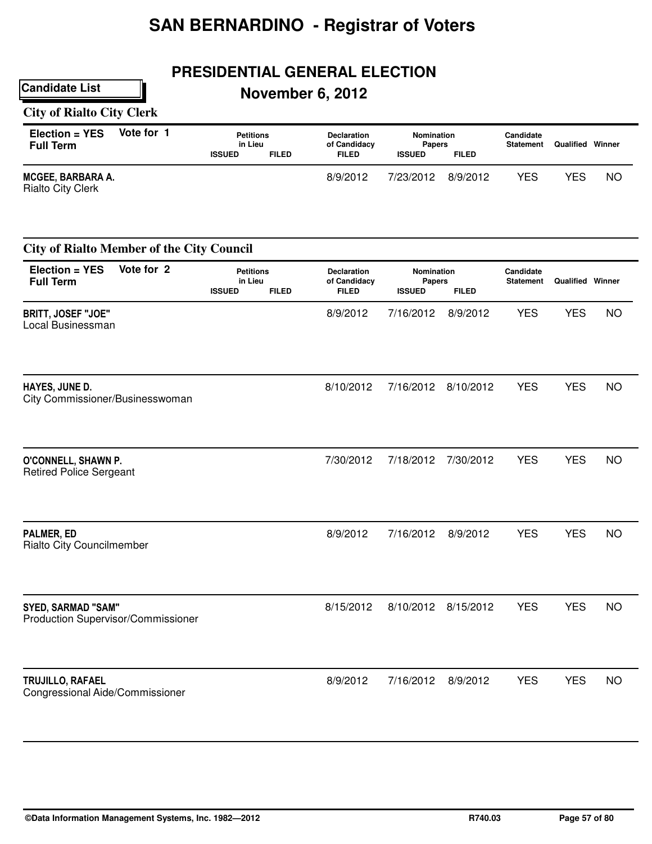# **PRESIDENTIAL GENERAL ELECTION**

# **November 6, 2012**

#### **City of Rialto City Clerk**

| $Election = YES$<br><b>Full Term</b>                 | Vote for 1 | <b>Petitions</b><br>in Lieu |              | <b>Declaration</b><br>of Candidacy | Nomination<br><b>Papers</b> |              | Candidate<br><b>Statement</b> | Qualified | Winner    |
|------------------------------------------------------|------------|-----------------------------|--------------|------------------------------------|-----------------------------|--------------|-------------------------------|-----------|-----------|
|                                                      |            | <b>ISSUED</b>               | <b>FILED</b> | <b>FILED</b>                       | <b>ISSUED</b>               | <b>FILED</b> |                               |           |           |
| <b>MCGEE, BARBARA A.</b><br><b>Rialto City Clerk</b> |            |                             |              | 8/9/2012                           | 7/23/2012                   | 8/9/2012     | YES                           | YES       | <b>NC</b> |

| <b>City of Rialto Member of the City Council</b>                |                                              |              |                                                    |                                       |              |                               |                         |           |
|-----------------------------------------------------------------|----------------------------------------------|--------------|----------------------------------------------------|---------------------------------------|--------------|-------------------------------|-------------------------|-----------|
| Vote for 2<br>Election = YES<br><b>Full Term</b>                | <b>Petitions</b><br>in Lieu<br><b>ISSUED</b> | <b>FILED</b> | <b>Declaration</b><br>of Candidacy<br><b>FILED</b> | Nomination<br>Papers<br><b>ISSUED</b> | <b>FILED</b> | Candidate<br><b>Statement</b> | <b>Qualified Winner</b> |           |
| <b>BRITT, JOSEF "JOE"</b><br>Local Businessman                  |                                              |              | 8/9/2012                                           | 7/16/2012                             | 8/9/2012     | <b>YES</b>                    | <b>YES</b>              | <b>NO</b> |
| HAYES, JUNE D.<br>City Commissioner/Businesswoman               |                                              |              | 8/10/2012                                          | 7/16/2012                             | 8/10/2012    | <b>YES</b>                    | <b>YES</b>              | <b>NO</b> |
| O'CONNELL, SHAWN P.<br><b>Retired Police Sergeant</b>           |                                              |              | 7/30/2012                                          | 7/18/2012                             | 7/30/2012    | <b>YES</b>                    | <b>YES</b>              | <b>NO</b> |
| PALMER, ED<br><b>Rialto City Councilmember</b>                  |                                              |              | 8/9/2012                                           | 7/16/2012                             | 8/9/2012     | <b>YES</b>                    | <b>YES</b>              | <b>NO</b> |
| <b>SYED, SARMAD "SAM"</b><br>Production Supervisor/Commissioner |                                              |              | 8/15/2012                                          | 8/10/2012                             | 8/15/2012    | <b>YES</b>                    | <b>YES</b>              | <b>NO</b> |
| TRUJILLO, RAFAEL<br>Congressional Aide/Commissioner             |                                              |              | 8/9/2012                                           | 7/16/2012                             | 8/9/2012     | <b>YES</b>                    | <b>YES</b>              | <b>NO</b> |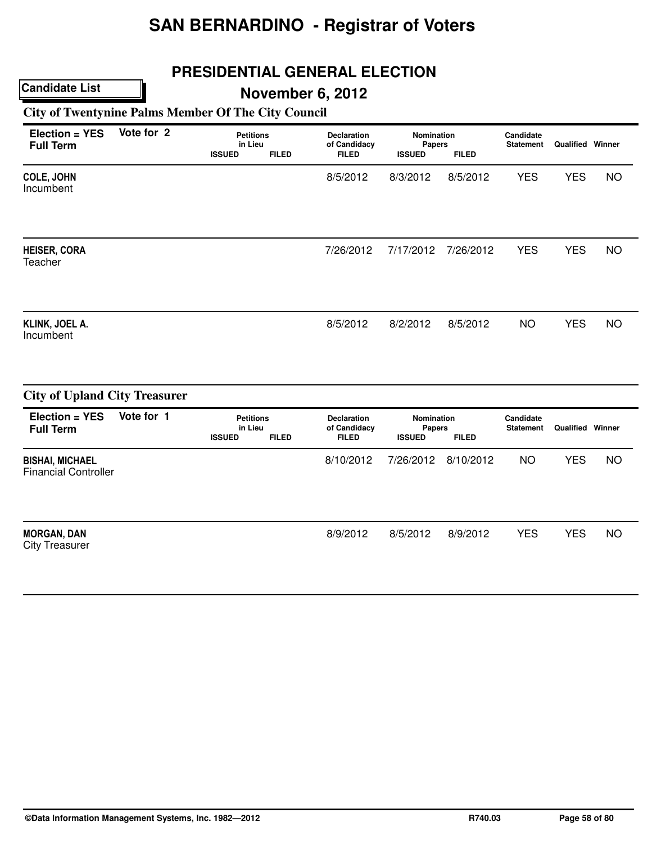# **PRESIDENTIAL GENERAL ELECTION**

## **November 6, 2012**

#### **City of Twentynine Palms Member Of The City Council**

| Vote for 2<br>Election = YES<br><b>Full Term</b>      |            | <b>Petitions</b><br>in Lieu<br><b>ISSUED</b><br><b>FILED</b> | <b>Declaration</b><br>of Candidacy<br><b>FILED</b> | Nomination<br><b>Papers</b><br><b>ISSUED</b> | <b>FILED</b> | Candidate<br><b>Statement</b> | Qualified Winner        |           |
|-------------------------------------------------------|------------|--------------------------------------------------------------|----------------------------------------------------|----------------------------------------------|--------------|-------------------------------|-------------------------|-----------|
| <b>COLE, JOHN</b><br>Incumbent                        |            |                                                              | 8/5/2012                                           | 8/3/2012                                     | 8/5/2012     | <b>YES</b>                    | <b>YES</b>              | <b>NO</b> |
| <b>HEISER, CORA</b><br>Teacher                        |            |                                                              | 7/26/2012                                          | 7/17/2012                                    | 7/26/2012    | <b>YES</b>                    | <b>YES</b>              | <b>NO</b> |
| KLINK, JOEL A.<br>Incumbent                           |            |                                                              | 8/5/2012                                           | 8/2/2012                                     | 8/5/2012     | <b>NO</b>                     | <b>YES</b>              | <b>NO</b> |
| <b>City of Upland City Treasurer</b>                  |            |                                                              |                                                    |                                              |              |                               |                         |           |
| Election = YES<br><b>Full Term</b>                    | Vote for 1 | <b>Petitions</b><br>in Lieu<br><b>ISSUED</b><br><b>FILED</b> | <b>Declaration</b><br>of Candidacy<br><b>FILED</b> | Nomination<br>Papers<br><b>ISSUED</b>        | <b>FILED</b> | Candidate<br><b>Statement</b> | <b>Qualified Winner</b> |           |
| <b>BISHAI, MICHAEL</b><br><b>Financial Controller</b> |            |                                                              | 8/10/2012                                          | 7/26/2012                                    | 8/10/2012    | <b>NO</b>                     | <b>YES</b>              | <b>NO</b> |
| <b>MORGAN, DAN</b><br><b>City Treasurer</b>           |            |                                                              | 8/9/2012                                           | 8/5/2012                                     | 8/9/2012     | <b>YES</b>                    | <b>YES</b>              | <b>NO</b> |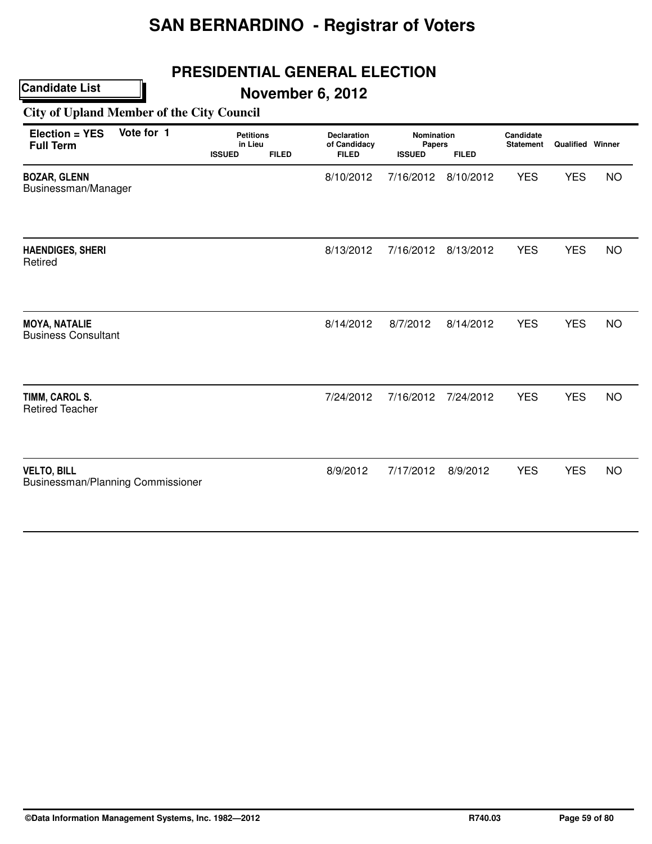## **PRESIDENTIAL GENERAL ELECTION**

## **November 6, 2012**

#### **City of Upland Member of the City Council**

| Election = YES<br><b>Full Term</b>                      | Vote for 1 | <b>Petitions</b><br>in Lieu<br><b>ISSUED</b><br><b>FILED</b> |  | Declaration<br>of Candidacy<br><b>FILED</b> | Nomination<br>Papers<br><b>ISSUED</b><br><b>FILED</b> |           | Candidate<br><b>Statement</b> | <b>Qualified Winner</b> |           |
|---------------------------------------------------------|------------|--------------------------------------------------------------|--|---------------------------------------------|-------------------------------------------------------|-----------|-------------------------------|-------------------------|-----------|
| <b>BOZAR, GLENN</b><br>Businessman/Manager              |            |                                                              |  | 8/10/2012                                   | 7/16/2012                                             | 8/10/2012 | <b>YES</b>                    | <b>YES</b>              | <b>NO</b> |
| <b>HAENDIGES, SHERI</b><br>Retired                      |            |                                                              |  | 8/13/2012                                   | 7/16/2012                                             | 8/13/2012 | <b>YES</b>                    | <b>YES</b>              | <b>NO</b> |
| <b>MOYA, NATALIE</b><br><b>Business Consultant</b>      |            |                                                              |  | 8/14/2012                                   | 8/7/2012                                              | 8/14/2012 | <b>YES</b>                    | <b>YES</b>              | <b>NO</b> |
| TIMM, CAROL S.<br><b>Retired Teacher</b>                |            |                                                              |  | 7/24/2012                                   | 7/16/2012                                             | 7/24/2012 | <b>YES</b>                    | <b>YES</b>              | <b>NO</b> |
| <b>VELTO, BILL</b><br>Businessman/Planning Commissioner |            |                                                              |  | 8/9/2012                                    | 7/17/2012                                             | 8/9/2012  | <b>YES</b>                    | <b>YES</b>              | <b>NO</b> |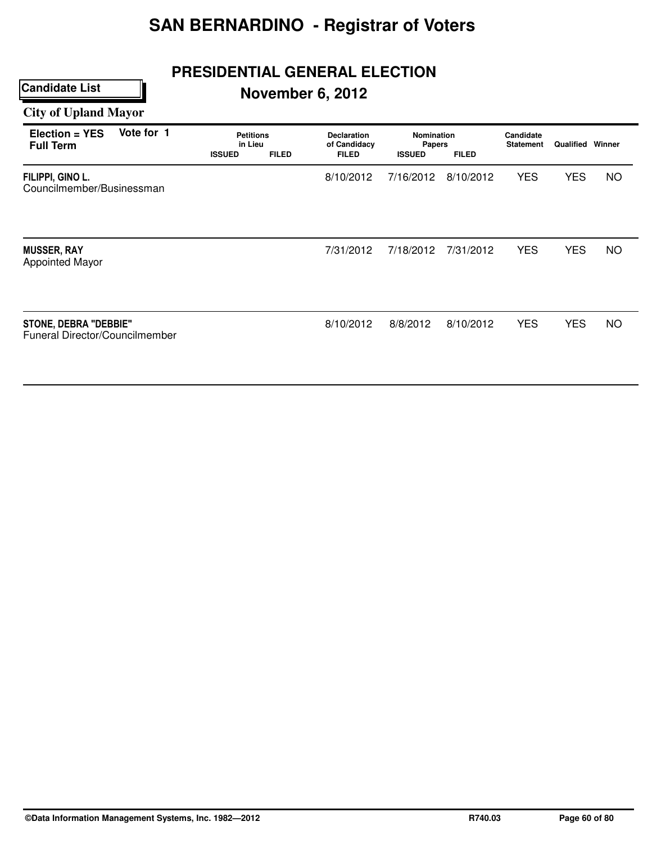# **PRESIDENTIAL GENERAL ELECTION**

# **November 6, 2012**

# **City of Upland Mayor**

| Vote for 1<br>Election = YES<br><b>Full Term</b>               | <b>Petitions</b><br>in Lieu<br><b>ISSUED</b> | <b>FILED</b> | <b>Declaration</b><br>of Candidacy<br><b>FILED</b> | <b>Nomination</b><br>Papers<br><b>ISSUED</b> | <b>FILED</b> | Candidate<br><b>Statement</b> | <b>Qualified Winner</b> |           |
|----------------------------------------------------------------|----------------------------------------------|--------------|----------------------------------------------------|----------------------------------------------|--------------|-------------------------------|-------------------------|-----------|
| FILIPPI, GINO L.<br>Councilmember/Businessman                  |                                              |              | 8/10/2012                                          | 7/16/2012                                    | 8/10/2012    | <b>YES</b>                    | <b>YES</b>              | NO.       |
| <b>MUSSER, RAY</b><br><b>Appointed Mayor</b>                   |                                              |              | 7/31/2012                                          | 7/18/2012                                    | 7/31/2012    | <b>YES</b>                    | <b>YES</b>              | <b>NO</b> |
| <b>STONE, DEBRA "DEBBIE"</b><br>Funeral Director/Councilmember |                                              |              | 8/10/2012                                          | 8/8/2012                                     | 8/10/2012    | <b>YES</b>                    | <b>YES</b>              | NO        |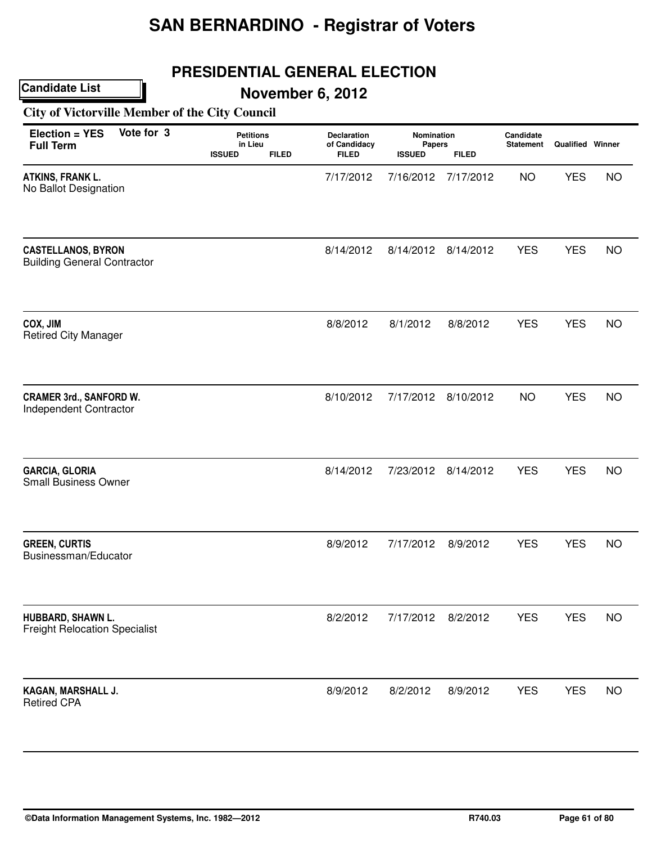## **PRESIDENTIAL GENERAL ELECTION**

**November 6, 2012**

**City of Victorville Member of the City Council**

| Vote for 3<br>Election = YES<br><b>Full Term</b>                | <b>Petitions</b><br>in Lieu<br><b>ISSUED</b><br><b>FILED</b> | Declaration<br>of Candidacy<br><b>FILED</b> | Nomination<br>Papers<br><b>ISSUED</b> | <b>FILED</b> | Candidate<br><b>Statement</b> | <b>Qualified Winner</b> |           |
|-----------------------------------------------------------------|--------------------------------------------------------------|---------------------------------------------|---------------------------------------|--------------|-------------------------------|-------------------------|-----------|
| ATKINS, FRANK L.<br>No Ballot Designation                       |                                                              | 7/17/2012                                   | 7/16/2012                             | 7/17/2012    | <b>NO</b>                     | <b>YES</b>              | <b>NO</b> |
| <b>CASTELLANOS, BYRON</b><br><b>Building General Contractor</b> |                                                              | 8/14/2012                                   | 8/14/2012                             | 8/14/2012    | <b>YES</b>                    | <b>YES</b>              | <b>NO</b> |
| COX, JIM<br><b>Retired City Manager</b>                         |                                                              | 8/8/2012                                    | 8/1/2012                              | 8/8/2012     | <b>YES</b>                    | <b>YES</b>              | <b>NO</b> |
| <b>CRAMER 3rd., SANFORD W.</b><br>Independent Contractor        |                                                              | 8/10/2012                                   | 7/17/2012                             | 8/10/2012    | <b>NO</b>                     | <b>YES</b>              | <b>NO</b> |
| <b>GARCIA, GLORIA</b><br><b>Small Business Owner</b>            |                                                              | 8/14/2012                                   | 7/23/2012                             | 8/14/2012    | <b>YES</b>                    | <b>YES</b>              | <b>NO</b> |
| <b>GREEN, CURTIS</b><br>Businessman/Educator                    |                                                              | 8/9/2012                                    | 7/17/2012                             | 8/9/2012     | <b>YES</b>                    | <b>YES</b>              | <b>NO</b> |
| HUBBARD, SHAWN L.<br><b>Freight Relocation Specialist</b>       |                                                              | 8/2/2012                                    | 7/17/2012                             | 8/2/2012     | <b>YES</b>                    | <b>YES</b>              | <b>NO</b> |
| KAGAN, MARSHALL J.<br><b>Retired CPA</b>                        |                                                              | 8/9/2012                                    | 8/2/2012                              | 8/9/2012     | <b>YES</b>                    | <b>YES</b>              | <b>NO</b> |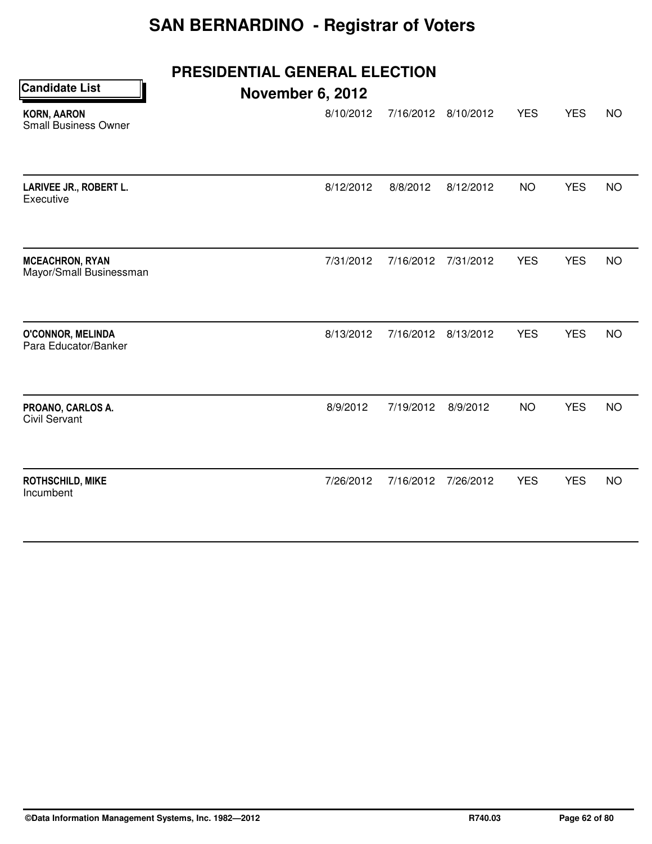| <b>Candidate List</b>                             | PRESIDENTIAL GENERAL ELECTION<br><b>November 6, 2012</b> |           |           |            |            |           |
|---------------------------------------------------|----------------------------------------------------------|-----------|-----------|------------|------------|-----------|
| <b>KORN, AARON</b><br><b>Small Business Owner</b> | 8/10/2012                                                | 7/16/2012 | 8/10/2012 | <b>YES</b> | <b>YES</b> | <b>NO</b> |
| LARIVEE JR., ROBERT L.<br>Executive               | 8/12/2012                                                | 8/8/2012  | 8/12/2012 | <b>NO</b>  | <b>YES</b> | <b>NO</b> |
| <b>MCEACHRON, RYAN</b><br>Mayor/Small Businessman | 7/31/2012                                                | 7/16/2012 | 7/31/2012 | <b>YES</b> | <b>YES</b> | <b>NO</b> |
| <b>O'CONNOR, MELINDA</b><br>Para Educator/Banker  | 8/13/2012                                                | 7/16/2012 | 8/13/2012 | <b>YES</b> | <b>YES</b> | <b>NO</b> |
| PROANO, CARLOS A.<br><b>Civil Servant</b>         | 8/9/2012                                                 | 7/19/2012 | 8/9/2012  | <b>NO</b>  | <b>YES</b> | <b>NO</b> |
| ROTHSCHILD, MIKE<br>Incumbent                     | 7/26/2012                                                | 7/16/2012 | 7/26/2012 | <b>YES</b> | <b>YES</b> | <b>NO</b> |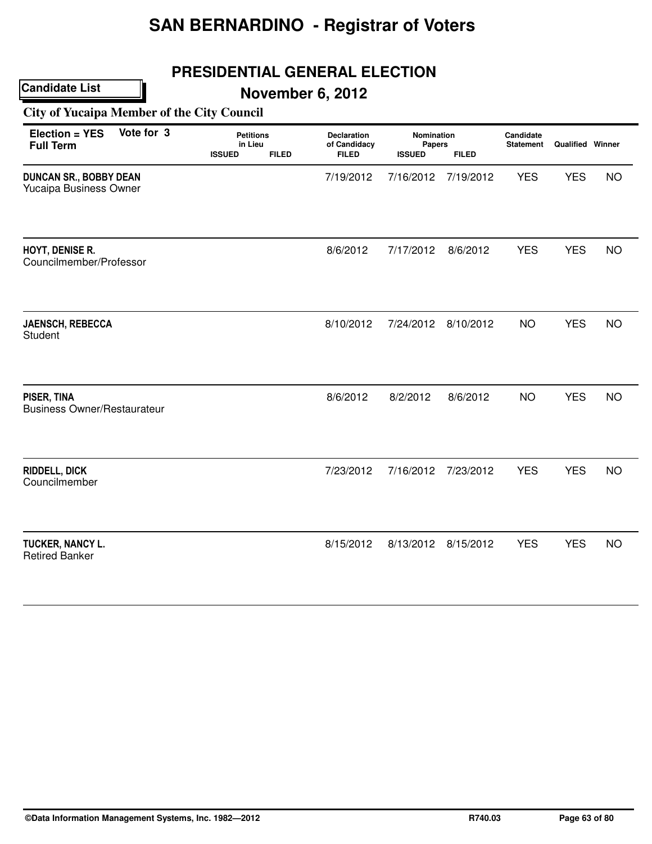## **PRESIDENTIAL GENERAL ELECTION**

**November 6, 2012**

**City of Yucaipa Member of the City Council**

| Vote for 3<br>Election = YES<br><b>Full Term</b>        | <b>Petitions</b><br>in Lieu<br><b>ISSUED</b> | <b>FILED</b> | <b>Declaration</b><br>of Candidacy<br><b>FILED</b> | <b>Nomination</b><br>Papers<br><b>ISSUED</b> | <b>FILED</b> | Candidate<br><b>Statement</b> | Qualified Winner |           |
|---------------------------------------------------------|----------------------------------------------|--------------|----------------------------------------------------|----------------------------------------------|--------------|-------------------------------|------------------|-----------|
| <b>DUNCAN SR., BOBBY DEAN</b><br>Yucaipa Business Owner |                                              |              | 7/19/2012                                          | 7/16/2012                                    | 7/19/2012    | <b>YES</b>                    | <b>YES</b>       | <b>NO</b> |
| HOYT, DENISE R.<br>Councilmember/Professor              |                                              |              | 8/6/2012                                           | 7/17/2012                                    | 8/6/2012     | <b>YES</b>                    | <b>YES</b>       | <b>NO</b> |
| <b>JAENSCH, REBECCA</b><br><b>Student</b>               |                                              |              | 8/10/2012                                          | 7/24/2012                                    | 8/10/2012    | <b>NO</b>                     | <b>YES</b>       | <b>NO</b> |
| PISER, TINA<br><b>Business Owner/Restaurateur</b>       |                                              |              | 8/6/2012                                           | 8/2/2012                                     | 8/6/2012     | <b>NO</b>                     | <b>YES</b>       | <b>NO</b> |
| <b>RIDDELL, DICK</b><br>Councilmember                   |                                              |              | 7/23/2012                                          | 7/16/2012                                    | 7/23/2012    | <b>YES</b>                    | <b>YES</b>       | <b>NO</b> |
| TUCKER, NANCY L.<br><b>Retired Banker</b>               |                                              |              | 8/15/2012                                          | 8/13/2012                                    | 8/15/2012    | <b>YES</b>                    | <b>YES</b>       | <b>NO</b> |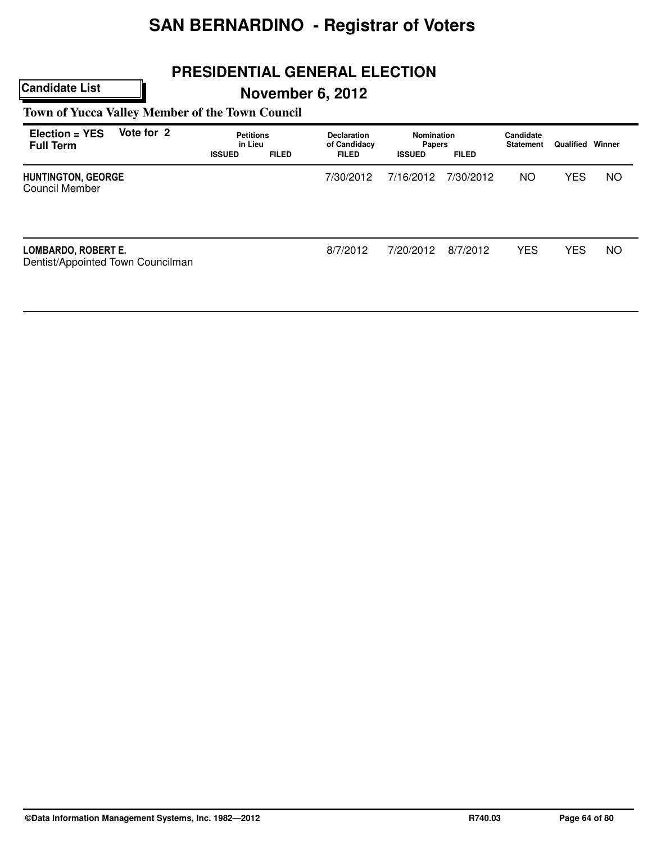## **PRESIDENTIAL GENERAL ELECTION**

# **November 6, 2012**

**Town of Yucca Valley Member of the Town Council**

| Election = YES<br><b>Full Term</b>                       | Vote for 2 | <b>Petitions</b><br>in Lieu<br><b>ISSUED</b> | <b>FILED</b> | <b>Declaration</b><br>of Candidacy<br><b>FILED</b> | Nomination<br><b>Papers</b><br><b>ISSUED</b> | <b>FILED</b> | Candidate<br><b>Statement</b> | Qualified  | Winner    |
|----------------------------------------------------------|------------|----------------------------------------------|--------------|----------------------------------------------------|----------------------------------------------|--------------|-------------------------------|------------|-----------|
| <b>HUNTINGTON, GEORGE</b><br>Council Member              |            |                                              |              | 7/30/2012                                          | 7/16/2012                                    | 7/30/2012    | <b>NO</b>                     | <b>YES</b> | <b>NO</b> |
| LOMBARDO, ROBERT E.<br>Dentist/Appointed Town Councilman |            |                                              |              | 8/7/2012                                           | 7/20/2012                                    | 8/7/2012     | <b>YES</b>                    | <b>YES</b> | <b>NO</b> |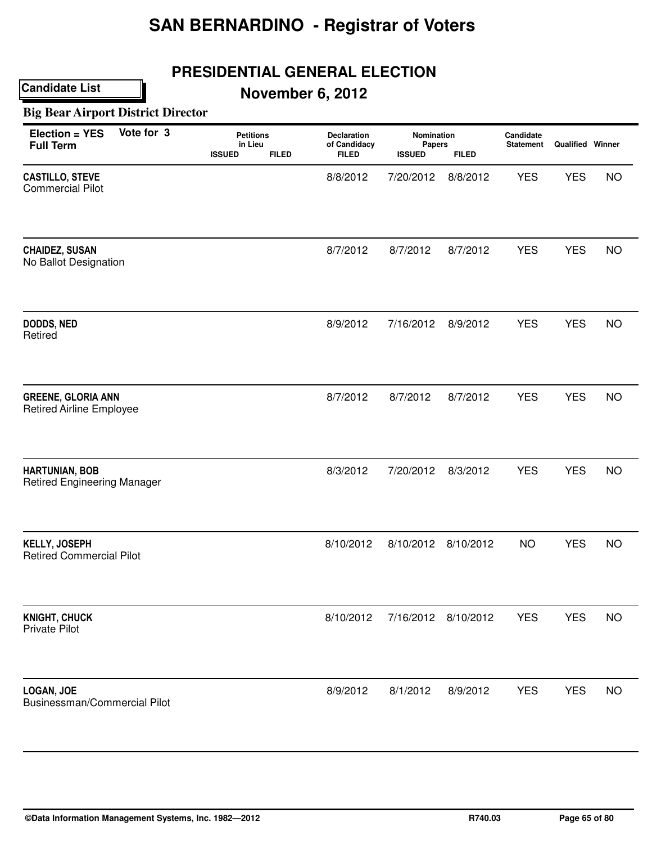# **PRESIDENTIAL GENERAL ELECTION**

## **November 6, 2012**

#### **Big Bear Airport District Director**

| Vote for 3<br>Election = YES<br><b>Full Term</b>             | <b>Petitions</b><br>in Lieu<br><b>FILED</b><br><b>ISSUED</b> | Declaration<br>of Candidacy<br><b>FILED</b> | Nomination<br><b>Papers</b><br><b>ISSUED</b> | <b>FILED</b> | Candidate<br><b>Statement</b> | Qualified Winner |           |
|--------------------------------------------------------------|--------------------------------------------------------------|---------------------------------------------|----------------------------------------------|--------------|-------------------------------|------------------|-----------|
| <b>CASTILLO, STEVE</b><br><b>Commercial Pilot</b>            |                                                              | 8/8/2012                                    | 7/20/2012                                    | 8/8/2012     | <b>YES</b>                    | <b>YES</b>       | <b>NO</b> |
| <b>CHAIDEZ, SUSAN</b><br>No Ballot Designation               |                                                              | 8/7/2012                                    | 8/7/2012                                     | 8/7/2012     | <b>YES</b>                    | <b>YES</b>       | <b>NO</b> |
| DODDS, NED<br>Retired                                        |                                                              | 8/9/2012                                    | 7/16/2012                                    | 8/9/2012     | <b>YES</b>                    | <b>YES</b>       | <b>NO</b> |
| <b>GREENE, GLORIA ANN</b><br><b>Retired Airline Employee</b> |                                                              | 8/7/2012                                    | 8/7/2012                                     | 8/7/2012     | <b>YES</b>                    | <b>YES</b>       | <b>NO</b> |
| <b>HARTUNIAN, BOB</b><br><b>Retired Engineering Manager</b>  |                                                              | 8/3/2012                                    | 7/20/2012                                    | 8/3/2012     | <b>YES</b>                    | <b>YES</b>       | <b>NO</b> |
| <b>KELLY, JOSEPH</b><br><b>Retired Commercial Pilot</b>      |                                                              | 8/10/2012                                   | 8/10/2012                                    | 8/10/2012    | <b>NO</b>                     | <b>YES</b>       | <b>NO</b> |
| <b>KNIGHT, CHUCK</b><br><b>Private Pilot</b>                 |                                                              | 8/10/2012                                   | 7/16/2012                                    | 8/10/2012    | <b>YES</b>                    | <b>YES</b>       | <b>NO</b> |
| <b>LOGAN, JOE</b><br>Businessman/Commercial Pilot            |                                                              | 8/9/2012                                    | 8/1/2012                                     | 8/9/2012     | <b>YES</b>                    | <b>YES</b>       | <b>NO</b> |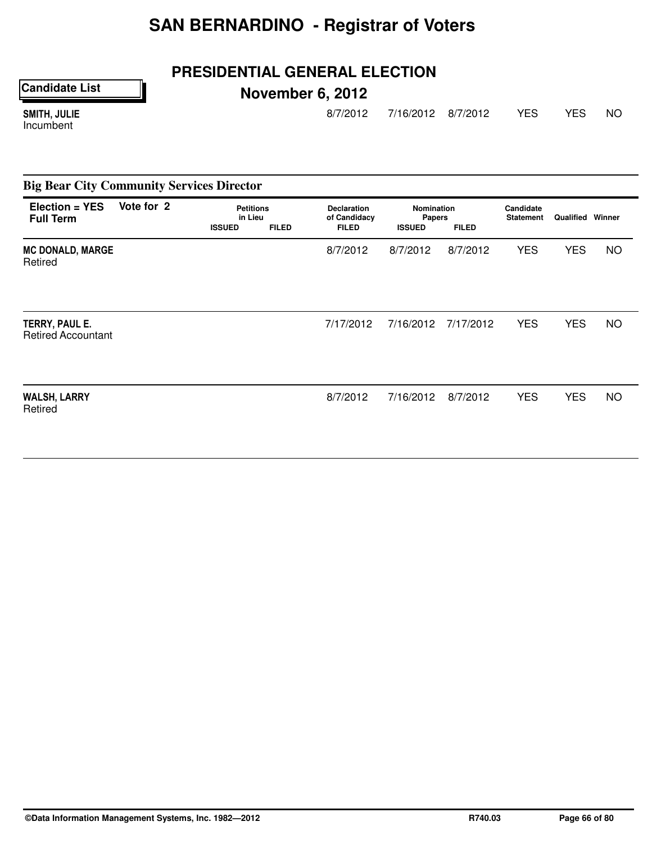## **PRESIDENTIAL GENERAL ELECTION**

**Candidate List**

# **November 6, 2012**

SMITH, JULIE Incumbent

8/7/2012 7/16/2012 8/7/2012 YES YES NO

| <b>Big Bear City Community Services Director</b> |            |                                              |              |                                                    |                                              |              |                               |                         |           |
|--------------------------------------------------|------------|----------------------------------------------|--------------|----------------------------------------------------|----------------------------------------------|--------------|-------------------------------|-------------------------|-----------|
| Election = YES<br><b>Full Term</b>               | Vote for 2 | <b>Petitions</b><br>in Lieu<br><b>ISSUED</b> | <b>FILED</b> | <b>Declaration</b><br>of Candidacy<br><b>FILED</b> | <b>Nomination</b><br>Papers<br><b>ISSUED</b> | <b>FILED</b> | Candidate<br><b>Statement</b> | <b>Qualified Winner</b> |           |
| <b>MC DONALD, MARGE</b><br>Retired               |            |                                              |              | 8/7/2012                                           | 8/7/2012                                     | 8/7/2012     | <b>YES</b>                    | <b>YES</b>              | <b>NO</b> |
| TERRY, PAUL E.<br><b>Retired Accountant</b>      |            |                                              |              | 7/17/2012                                          | 7/16/2012                                    | 7/17/2012    | <b>YES</b>                    | <b>YES</b>              | <b>NO</b> |
| <b>WALSH, LARRY</b><br>Retired                   |            |                                              |              | 8/7/2012                                           | 7/16/2012                                    | 8/7/2012     | <b>YES</b>                    | <b>YES</b>              | <b>NO</b> |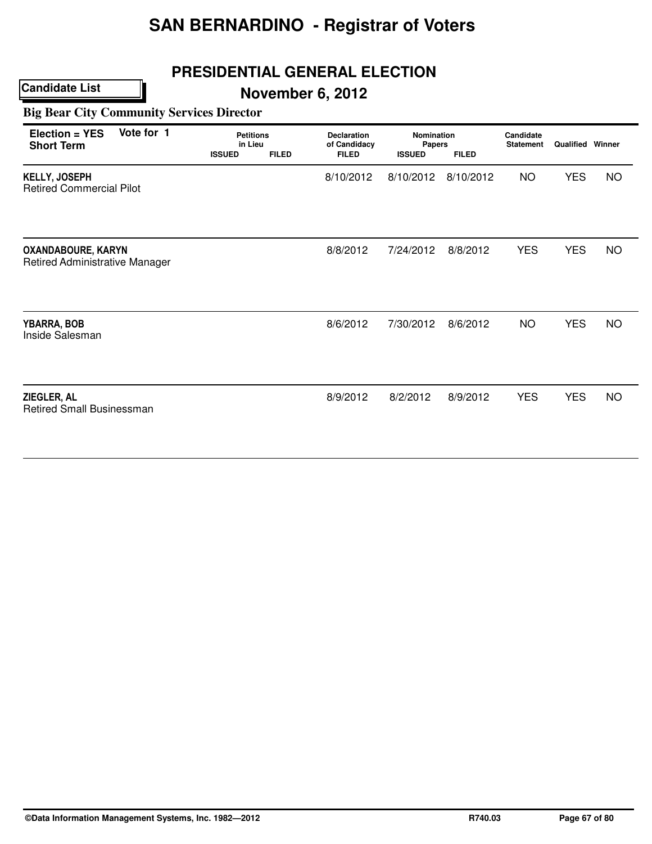## **PRESIDENTIAL GENERAL ELECTION**

## **November 6, 2012**

#### **Big Bear City Community Services Director**

| Vote for 1<br>Election = YES<br><b>Short Term</b>                  | <b>Petitions</b><br>in Lieu<br><b>ISSUED</b><br><b>FILED</b> | <b>Declaration</b><br>of Candidacy<br><b>FILED</b> | Nomination<br><b>Papers</b><br><b>ISSUED</b> | <b>FILED</b> | Candidate<br><b>Statement</b> | <b>Qualified Winner</b> |           |
|--------------------------------------------------------------------|--------------------------------------------------------------|----------------------------------------------------|----------------------------------------------|--------------|-------------------------------|-------------------------|-----------|
| <b>KELLY, JOSEPH</b><br><b>Retired Commercial Pilot</b>            |                                                              | 8/10/2012                                          | 8/10/2012                                    | 8/10/2012    | <b>NO</b>                     | <b>YES</b>              | <b>NO</b> |
| <b>OXANDABOURE, KARYN</b><br><b>Retired Administrative Manager</b> |                                                              | 8/8/2012                                           | 7/24/2012                                    | 8/8/2012     | <b>YES</b>                    | <b>YES</b>              | <b>NO</b> |
| YBARRA, BOB<br>Inside Salesman                                     |                                                              | 8/6/2012                                           | 7/30/2012                                    | 8/6/2012     | <b>NO</b>                     | <b>YES</b>              | <b>NO</b> |
| ZIEGLER, AL<br><b>Retired Small Businessman</b>                    |                                                              | 8/9/2012                                           | 8/2/2012                                     | 8/9/2012     | <b>YES</b>                    | <b>YES</b>              | <b>NO</b> |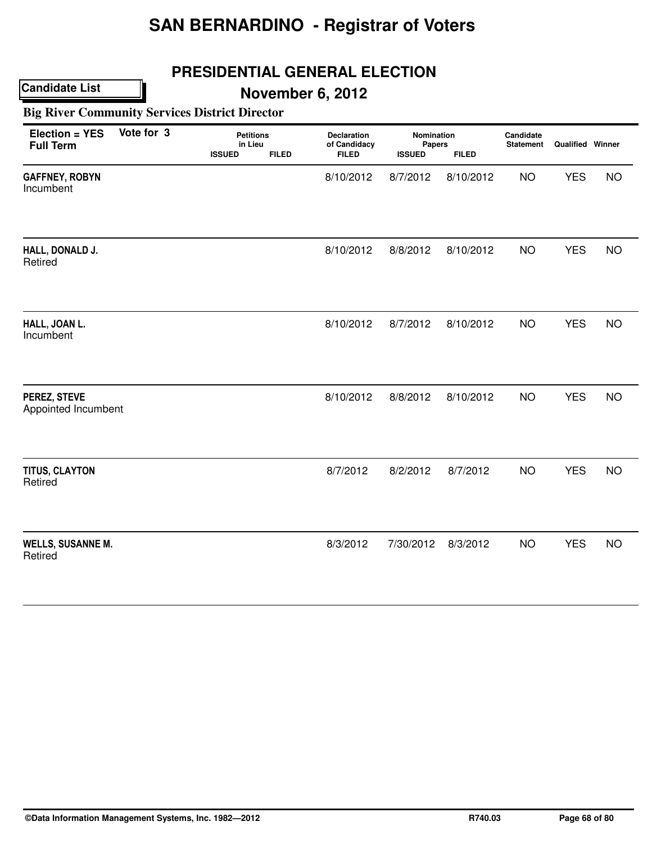## **PRESIDENTIAL GENERAL ELECTION**

**November 6, 2012**

**Big River Community Services District Director**

| Election = YES<br><b>Full Term</b>  | Vote for 3 | <b>Petitions</b><br>in Lieu<br><b>ISSUED</b> | <b>FILED</b> | <b>Declaration</b><br>of Candidacy<br><b>FILED</b> | Nomination<br>Papers<br><b>ISSUED</b> | <b>FILED</b> | Candidate<br><b>Statement</b> | Qualified Winner |           |
|-------------------------------------|------------|----------------------------------------------|--------------|----------------------------------------------------|---------------------------------------|--------------|-------------------------------|------------------|-----------|
| <b>GAFFNEY, ROBYN</b><br>Incumbent  |            |                                              |              | 8/10/2012                                          | 8/7/2012                              | 8/10/2012    | <b>NO</b>                     | <b>YES</b>       | <b>NO</b> |
| HALL, DONALD J.<br>Retired          |            |                                              |              | 8/10/2012                                          | 8/8/2012                              | 8/10/2012    | <b>NO</b>                     | <b>YES</b>       | <b>NO</b> |
| HALL, JOAN L.<br>Incumbent          |            |                                              |              | 8/10/2012                                          | 8/7/2012                              | 8/10/2012    | <b>NO</b>                     | <b>YES</b>       | <b>NO</b> |
| PEREZ, STEVE<br>Appointed Incumbent |            |                                              |              | 8/10/2012                                          | 8/8/2012                              | 8/10/2012    | <b>NO</b>                     | <b>YES</b>       | <b>NO</b> |
| TITUS, CLAYTON<br>Retired           |            |                                              |              | 8/7/2012                                           | 8/2/2012                              | 8/7/2012     | <b>NO</b>                     | <b>YES</b>       | <b>NO</b> |
| <b>WELLS, SUSANNE M.</b><br>Retired |            |                                              |              | 8/3/2012                                           | 7/30/2012                             | 8/3/2012     | <b>NO</b>                     | <b>YES</b>       | <b>NO</b> |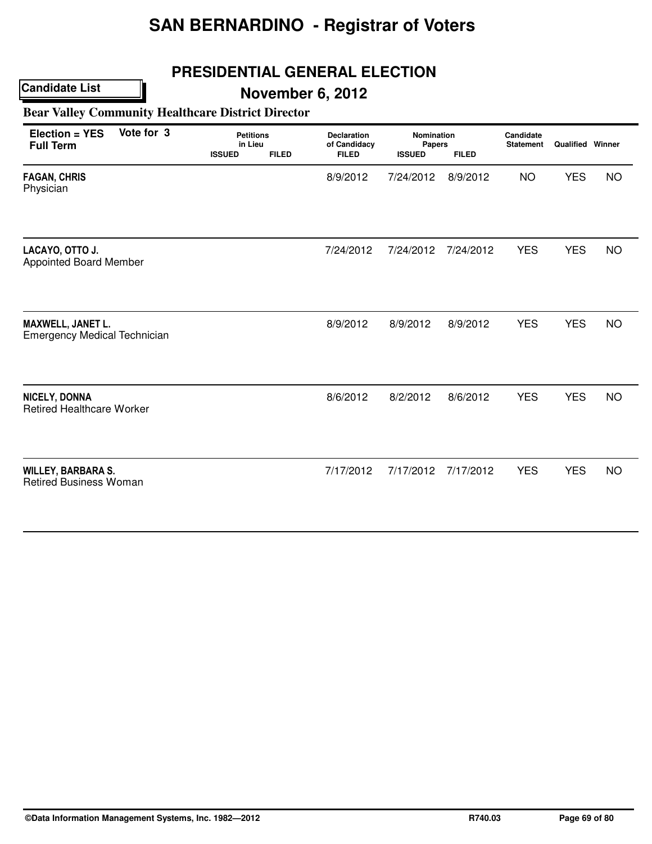## **PRESIDENTIAL GENERAL ELECTION**

# **November 6, 2012**

**Bear Valley Community Healthcare District Director**

| Election = YES<br><b>Full Term</b>                         | Vote for 3 | <b>Petitions</b><br>in Lieu<br><b>ISSUED</b> | <b>FILED</b> | <b>Declaration</b><br>of Candidacy<br><b>FILED</b> | Nomination<br>Papers<br><b>ISSUED</b> | <b>FILED</b> | Candidate<br><b>Statement</b> | <b>Qualified Winner</b> |           |
|------------------------------------------------------------|------------|----------------------------------------------|--------------|----------------------------------------------------|---------------------------------------|--------------|-------------------------------|-------------------------|-----------|
| <b>FAGAN, CHRIS</b><br>Physician                           |            |                                              |              | 8/9/2012                                           | 7/24/2012                             | 8/9/2012     | <b>NO</b>                     | <b>YES</b>              | <b>NO</b> |
| LACAYO, OTTO J.<br><b>Appointed Board Member</b>           |            |                                              |              | 7/24/2012                                          | 7/24/2012                             | 7/24/2012    | <b>YES</b>                    | <b>YES</b>              | <b>NO</b> |
| MAXWELL, JANET L.<br><b>Emergency Medical Technician</b>   |            |                                              |              | 8/9/2012                                           | 8/9/2012                              | 8/9/2012     | <b>YES</b>                    | <b>YES</b>              | <b>NO</b> |
| NICELY, DONNA<br><b>Retired Healthcare Worker</b>          |            |                                              |              | 8/6/2012                                           | 8/2/2012                              | 8/6/2012     | <b>YES</b>                    | <b>YES</b>              | <b>NO</b> |
| <b>WILLEY, BARBARA S.</b><br><b>Retired Business Woman</b> |            |                                              |              | 7/17/2012                                          | 7/17/2012                             | 7/17/2012    | <b>YES</b>                    | <b>YES</b>              | <b>NO</b> |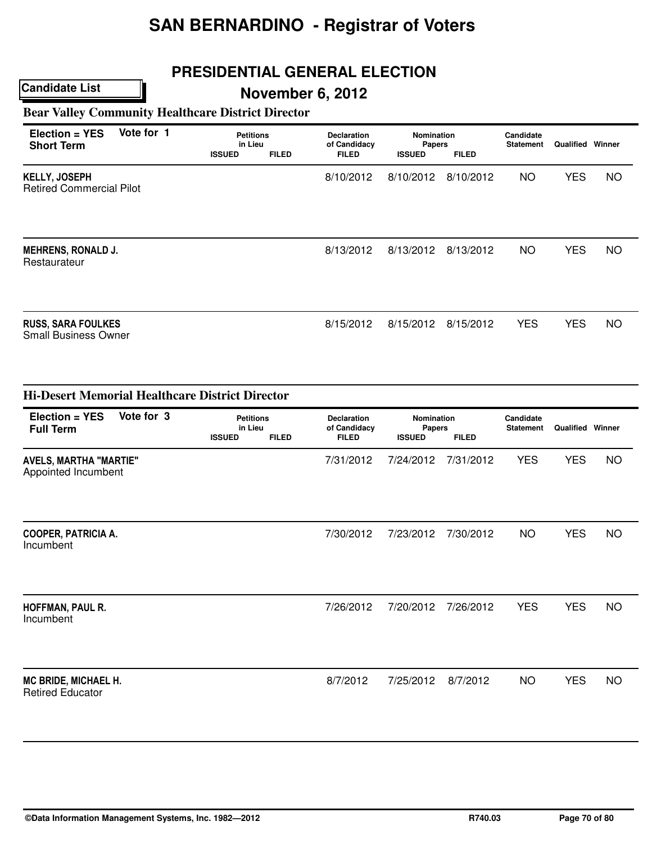# **PRESIDENTIAL GENERAL ELECTION**

# **November 6, 2012**

#### **Bear Valley Community Healthcare District Director**

| $Election = YES$<br><b>Short Term</b>                    | Vote for 1 | <b>Petitions</b><br>in Lieu<br><b>ISSUED</b> | <b>FILED</b> | <b>Declaration</b><br>of Candidacy<br><b>FILED</b> | <b>Nomination</b><br><b>Papers</b><br><b>ISSUED</b> | <b>FILED</b> | Candidate<br><b>Statement</b> | <b>Qualified Winner</b> |    |  |
|----------------------------------------------------------|------------|----------------------------------------------|--------------|----------------------------------------------------|-----------------------------------------------------|--------------|-------------------------------|-------------------------|----|--|
| <b>KELLY, JOSEPH</b><br><b>Retired Commercial Pilot</b>  |            |                                              |              | 8/10/2012                                          | 8/10/2012                                           | 8/10/2012    | <b>NO</b>                     | <b>YES</b>              | NO |  |
| <b>MEHRENS, RONALD J.</b><br>Restaurateur                |            |                                              |              | 8/13/2012                                          | 8/13/2012                                           | 8/13/2012    | NO.                           | <b>YES</b>              | NO |  |
| <b>RUSS, SARA FOULKES</b><br><b>Small Business Owner</b> |            |                                              |              | 8/15/2012                                          | 8/15/2012                                           | 8/15/2012    | <b>YES</b>                    | <b>YES</b>              | NO |  |

| <b>Hi-Desert Memorial Healthcare District Director</b> |                                              |              |                                                    |                                       |              |                               |                         |           |
|--------------------------------------------------------|----------------------------------------------|--------------|----------------------------------------------------|---------------------------------------|--------------|-------------------------------|-------------------------|-----------|
| Vote for 3<br>Election = YES<br><b>Full Term</b>       | <b>Petitions</b><br>in Lieu<br><b>ISSUED</b> | <b>FILED</b> | <b>Declaration</b><br>of Candidacy<br><b>FILED</b> | Nomination<br>Papers<br><b>ISSUED</b> | <b>FILED</b> | Candidate<br><b>Statement</b> | <b>Qualified Winner</b> |           |
| <b>AVELS, MARTHA "MARTIE"</b><br>Appointed Incumbent   |                                              |              | 7/31/2012                                          | 7/24/2012                             | 7/31/2012    | <b>YES</b>                    | <b>YES</b>              | <b>NO</b> |
| <b>COOPER, PATRICIA A.</b><br>Incumbent                |                                              |              | 7/30/2012                                          | 7/23/2012                             | 7/30/2012    | <b>NO</b>                     | <b>YES</b>              | <b>NO</b> |
| HOFFMAN, PAUL R.<br>Incumbent                          |                                              |              | 7/26/2012                                          | 7/20/2012                             | 7/26/2012    | <b>YES</b>                    | <b>YES</b>              | <b>NO</b> |
| MC BRIDE, MICHAEL H.<br><b>Retired Educator</b>        |                                              |              | 8/7/2012                                           | 7/25/2012                             | 8/7/2012     | <b>NO</b>                     | <b>YES</b>              | <b>NO</b> |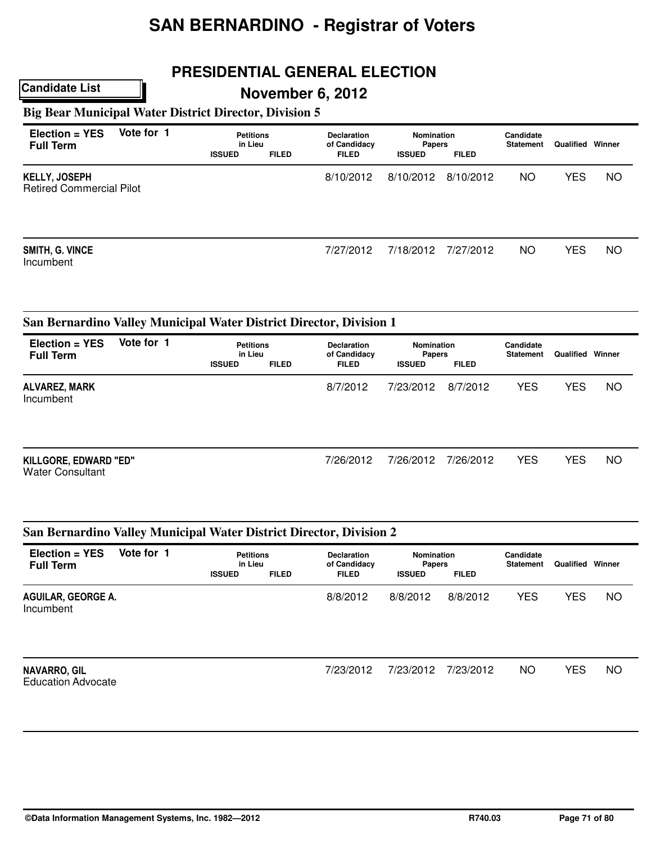# **PRESIDENTIAL GENERAL ELECTION**

#### **November 6, 2012**

## **Big Bear Municipal Water District Director, Division 5**

**Candidate List**

| $Election = YES$<br><b>Full Term</b>                    | Vote for 1 | <b>Petitions</b><br>in Lieu<br><b>ISSUED</b> | <b>FILED</b> | <b>Declaration</b><br>of Candidacy<br><b>FILED</b> | Nomination<br><b>Papers</b><br><b>ISSUED</b> | <b>FILED</b> | Candidate<br><b>Statement</b> | Qualified  | Winner    |
|---------------------------------------------------------|------------|----------------------------------------------|--------------|----------------------------------------------------|----------------------------------------------|--------------|-------------------------------|------------|-----------|
| <b>KELLY, JOSEPH</b><br><b>Retired Commercial Pilot</b> |            |                                              |              | 8/10/2012                                          | 8/10/2012                                    | 8/10/2012    | NO.                           | <b>YES</b> | <b>NO</b> |
| SMITH, G. VINCE<br>Incumbent                            |            |                                              |              | 7/27/2012                                          | 7/18/2012                                    | 7/27/2012    | NO.                           | YES        | <b>NO</b> |

#### **San Bernardino Valley Municipal Water District Director, Division 1**

| $Election = YES$<br><b>Full Term</b>             | Vote for 1 |               | <b>Petitions</b><br>in Lieu |              | <b>Nomination</b><br><b>Papers</b> |              | Candidate<br><b>Statement</b> | Qualified  | Winner |
|--------------------------------------------------|------------|---------------|-----------------------------|--------------|------------------------------------|--------------|-------------------------------|------------|--------|
|                                                  |            | <b>ISSUED</b> | <b>FILED</b>                | <b>FILED</b> | <b>ISSUED</b>                      | <b>FILED</b> |                               |            |        |
| ALVAREZ, MARK<br>Incumbent                       |            |               |                             | 8/7/2012     | 7/23/2012                          | 8/7/2012     | <b>YES</b>                    | <b>YES</b> | ΝO     |
| KILLGORE, EDWARD "ED"<br><b>Water Consultant</b> |            |               |                             | 7/26/2012    | 7/26/2012                          | 7/26/2012    | <b>YES</b>                    | <b>YES</b> | ΝO     |

#### **San Bernardino Valley Municipal Water District Director, Division 2**

| Election = YES<br><b>Full Term</b>               | Vote for 1 | <b>Petitions</b><br>in Lieu<br><b>ISSUED</b> | <b>FILED</b> | <b>Declaration</b><br>of Candidacy<br><b>FILED</b> | Nomination<br><b>Papers</b><br><b>ISSUED</b> | <b>FILED</b> | Candidate<br><b>Statement</b> | Qualified  | Winner    |
|--------------------------------------------------|------------|----------------------------------------------|--------------|----------------------------------------------------|----------------------------------------------|--------------|-------------------------------|------------|-----------|
| AGUILAR, GEORGE A.<br>Incumbent                  |            |                                              |              | 8/8/2012                                           | 8/8/2012                                     | 8/8/2012     | <b>YES</b>                    | <b>YES</b> | <b>NO</b> |
| <b>NAVARRO, GIL</b><br><b>Education Advocate</b> |            |                                              |              | 7/23/2012                                          | 7/23/2012                                    | 7/23/2012    | <b>NO</b>                     | <b>YES</b> | <b>NO</b> |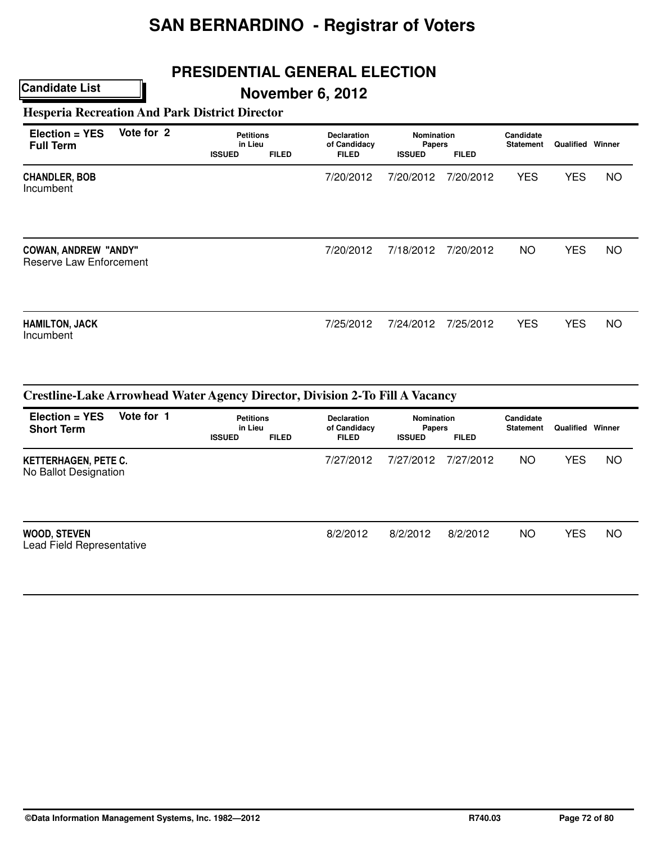## **PRESIDENTIAL GENERAL ELECTION**

## **November 6, 2012**

**Hesperia Recreation And Park District Director**

| Election = YES<br><b>Full Term</b>                     | Vote for 2 | <b>Petitions</b><br>in Lieu<br><b>FILED</b><br><b>ISSUED</b> |  | <b>Declaration</b><br>of Candidacy<br><b>FILED</b> | <b>Nomination</b><br><b>Papers</b><br><b>FILED</b><br><b>ISSUED</b> |           | Candidate<br><b>Statement</b> | <b>Qualified Winner</b> |           |  |
|--------------------------------------------------------|------------|--------------------------------------------------------------|--|----------------------------------------------------|---------------------------------------------------------------------|-----------|-------------------------------|-------------------------|-----------|--|
| <b>CHANDLER, BOB</b><br>Incumbent                      |            |                                                              |  | 7/20/2012                                          | 7/20/2012                                                           | 7/20/2012 | <b>YES</b>                    | <b>YES</b>              | <b>NO</b> |  |
| <b>COWAN, ANDREW "ANDY"</b><br>Reserve Law Enforcement |            |                                                              |  | 7/20/2012                                          | 7/18/2012                                                           | 7/20/2012 | <b>NO</b>                     | <b>YES</b>              | NO.       |  |
| <b>HAMILTON, JACK</b><br>Incumbent                     |            |                                                              |  | 7/25/2012                                          | 7/24/2012                                                           | 7/25/2012 | <b>YES</b>                    | <b>YES</b>              | NO.       |  |

| $Election = YES$<br><b>Short Term</b>                | Vote for 1 | <b>Petitions</b><br>in Lieu<br><b>ISSUED</b> | <b>FILED</b> | <b>Declaration</b><br>of Candidacy<br><b>FILED</b> | <b>Nomination</b><br><b>Papers</b><br><b>ISSUED</b> | <b>FILED</b> | Candidate<br><b>Statement</b> | Qualified  | Winner    |
|------------------------------------------------------|------------|----------------------------------------------|--------------|----------------------------------------------------|-----------------------------------------------------|--------------|-------------------------------|------------|-----------|
| <b>KETTERHAGEN, PETE C.</b><br>No Ballot Designation |            |                                              |              | 7/27/2012                                          | 7/27/2012                                           | 7/27/2012    | NO.                           | <b>YES</b> | <b>NO</b> |
| <b>WOOD, STEVEN</b><br>Lead Field Representative     |            |                                              |              | 8/2/2012                                           | 8/2/2012                                            | 8/2/2012     | NO.                           | <b>YES</b> | <b>NO</b> |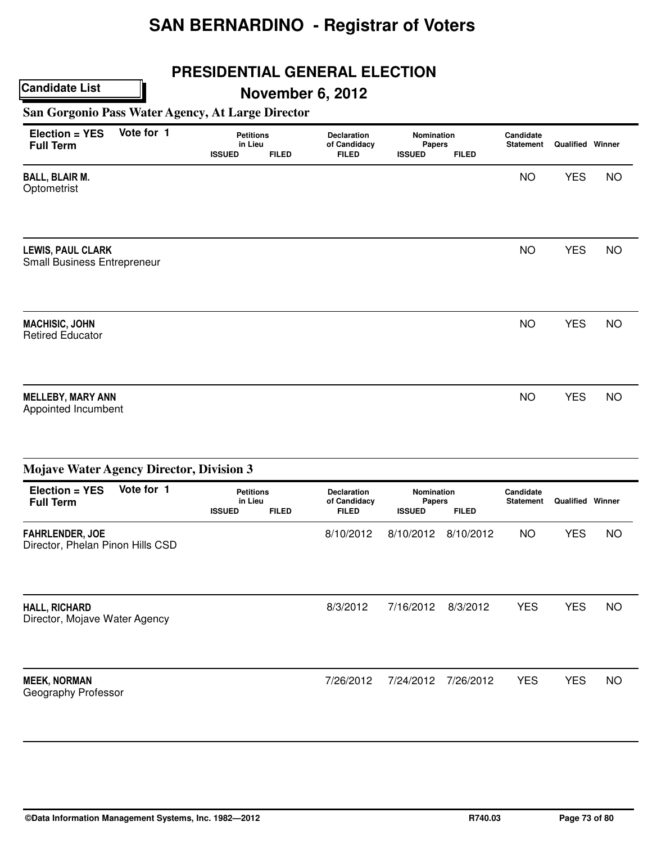## **PRESIDENTIAL GENERAL ELECTION**

# **November 6, 2012**

**San Gorgonio Pass Water Agency, At Large Director**

| Election = YES<br><b>Full Term</b>                      | Vote for 1 | <b>Petitions</b><br>in Lieu<br><b>ISSUED</b> | <b>FILED</b> | <b>Declaration</b><br>of Candidacy<br><b>FILED</b> | Nomination<br>Papers<br><b>ISSUED</b> | <b>FILED</b> | Candidate<br><b>Statement</b> | <b>Qualified Winner</b> |           |
|---------------------------------------------------------|------------|----------------------------------------------|--------------|----------------------------------------------------|---------------------------------------|--------------|-------------------------------|-------------------------|-----------|
| <b>BALL, BLAIR M.</b><br>Optometrist                    |            |                                              |              |                                                    |                                       |              | <b>NO</b>                     | <b>YES</b>              | <b>NO</b> |
| <b>LEWIS, PAUL CLARK</b><br>Small Business Entrepreneur |            |                                              |              |                                                    |                                       |              | <b>NO</b>                     | <b>YES</b>              | <b>NO</b> |
| <b>MACHISIC, JOHN</b><br><b>Retired Educator</b>        |            |                                              |              |                                                    |                                       |              | <b>NO</b>                     | <b>YES</b>              | <b>NO</b> |
| <b>MELLEBY, MARY ANN</b><br>Appointed Incumbent         |            |                                              |              |                                                    |                                       |              | <b>NO</b>                     | <b>YES</b>              | <b>NO</b> |

| <b>Mojave Water Agency Director, Division 3</b>            |                                                                                                                                                                                    |           |                               |                         |            |            |           |  |  |  |  |  |
|------------------------------------------------------------|------------------------------------------------------------------------------------------------------------------------------------------------------------------------------------|-----------|-------------------------------|-------------------------|------------|------------|-----------|--|--|--|--|--|
| Vote for 1<br>$Election = YES$<br><b>Full Term</b>         | <b>Petitions</b><br><b>Nomination</b><br><b>Declaration</b><br>in Lieu<br>of Candidacy<br>Papers<br><b>ISSUED</b><br><b>FILED</b><br><b>FILED</b><br><b>FILED</b><br><b>ISSUED</b> |           | Candidate<br><b>Statement</b> | <b>Qualified Winner</b> |            |            |           |  |  |  |  |  |
| <b>FAHRLENDER, JOE</b><br>Director, Phelan Pinon Hills CSD |                                                                                                                                                                                    | 8/10/2012 | 8/10/2012                     | 8/10/2012               | <b>NO</b>  | <b>YES</b> | <b>NO</b> |  |  |  |  |  |
| HALL, RICHARD<br>Director, Mojave Water Agency             |                                                                                                                                                                                    | 8/3/2012  | 7/16/2012                     | 8/3/2012                | <b>YES</b> | <b>YES</b> | NO.       |  |  |  |  |  |
| <b>MEEK, NORMAN</b><br>Geography Professor                 |                                                                                                                                                                                    | 7/26/2012 | 7/24/2012                     | 7/26/2012               | <b>YES</b> | <b>YES</b> | <b>NO</b> |  |  |  |  |  |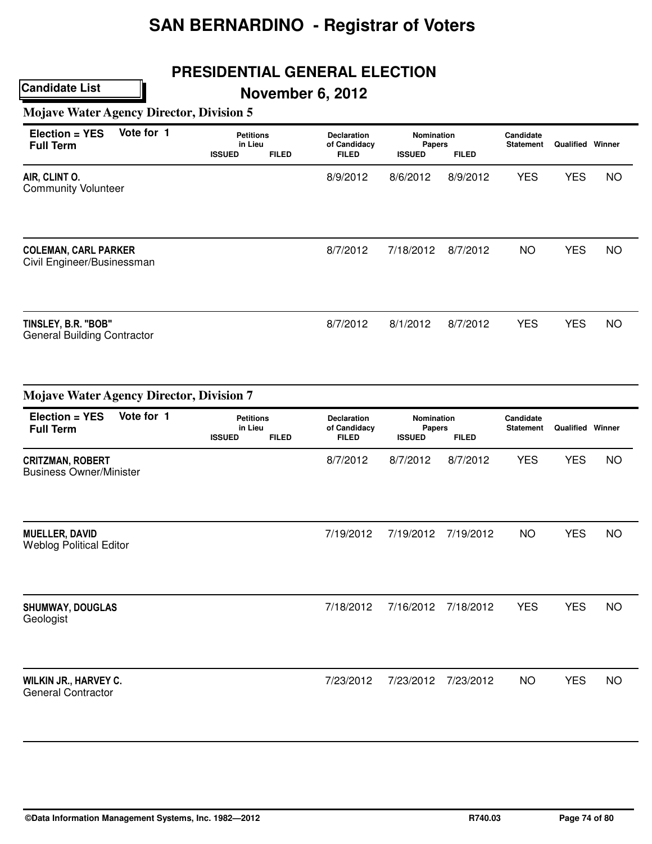## **PRESIDENTIAL GENERAL ELECTION**

**November 6, 2012**

**Mojave Water Agency Director, Division 5**

| Election = YES<br><b>Full Term</b>                        | Vote for 1 | <b>Petitions</b><br>in Lieu<br><b>ISSUED</b> | <b>FILED</b> | <b>Declaration</b><br>of Candidacy<br><b>FILED</b> | Nomination<br>Papers<br><b>ISSUED</b> | <b>FILED</b> | Candidate<br><b>Statement</b> | Qualified  | Winner    |
|-----------------------------------------------------------|------------|----------------------------------------------|--------------|----------------------------------------------------|---------------------------------------|--------------|-------------------------------|------------|-----------|
| AIR, CLINT O.<br><b>Community Volunteer</b>               |            |                                              |              | 8/9/2012                                           | 8/6/2012                              | 8/9/2012     | <b>YES</b>                    | <b>YES</b> | <b>NO</b> |
| <b>COLEMAN, CARL PARKER</b><br>Civil Engineer/Businessman |            |                                              |              | 8/7/2012                                           | 7/18/2012                             | 8/7/2012     | <b>NO</b>                     | <b>YES</b> | <b>NO</b> |
| TINSLEY, B.R. "BOB"<br><b>General Building Contractor</b> |            |                                              |              | 8/7/2012                                           | 8/1/2012                              | 8/7/2012     | <b>YES</b>                    | <b>YES</b> | <b>NO</b> |

| <b>Mojave Water Agency Director, Division 7</b>           |            |                                              |              |                                                    |                                              |              |                               |                         |           |
|-----------------------------------------------------------|------------|----------------------------------------------|--------------|----------------------------------------------------|----------------------------------------------|--------------|-------------------------------|-------------------------|-----------|
| Election = YES<br><b>Full Term</b>                        | Vote for 1 | <b>Petitions</b><br>in Lieu<br><b>ISSUED</b> | <b>FILED</b> | <b>Declaration</b><br>of Candidacy<br><b>FILED</b> | <b>Nomination</b><br>Papers<br><b>ISSUED</b> | <b>FILED</b> | Candidate<br><b>Statement</b> | <b>Qualified Winner</b> |           |
| <b>CRITZMAN, ROBERT</b><br><b>Business Owner/Minister</b> |            |                                              |              | 8/7/2012                                           | 8/7/2012                                     | 8/7/2012     | <b>YES</b>                    | <b>YES</b>              | <b>NO</b> |
| <b>MUELLER, DAVID</b><br><b>Weblog Political Editor</b>   |            |                                              |              | 7/19/2012                                          | 7/19/2012                                    | 7/19/2012    | <b>NO</b>                     | <b>YES</b>              | <b>NO</b> |
| <b>SHUMWAY, DOUGLAS</b><br>Geologist                      |            |                                              |              | 7/18/2012                                          | 7/16/2012                                    | 7/18/2012    | <b>YES</b>                    | <b>YES</b>              | <b>NO</b> |
| WILKIN JR., HARVEY C.<br><b>General Contractor</b>        |            |                                              |              | 7/23/2012                                          | 7/23/2012                                    | 7/23/2012    | <b>NO</b>                     | <b>YES</b>              | <b>NO</b> |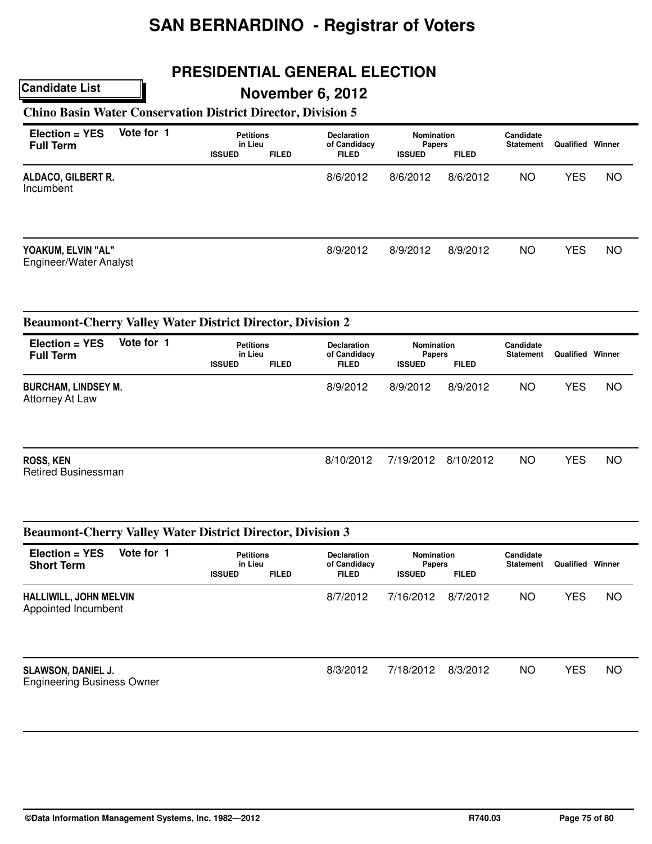## **PRESIDENTIAL GENERAL ELECTION**

### **November 6, 2012**

### **Chino Basin Water Conservation District Director, Division 5**

| $Election = YES$<br><b>Full Term</b>         | Vote for 1 | <b>Petitions</b><br>in Lieu<br><b>ISSUED</b> | <b>FILED</b> | <b>Declaration</b><br>of Candidacy<br><b>FILED</b> | Nomination<br><b>Papers</b><br><b>ISSUED</b><br><b>FILED</b> |          | Candidate<br><b>Statement</b> | Qualified  | Winner    |
|----------------------------------------------|------------|----------------------------------------------|--------------|----------------------------------------------------|--------------------------------------------------------------|----------|-------------------------------|------------|-----------|
| ALDACO, GILBERT R.<br>Incumbent              |            |                                              |              | 8/6/2012                                           | 8/6/2012                                                     | 8/6/2012 | NO.                           | YES        | <b>NO</b> |
| YOAKUM, ELVIN "AL"<br>Engineer/Water Analyst |            |                                              |              | 8/9/2012                                           | 8/9/2012                                                     | 8/9/2012 | <b>NO</b>                     | <b>YES</b> | <b>NO</b> |

|                                                | <b>Beaumont-Cherry Valley Water District Director, Division 2</b> |               |                             |              |                             |              |                               |            |           |  |  |  |  |  |
|------------------------------------------------|-------------------------------------------------------------------|---------------|-----------------------------|--------------|-----------------------------|--------------|-------------------------------|------------|-----------|--|--|--|--|--|
| $Election = YES$<br><b>Full Term</b>           | Vote for 1                                                        |               | <b>Petitions</b><br>in Lieu |              | Nomination<br><b>Papers</b> |              | Candidate<br><b>Statement</b> | Qualified  | Winner    |  |  |  |  |  |
|                                                |                                                                   | <b>ISSUED</b> | <b>FILED</b>                | <b>FILED</b> | <b>ISSUED</b>               | <b>FILED</b> |                               |            |           |  |  |  |  |  |
| <b>BURCHAM, LINDSEY M.</b><br>Attorney At Law  |                                                                   |               |                             | 8/9/2012     | 8/9/2012                    | 8/9/2012     | NO.                           | <b>YES</b> | <b>NO</b> |  |  |  |  |  |
| <b>ROSS, KEN</b><br><b>Retired Businessman</b> |                                                                   |               |                             | 8/10/2012    | 7/19/2012                   | 8/10/2012    | NO.                           | <b>YES</b> | <b>NO</b> |  |  |  |  |  |

| <b>Beaumont-Cherry Valley Water District Director, Division 3</b><br>$Election = YES$<br><b>Short Term</b> | Vote for 1 | <b>Petitions</b><br>in Lieu<br><b>FILED</b><br><b>ISSUED</b> |  | <b>Declaration</b><br>of Candidacy | <b>Nomination</b><br><b>Papers</b> |              | Candidate<br><b>Statement</b> | Qualified  | Winner    |
|------------------------------------------------------------------------------------------------------------|------------|--------------------------------------------------------------|--|------------------------------------|------------------------------------|--------------|-------------------------------|------------|-----------|
|                                                                                                            |            |                                                              |  | <b>FILED</b>                       | <b>ISSUED</b>                      | <b>FILED</b> |                               |            |           |
| HALLIWILL, JOHN MELVIN<br>Appointed Incumbent                                                              |            |                                                              |  | 8/7/2012                           | 7/16/2012                          | 8/7/2012     | NO.                           | <b>YES</b> | <b>NO</b> |
| <b>SLAWSON, DANIEL J.</b><br><b>Engineering Business Owner</b>                                             |            |                                                              |  | 8/3/2012                           | 7/18/2012                          | 8/3/2012     | NO.                           | <b>YES</b> | <b>NO</b> |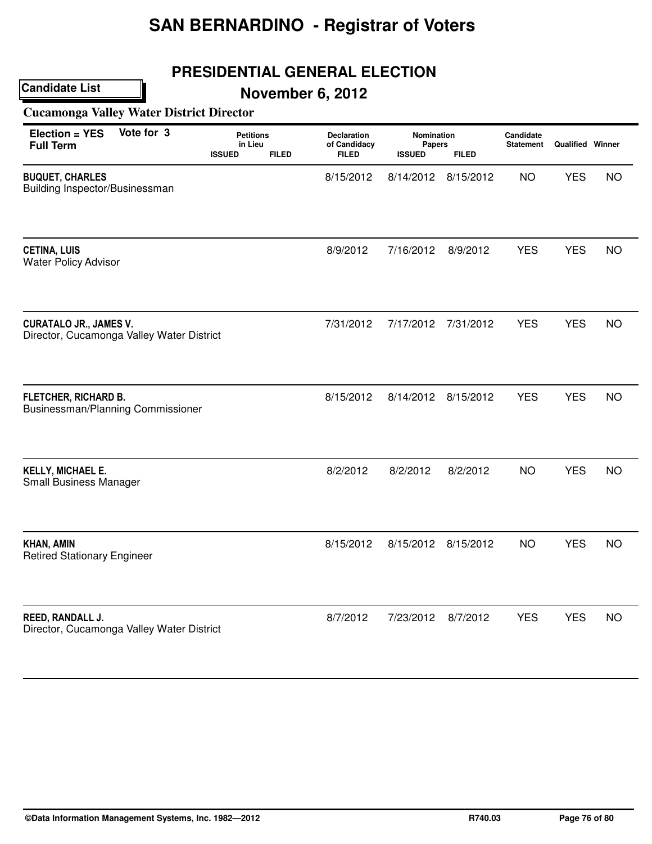## **PRESIDENTIAL GENERAL ELECTION**

**November 6, 2012**

### **Cucamonga Valley Water District Director**

| Election = YES<br><b>Full Term</b>                                         | Vote for 3 | <b>Petitions</b><br>in Lieu |              | <b>Declaration</b><br>of Candidacy | Nomination<br>Papers       |                           | Candidate<br><b>Statement</b> | <b>Qualified Winner</b> |           |
|----------------------------------------------------------------------------|------------|-----------------------------|--------------|------------------------------------|----------------------------|---------------------------|-------------------------------|-------------------------|-----------|
| <b>BUQUET, CHARLES</b><br>Building Inspector/Businessman                   |            | <b>ISSUED</b>               | <b>FILED</b> | <b>FILED</b><br>8/15/2012          | <b>ISSUED</b><br>8/14/2012 | <b>FILED</b><br>8/15/2012 | <b>NO</b>                     | <b>YES</b>              | <b>NO</b> |
| <b>CETINA, LUIS</b><br><b>Water Policy Advisor</b>                         |            |                             |              | 8/9/2012                           | 7/16/2012                  | 8/9/2012                  | <b>YES</b>                    | <b>YES</b>              | <b>NO</b> |
| <b>CURATALO JR., JAMES V.</b><br>Director, Cucamonga Valley Water District |            |                             |              | 7/31/2012                          | 7/17/2012                  | 7/31/2012                 | <b>YES</b>                    | <b>YES</b>              | <b>NO</b> |
| FLETCHER, RICHARD B.<br>Businessman/Planning Commissioner                  |            |                             |              | 8/15/2012                          | 8/14/2012                  | 8/15/2012                 | <b>YES</b>                    | <b>YES</b>              | <b>NO</b> |
| KELLY, MICHAEL E.<br><b>Small Business Manager</b>                         |            |                             |              | 8/2/2012                           | 8/2/2012                   | 8/2/2012                  | <b>NO</b>                     | <b>YES</b>              | <b>NO</b> |
| <b>KHAN, AMIN</b><br><b>Retired Stationary Engineer</b>                    |            |                             |              | 8/15/2012                          | 8/15/2012                  | 8/15/2012                 | <b>NO</b>                     | <b>YES</b>              | <b>NO</b> |
| REED, RANDALL J.<br>Director, Cucamonga Valley Water District              |            |                             |              | 8/7/2012                           | 7/23/2012                  | 8/7/2012                  | <b>YES</b>                    | <b>YES</b>              | <b>NO</b> |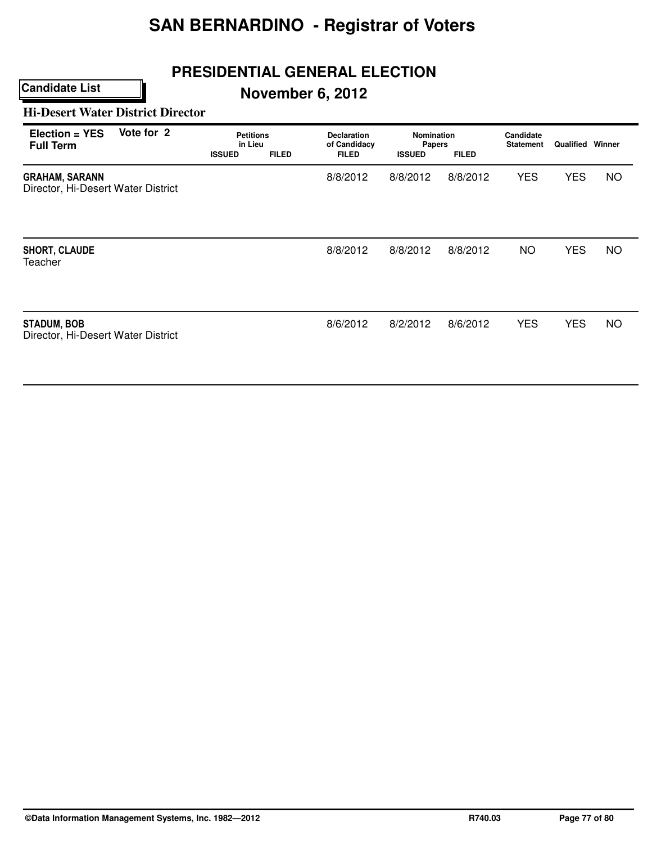## **PRESIDENTIAL GENERAL ELECTION**

# **November 6, 2012**

#### **Hi-Desert Water District Director**

| Vote for 2<br>Election = YES<br><b>Full Term</b>            | <b>Petitions</b><br>in Lieu<br><b>ISSUED</b><br><b>FILED</b> | <b>Declaration</b><br>of Candidacy<br><b>FILED</b> | <b>Nomination</b><br>Papers<br><b>ISSUED</b> | <b>FILED</b> | Candidate<br><b>Statement</b> | <b>Qualified Winner</b> |           |
|-------------------------------------------------------------|--------------------------------------------------------------|----------------------------------------------------|----------------------------------------------|--------------|-------------------------------|-------------------------|-----------|
| <b>GRAHAM, SARANN</b><br>Director, Hi-Desert Water District |                                                              | 8/8/2012                                           | 8/8/2012                                     | 8/8/2012     | <b>YES</b>                    | <b>YES</b>              | <b>NO</b> |
| <b>SHORT, CLAUDE</b><br>Teacher                             |                                                              | 8/8/2012                                           | 8/8/2012                                     | 8/8/2012     | NO.                           | <b>YES</b>              | <b>NO</b> |
| <b>STADUM, BOB</b><br>Director, Hi-Desert Water District    |                                                              | 8/6/2012                                           | 8/2/2012                                     | 8/6/2012     | <b>YES</b>                    | <b>YES</b>              | <b>NO</b> |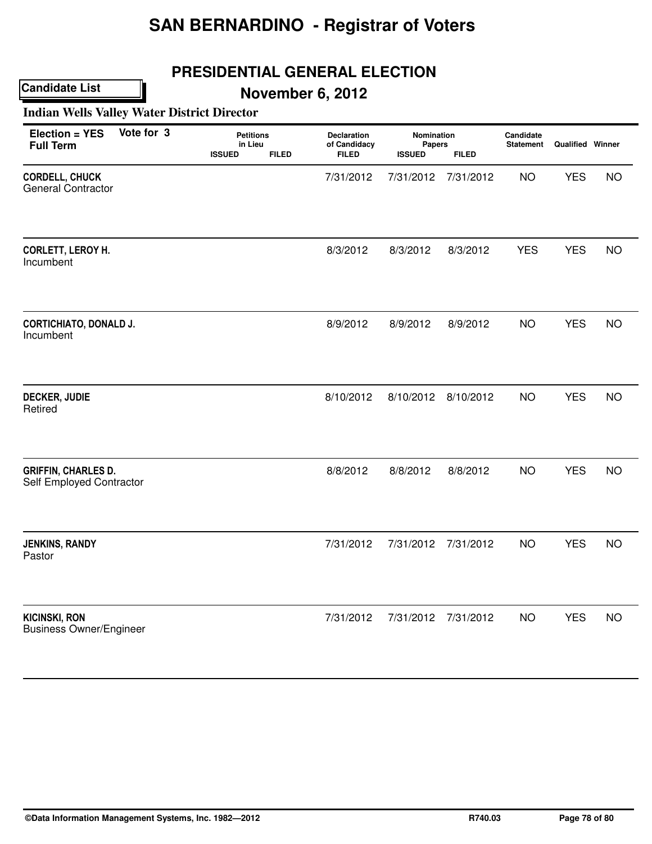## **PRESIDENTIAL GENERAL ELECTION**

**Candidate List**

# **November 6, 2012**

### **Indian Wells Valley Water District Director**

| Election = YES<br><b>Full Term</b>                     | Vote for 3 | <b>Petitions</b><br>in Lieu<br><b>ISSUED</b> | <b>FILED</b> | Declaration<br>of Candidacy<br><b>FILED</b> | Nomination<br>Papers<br><b>ISSUED</b> | <b>FILED</b> | Candidate<br><b>Statement</b> | <b>Qualified Winner</b> |           |
|--------------------------------------------------------|------------|----------------------------------------------|--------------|---------------------------------------------|---------------------------------------|--------------|-------------------------------|-------------------------|-----------|
| CORDELL, CHUCK<br><b>General Contractor</b>            |            |                                              |              | 7/31/2012                                   | 7/31/2012                             | 7/31/2012    | <b>NO</b>                     | <b>YES</b>              | <b>NO</b> |
| CORLETT, LEROY H.<br>Incumbent                         |            |                                              |              | 8/3/2012                                    | 8/3/2012                              | 8/3/2012     | <b>YES</b>                    | <b>YES</b>              | <b>NO</b> |
| <b>CORTICHIATO, DONALD J.</b><br>Incumbent             |            |                                              |              | 8/9/2012                                    | 8/9/2012                              | 8/9/2012     | <b>NO</b>                     | <b>YES</b>              | <b>NO</b> |
| <b>DECKER, JUDIE</b><br>Retired                        |            |                                              |              | 8/10/2012                                   | 8/10/2012                             | 8/10/2012    | <b>NO</b>                     | <b>YES</b>              | <b>NO</b> |
| <b>GRIFFIN, CHARLES D.</b><br>Self Employed Contractor |            |                                              |              | 8/8/2012                                    | 8/8/2012                              | 8/8/2012     | <b>NO</b>                     | <b>YES</b>              | <b>NO</b> |
| <b>JENKINS, RANDY</b><br>Pastor                        |            |                                              |              | 7/31/2012                                   | 7/31/2012                             | 7/31/2012    | <b>NO</b>                     | <b>YES</b>              | <b>NO</b> |
| <b>KICINSKI, RON</b><br><b>Business Owner/Engineer</b> |            |                                              |              | 7/31/2012                                   | 7/31/2012                             | 7/31/2012    | <b>NO</b>                     | <b>YES</b>              | <b>NO</b> |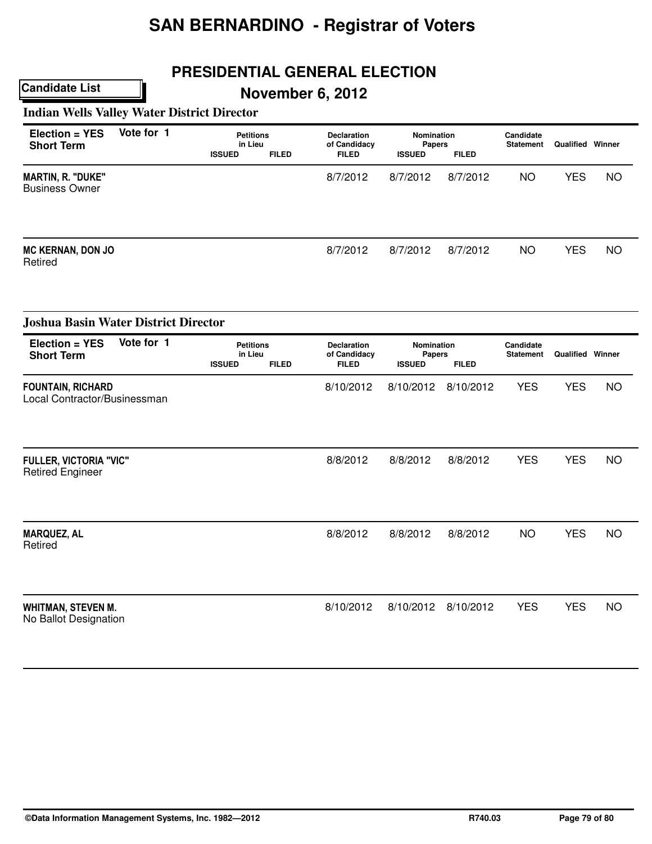### **PRESIDENTIAL GENERAL ELECTION**

**November 6, 2012**

**Indian Wells Valley Water District Director**

| Election = YES<br><b>Short Term</b>                      | Vote for 1 | <b>Petitions</b><br>in Lieu<br><b>ISSUED</b> | <b>FILED</b> | Declaration<br>of Candidacy<br><b>FILED</b> | Nomination<br><b>Papers</b><br><b>ISSUED</b> | <b>FILED</b>        | Candidate<br><b>Statement</b> | <b>Qualified Winner</b> |           |
|----------------------------------------------------------|------------|----------------------------------------------|--------------|---------------------------------------------|----------------------------------------------|---------------------|-------------------------------|-------------------------|-----------|
| <b>MARTIN, R. "DUKE"</b><br><b>Business Owner</b>        |            |                                              |              | 8/7/2012                                    | 8/7/2012                                     | 8/7/2012            | <b>NO</b>                     | <b>YES</b>              | <b>NO</b> |
| <b>MC KERNAN, DON JO</b><br>Retired                      |            |                                              |              | 8/7/2012                                    | 8/7/2012                                     | 8/7/2012            | <b>NO</b>                     | <b>YES</b>              | <b>NO</b> |
| <b>Joshua Basin Water District Director</b>              |            |                                              |              |                                             |                                              |                     |                               |                         |           |
| <b>Election = YES</b><br><b>Short Term</b>               | Vote for 1 | <b>Petitions</b><br>in Lieu<br><b>ISSUED</b> | <b>FILED</b> | Declaration<br>of Candidacy<br><b>FILED</b> | Nomination<br>Papers<br><b>ISSUED</b>        | <b>FILED</b>        | Candidate<br><b>Statement</b> | <b>Qualified Winner</b> |           |
| <b>FOUNTAIN, RICHARD</b><br>Local Contractor/Businessman |            |                                              |              | 8/10/2012                                   | 8/10/2012                                    | 8/10/2012           | <b>YES</b>                    | <b>YES</b>              | <b>NO</b> |
| <b>FULLER, VICTORIA "VIC"</b><br><b>Retired Engineer</b> |            |                                              |              | 8/8/2012                                    | 8/8/2012                                     | 8/8/2012            | <b>YES</b>                    | <b>YES</b>              | <b>NO</b> |
| <b>MARQUEZ, AL</b><br>Retired                            |            |                                              |              | 8/8/2012                                    | 8/8/2012                                     | 8/8/2012            | <b>NO</b>                     | <b>YES</b>              | <b>NO</b> |
| <b>WHITMAN, STEVEN M.</b><br>No Ballot Designation       |            |                                              |              | 8/10/2012                                   |                                              | 8/10/2012 8/10/2012 | <b>YES</b>                    | <b>YES</b>              | <b>NO</b> |